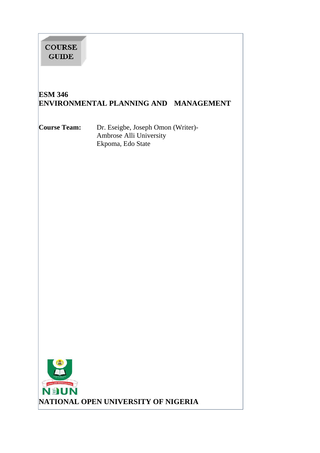# **COURSE**  $G$  **U DE**

# **ESM 346 ENVIRONMENTAL PLANNING AND MANAGEMENT**

**Course Team:** Dr. Eseigbe, Joseph Omon (Writer)- Ambrose Alli University Ekpoma, Edo State

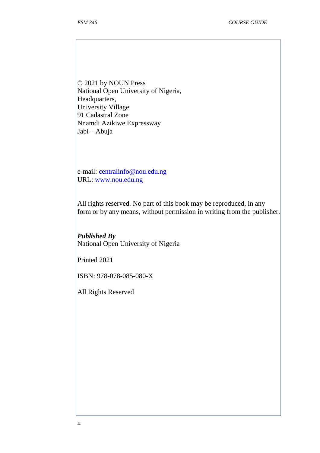© 2021 by NOUN Press National Open University of Nigeria, Headquarters, University Village 91 Cadastral Zone Nnamdi Azikiwe Expressway Jabi – Abuja

e-mail: centralinfo@nou.edu.ng URL: www.nou.edu.ng

All rights reserved. No part of this book may be reproduced, in any form or by any means, without permission in writing from the publisher.

*Published By* National Open University of Nigeria

Printed 2021

ISBN: 978-078-085-080-X

All Rights Reserved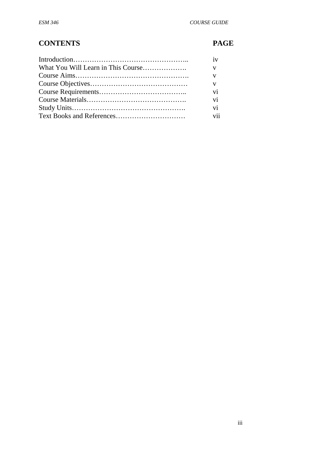# **CONTENTS PAGE**

| 1V                   |  |
|----------------------|--|
| V                    |  |
| v                    |  |
| V                    |  |
| vi                   |  |
| V <sub>1</sub>       |  |
| V <sub>1</sub>       |  |
| $\cdot \cdot$<br>V11 |  |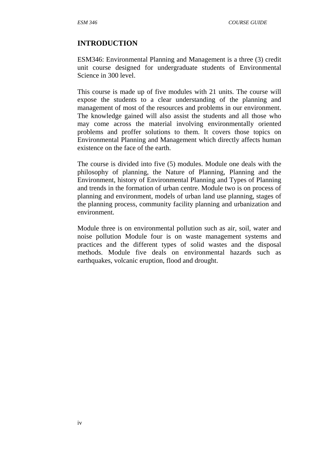#### **INTRODUCTION**

ESM346: Environmental Planning and Management is a three (3) credit unit course designed for undergraduate students of Environmental Science in 300 level.

This course is made up of five modules with 21 units. The course will expose the students to a clear understanding of the planning and management of most of the resources and problems in our environment. The knowledge gained will also assist the students and all those who may come across the material involving environmentally oriented problems and proffer solutions to them. It covers those topics on Environmental Planning and Management which directly affects human existence on the face of the earth.

The course is divided into five (5) modules. Module one deals with the philosophy of planning, the Nature of Planning, Planning and the Environment, history of Environmental Planning and Types of Planning and trends in the formation of urban centre. Module two is on process of planning and environment, models of urban land use planning, stages of the planning process, community facility planning and urbanization and environment.

Module three is on environmental pollution such as air, soil, water and noise pollution Module four is on waste management systems and practices and the different types of solid wastes and the disposal methods. Module five deals on environmental hazards such as earthquakes, volcanic eruption, flood and drought.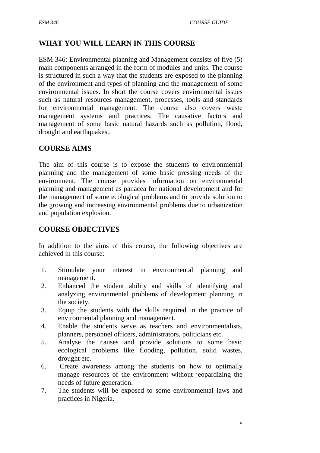# **WHAT YOU WILL LEARN IN THIS COURSE**

ESM 346: Environmental planning and Management consists of five (5) main components arranged in the form of modules and units. The course is structured in such a way that the students are exposed to the planning of the environment and types of planning and the management of some environmental issues. In short the course covers environmental issues such as natural resources management, processes, tools and standards for environmental management. The course also covers waste management systems and practices. The causative factors and management of some basic natural hazards such as pollution, flood, drought and earthquakes..

#### **COURSE AIMS**

The aim of this course is to expose the students to environmental planning and the management of some basic pressing needs of the environment. The course provides information on environmental planning and management as panacea for national development and for the management of some ecological problems and to provide solution to the growing and increasing environmental problems due to urbanization and population explosion.

## **COURSE OBJECTIVES**

In addition to the aims of this course, the following objectives are achieved in this course:

- 1. Stimulate your interest in environmental planning and management.
- 2. Enhanced the student ability and skills of identifying and analyzing environmental problems of development planning in the society.
- 3. Equip the students with the skills required in the practice of environmental planning and management.
- 4. Enable the students serve as teachers and environmentalists, planners, personnel officers, administrators, politicians etc.
- 5. Analyse the causes and provide solutions to some basic ecological problems like flooding, pollution, solid wastes, drought etc.
- 6. Create awareness among the students on how to optimally manage resources of the environment without jeopardizing the needs of future generation.
- 7. The students will be exposed to some environmental laws and practices in Nigeria.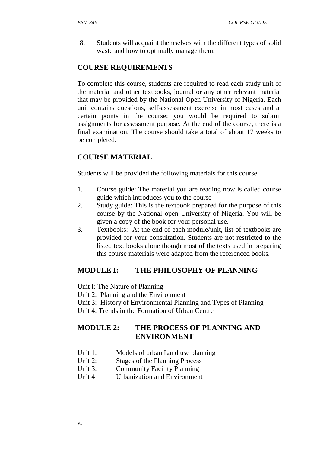8. Students will acquaint themselves with the different types of solid waste and how to optimally manage them.

# **COURSE REQUIREMENTS**

To complete this course, students are required to read each study unit of the material and other textbooks, journal or any other relevant material that may be provided by the National Open University of Nigeria. Each unit contains questions, self-assessment exercise in most cases and at certain points in the course; you would be required to submit assignments for assessment purpose. At the end of the course, there is a final examination. The course should take a total of about 17 weeks to be completed.

# **COURSE MATERIAL**

Students will be provided the following materials for this course:

- 1. Course guide: The material you are reading now is called course guide which introduces you to the course
- 2. Study guide: This is the textbook prepared for the purpose of this course by the National open University of Nigeria. You will be given a copy of the book for your personal use.
- 3. Textbooks: At the end of each module/unit, list of textbooks are provided for your consultation. Students are not restricted to the listed text books alone though most of the texts used in preparing this course materials were adapted from the referenced books.

# **MODULE I: THE PHILOSOPHY OF PLANNING**

Unit I: The Nature of Planning

- Unit 2: Planning and the Environment
- Unit 3: History of Environmental Planning and Types of Planning
- Unit 4: Trends in the Formation of Urban Centre

# **MODULE 2: THE PROCESS OF PLANNING AND ENVIRONMENT**

- Unit 1: Models of urban Land use planning
- Unit 2: Stages of the Planning Process
- Unit 3: Community Facility Planning
- Unit 4 Urbanization and Environment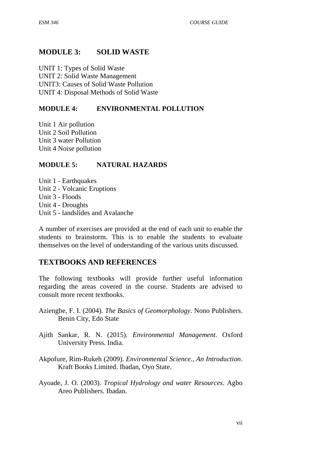# **MODULE 3: SOLID WASTE**

UNIT 1: Types of Solid Waste UNIT 2: Solid Waste Management UNIT3: Causes of Solid Waste Pollution UNIT 4: Disposal Methods of Solid Waste

#### **MODULE 4: ENVIRONMENTAL POLLUTION**

Unit 1 Air pollution Unit 2 Soil Pollution Unit 3 water Pollution Unit 4 Noise pollution

#### **MODULE 5: NATURAL HAZARDS**

Unit 1 - Earthquakes Unit 2 - Volcanic Eruptions Unit 3 - Floods Unit 4 - Droughts Unit 5 - landslides and Avalanche

A number of exercises are provided at the end of each unit to enable the students to brainstorm. This is to enable the students to evaluate themselves on the level of understanding of the various units discussed.

#### **TEXTBOOKS AND REFERENCES**

The following textbooks will provide further useful information regarding the areas covered in the course. Students are advised to consult more recent textbooks.

- Aziengbe, F. I. (2004). *The Basics of Geomorphology*. Nono Publishers. Benin City, Edo State
- Ajith Sankar, R. N. (2015). *Environmental Management*. Oxford University Press. India.
- Akpofure, Rim-Rukeh (2009). *Environmental Science., An Introduction*. Kraft Books Limited. Ibadan, Oyo State.
- Ayoade, J. O. (2003). *Tropical Hydrology and water Resources*. Agbo Areo Publishers. Ibadan.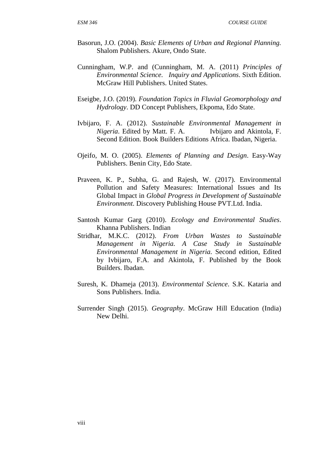- Basorun, J.O. (2004). *Basic Elements of Urban and Regional Planning.* Shalom Publishers. Akure, Ondo State.
- Cunningham, W.P. and (Cunningham, M. A. (2011) *Principles of Environmental Science. Inquiry and Applications*. Sixth Edition. McGraw Hill Publishers. United States.
- Eseigbe, J.O. (2019). *Foundation Topics in Fluvial Geomorphology and Hydrology*. DD Concept Publishers, Ekpoma, Edo State.
- Ivbijaro, F. A. (2012). *Sustainable Environmental Management in Nigeria*. Edited by Matt. F. A. Ivbijaro and Akintola, F. Second Edition. Book Builders Editions Africa. Ibadan, Nigeria.
- Ojeifo, M. O. (2005). *Elements of Planning and Design*. Easy-Way Publishers. Benin City, Edo State.
- Praveen, K. P., Subha, G. and Rajesh, W. (2017). Environmental Pollution and Safety Measures: International Issues and Its Global Impact in *Global Progress in Development of Sustainable Environment*. Discovery Publishing House PVT.Ltd. India.
- Santosh Kumar Garg (2010). *Ecology and Environmental Studies*. Khanna Publishers. Indian
- Stridhar, M.K.C. (2012). *From Urban Wastes to Sustainable Management in Nigeria. A Case Study in Sustainable Environmental Management in Nigeria.* Second edition, Edited by Ivbijaro, F.A. and Akintola, F. Published by the Book Builders. Ibadan.
- Suresh, K. Dhameja (2013). *Environmental Science*. S.K. Kataria and Sons Publishers. India.
- Surrender Singh (2015). *Geography*. McGraw Hill Education (India) New Delhi.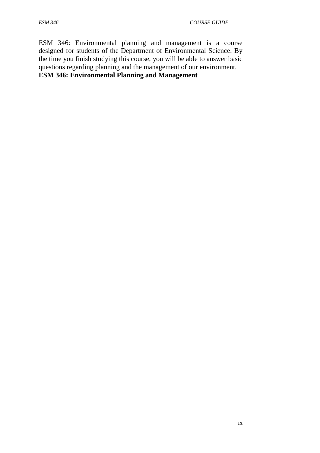ESM 346: Environmental planning and management is a course designed for students of the Department of Environmental Science. By the time you finish studying this course, you will be able to answer basic questions regarding planning and the management of our environment. **ESM 346: Environmental Planning and Management**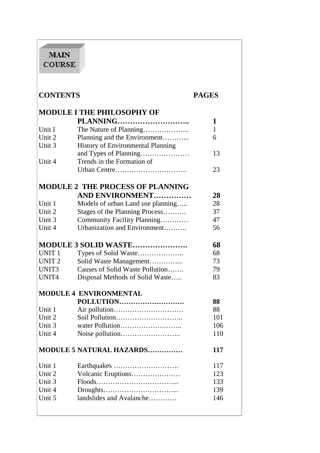# $\textbf{MAIN}$ **COURSE**

# **CONTENTS PAGES**

|                   | <b>MODULE I THE PHILOSOPHY OF</b>        |              |
|-------------------|------------------------------------------|--------------|
|                   | PLANNING                                 | $\mathbf{1}$ |
| Unit I            | The Nature of Planning                   | $\mathbf{1}$ |
| Unit 2            | Planning and the Environment             | 6            |
| Unit 3            | <b>History of Environmental Planning</b> |              |
|                   | and Types of Planning                    | 13           |
| Unit 4            | Trends in the Formation of               |              |
|                   |                                          | 23           |
|                   | <b>MODULE 2 THE PROCESS OF PLANNING</b>  |              |
|                   | <b>AND ENVIRONMENT</b>                   | 28           |
| Unit 1            | Models of urban Land use planning        | 28           |
| Unit 2            | Stages of the Planning Process           | 37           |
| Unit 3            | Community Facility Planning              | 47           |
| Unit 4            | Urbanization and Environment             | 56           |
|                   | MODULE 3 SOLID WASTE                     | 68           |
| UNIT <sub>1</sub> | Types of Solid Waste                     | 68           |
| UNIT <sub>2</sub> | Solid Waste Management                   | 73           |
| UNIT3             | Causes of Solid Waste Pollution          | 79           |
| UNIT4             | Disposal Methods of Solid Waste          | 83           |
|                   | <b>MODULE 4 ENVIRONMENTAL</b>            |              |
|                   | POLLUTION                                | 88           |
| Unit 1            |                                          | 88           |
| Unit 2            |                                          | 101          |
| Unit 3            |                                          | 106          |
| Unit 4            |                                          | 110          |
|                   | <b>MODULE 5 NATURAL HAZARDS</b>          | 117          |
| Unit 1            | Earthquakes                              | 117          |
| Unit 2            | Volcanic Eruptions                       | 123          |
| Unit 3            |                                          | 133          |
| Unit 4            |                                          | 139          |
| Unit 5            | landslides and Avalanche                 | 146          |
|                   |                                          |              |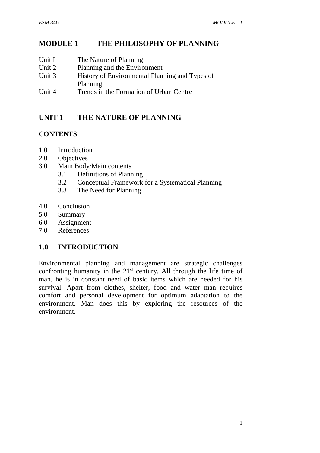# **MODULE 1 THE PHILOSOPHY OF PLANNING**

- Unit I The Nature of Planning
- Unit 2 Planning and the Environment
- Unit 3 History of Environmental Planning and Types of Planning
- Unit 4 Trends in the Formation of Urban Centre

# **UNIT 1 THE NATURE OF PLANNING**

#### **CONTENTS**

- 1.0 Introduction
- 2.0 Objectives
- 3.0 Main Body/Main contents
	- 3.1 Definitions of Planning
	- 3.2 Conceptual Framework for a Systematical Planning
	- 3.3 The Need for Planning
- 4.0 Conclusion
- 5.0 Summary
- 6.0 Assignment
- 7.0 References

# **1.0 INTRODUCTION**

Environmental planning and management are strategic challenges confronting humanity in the  $21<sup>st</sup>$  century. All through the life time of man, he is in constant need of basic items which are needed for his survival. Apart from clothes, shelter, food and water man requires comfort and personal development for optimum adaptation to the environment. Man does this by exploring the resources of the environment.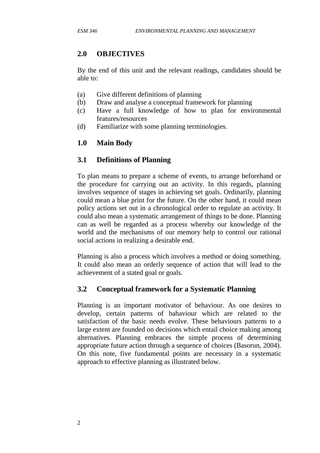### **2.0 OBJECTIVES**

By the end of this unit and the relevant readings, candidates should be able to:

- (a) Give different definitions of planning
- (b) Draw and analyse a conceptual framework for planning
- (c) Have a full knowledge of how to plan for environmental features/resources
- (d) Familiarize with some planning terminologies.

#### **1.0 Main Body**

#### **3.1 Definitions of Planning**

To plan means to prepare a scheme of events, to arrange beforehand or the procedure for carrying out an activity. In this regards, planning involves sequence of stages in achieving set goals. Ordinarily, planning could mean a blue print for the future. On the other hand, it could mean policy actions set out in a chronological order to regulate an activity. It could also mean a systematic arrangement of things to be done. Planning can as well be regarded as a process whereby our knowledge of the world and the mechanisms of our memory help to control our rational social actions in realizing a desirable end.

Planning is also a process which involves a method or doing something. It could also mean an orderly sequence of action that will lead to the achievement of a stated goal or goals.

#### **3.2 Conceptual framework for a Systematic Planning**

Planning is an important motivator of behaviour. As one desires to develop, certain patterns of bahaviour which are related to the satisfaction of the basic needs evolve. These behaviours patterns to a large extent are founded on decisions which entail choice making among alternatives. Planning embraces the simple process of determining appropriate future action through a sequence of choices (Basorun, 2004). On this note, five fundamental points are necessary in a systematic approach to effective planning as illustrated below.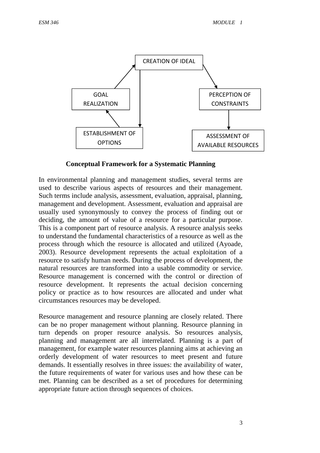

#### **Conceptual Framework for a Systematic Planning**

In environmental planning and management studies, several terms are used to describe various aspects of resources and their management. Such terms include analysis, assessment, evaluation, appraisal, planning, management and development. Assessment, evaluation and appraisal are usually used synonymously to convey the process of finding out or deciding, the amount of value of a resource for a particular purpose. This is a component part of resource analysis. A resource analysis seeks to understand the fundamental characteristics of a resource as well as the process through which the resource is allocated and utilized (Ayoade, 2003). Resource development represents the actual exploitation of a resource to satisfy human needs. During the process of development, the natural resources are transformed into a usable commodity or service. Resource management is concerned with the control or direction of resource development. It represents the actual decision concerning policy or practice as to how resources are allocated and under what circumstances resources may be developed.

Resource management and resource planning are closely related. There can be no proper management without planning. Resource planning in turn depends on proper resource analysis. So resources analysis, planning and management are all interrelated. Planning is a part of management, for example water resources planning aims at achieving an orderly development of water resources to meet present and future demands. It essentially resolves in three issues: the availability of water, the future requirements of water for various uses and how these can be met. Planning can be described as a set of procedures for determining appropriate future action through sequences of choices.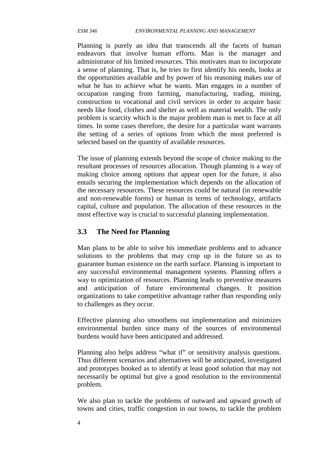Planning is purely an idea that transcends all the facets of human endeavors that involve human efforts. Man is the manager and administrator of his limited resources. This motivates man to incorporate a sense of planning. That is, he tries to first identify his needs, looks at the opportunities available and by power of his reasoning makes use of what he has to achieve what he wants. Man engages in a number of occupation ranging from farming, manufacturing, trading, mining, construction to vocational and civil services in order to acquire basic needs like food, clothes and shelter as well as material wealth. The only problem is scarcity which is the major problem man is met to face at all times. In some cases therefore, the desire for a particular want warrants the setting of a series of options from which the most preferred is selected based on the quantity of available resources.

The issue of planning extends beyond the scope of choice making to the resultant processes of resources allocation. Though planning is a way of making choice among options that appear open for the future, it also entails securing the implementation which depends on the allocation of the necessary resources. These resources could be natural (in renewable and non-renewable forms) or human in terms of technology, artifacts capital, culture and population. The allocation of these resources in the most effective way is crucial to successful planning implementation.

#### **3.3 The Need for Planning**

Man plans to be able to solve his immediate problems and to advance solutions to the problems that may crop up in the future so as to guarantee human existence on the earth surface. Planning is important to any successful environmental management systems. Planning offers a way to optimization of resources. Planning leads to preventive measures and anticipation of future environmental changes. It position organizations to take competitive advantage rather than responding only to challenges as they occur.

Effective planning also smoothens out implementation and minimizes environmental burden since many of the sources of environmental burdens would have been anticipated and addressed.

Planning also helps address "what if" or sensitivity analysis questions. Thus different scenarios and alternatives will be anticipated, investigated and prototypes booked as to identify at least good solution that may not necessarily be optimal but give a good resolution to the environmental problem.

We also plan to tackle the problems of outward and upward growth of towns and cities, traffic congestion in our towns, to tackle the problem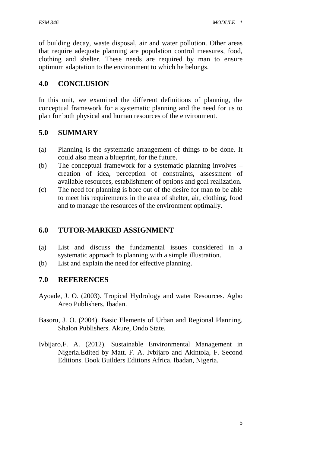of building decay, waste disposal, air and water pollution. Other areas that require adequate planning are population control measures, food, clothing and shelter. These needs are required by man to ensure optimum adaptation to the environment to which he belongs.

#### **4.0 CONCLUSION**

In this unit, we examined the different definitions of planning, the conceptual framework for a systematic planning and the need for us to plan for both physical and human resources of the environment.

#### **5.0 SUMMARY**

- (a) Planning is the systematic arrangement of things to be done. It could also mean a blueprint, for the future.
- (b) The conceptual framework for a systematic planning involves creation of idea, perception of constraints, assessment of available resources, establishment of options and goal realization.
- (c) The need for planning is bore out of the desire for man to be able to meet his requirements in the area of shelter, air, clothing, food and to manage the resources of the environment optimally.

#### **6.0 TUTOR-MARKED ASSIGNMENT**

- (a) List and discuss the fundamental issues considered in a systematic approach to planning with a simple illustration.
- (b) List and explain the need for effective planning.

#### **7.0 REFERENCES**

- Ayoade, J. O. (2003). Tropical Hydrology and water Resources. Agbo Areo Publishers. Ibadan.
- Basoru, J. O. (2004). Basic Elements of Urban and Regional Planning. Shalon Publishers. Akure, Ondo State.
- Ivbijaro,F. A. (2012). Sustainable Environmental Management in Nigeria.Edited by Matt. F. A. Ivbijaro and Akintola, F. Second Editions. Book Builders Editions Africa. Ibadan, Nigeria.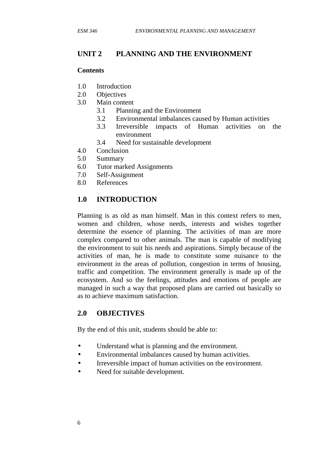# **UNIT 2 PLANNING AND THE ENVIRONMENT**

#### **Contents**

- 1.0 Introduction
- 2.0 Objectives
- 3.0 Main content
	- 3.1 Planning and the Environment
	- 3.2 Environmental imbalances caused by Human activities
	- 3.3 Irreversible impacts of Human activities on the environment
	- 3.4 Need for sustainable development
- 4.0 Conclusion
- 5.0 Summary
- 6.0 Tutor marked Assignments
- 7.0 Self-Assignment
- 8.0 References

#### **1.0 INTRODUCTION**

Planning is as old as man himself. Man in this context refers to men, women and children, whose needs, interests and wishes together determine the essence of planning. The activities of man are more complex compared to other animals. The man is capable of modifying the environment to suit his needs and aspirations. Simply because of the activities of man, he is made to constitute some nuisance to the environment in the areas of pollution, congestion in terms of housing, traffic and competition. The environment generally is made up of the ecosystem. And so the feelings, attitudes and emotions of people are managed in such a way that proposed plans are carried out basically so as to achieve maximum satisfaction.

#### **2.0 OBJECTIVES**

By the end of this unit, students should be able to:

- Understand what is planning and the environment.
- Environmental imbalances caused by human activities.
- Irreversible impact of human activities on the environment.
- Need for suitable development.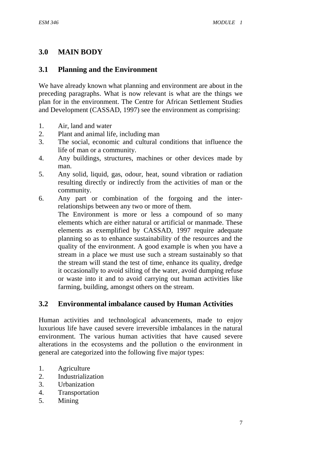# **3.0 MAIN BODY**

## **3.1 Planning and the Environment**

We have already known what planning and environment are about in the preceding paragraphs. What is now relevant is what are the things we plan for in the environment. The Centre for African Settlement Studies and Development (CASSAD, 1997) see the environment as comprising:

- 1. Air, land and water
- 2. Plant and animal life, including man
- 3. The social, economic and cultural conditions that influence the life of man or a community.
- 4. Any buildings, structures, machines or other devices made by man.
- 5. Any solid, liquid, gas, odour, heat, sound vibration or radiation resulting directly or indirectly from the activities of man or the community.
- 6. Any part or combination of the forgoing and the interrelationships between any two or more of them.
	- The Environment is more or less a compound of so many elements which are either natural or artificial or manmade. These elements as exemplified by CASSAD, 1997 require adequate planning so as to enhance sustainability of the resources and the quality of the environment. A good example is when you have a stream in a place we must use such a stream sustainably so that the stream will stand the test of time, enhance its quality, dredge it occasionally to avoid silting of the water, avoid dumping refuse or waste into it and to avoid carrying out human activities like farming, building, amongst others on the stream.

#### **3.2 Environmental imbalance caused by Human Activities**

Human activities and technological advancements, made to enjoy luxurious life have caused severe irreversible imbalances in the natural environment. The various human activities that have caused severe alterations in the ecosystems and the pollution o the environment in general are categorized into the following five major types:

- 1. Agriculture
- 2. Industrialization
- 3. Urbanization
- 4. Transportation
- 5. Mining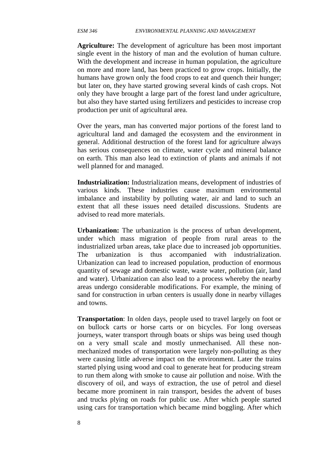**Agriculture:** The development of agriculture has been most important single event in the history of man and the evolution of human culture. With the development and increase in human population, the agriculture on more and more land, has been practiced to grow crops. Initially, the humans have grown only the food crops to eat and quench their hunger; but later on, they have started growing several kinds of cash crops. Not only they have brought a large part of the forest land under agriculture, but also they have started using fertilizers and pesticides to increase crop production per unit of agricultural area.

Over the years, man has converted major portions of the forest land to agricultural land and damaged the ecosystem and the environment in general. Additional destruction of the forest land for agriculture always has serious consequences on climate, water cycle and mineral balance on earth. This man also lead to extinction of plants and animals if not well planned for and managed.

**Industrialization:** Industrialization means, development of industries of various kinds. These industries cause maximum environmental imbalance and instability by polluting water, air and land to such an extent that all these issues need detailed discussions. Students are advised to read more materials.

**Urbanization:** The urbanization is the process of urban development, under which mass migration of people from rural areas to the industrialized urban areas, take place due to increased job opportunities. The urbanization is thus accompanied with industrialization. Urbanization can lead to increased population, production of enormous quantity of sewage and domestic waste, waste water, pollution (air, land and water). Urbanization can also lead to a process whereby the nearby areas undergo considerable modifications. For example, the mining of sand for construction in urban centers is usually done in nearby villages and towns.

**Transportation**: In olden days, people used to travel largely on foot or on bullock carts or horse carts or on bicycles. For long overseas journeys, water transport through boats or ships was being used though on a very small scale and mostly unmechanised. All these non mechanized modes of transportation were largely non-polluting as they were causing little adverse impact on the environment. Later the trains started plying using wood and coal to generate heat for producing stream to run them along with smoke to cause air pollution and noise. With the discovery of oil, and ways of extraction, the use of petrol and diesel became more prominent in rain transport, besides the advent of buses and trucks plying on roads for public use. After which people started using cars for transportation which became mind boggling. After which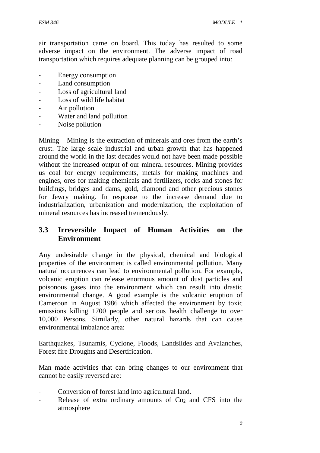air transportation came on board. This today has resulted to some adverse impact on the environment. The adverse impact of road transportation which requires adequate planning can be grouped into:

- Energy consumption
- Land consumption
- Loss of agricultural land
- Loss of wild life habitat
- Air pollution
- Water and land pollution
- Noise pollution

Mining – Mining is the extraction of minerals and ores from the earth's crust. The large scale industrial and urban growth that has happened around the world in the last decades would not have been made possible without the increased output of our mineral resources. Mining provides us coal for energy requirements, metals for making machines and engines, ores for making chemicals and fertilizers, rocks and stones for buildings, bridges and dams, gold, diamond and other precious stones for Jewry making. In response to the increase demand due to industrialization, urbanization and modernization, the exploitation of mineral resources has increased tremendously.

# **3.3 Irreversible Impact of Human Activities on the Environment**

Any undesirable change in the physical, chemical and biological properties of the environment is called environmental pollution. Many natural occurrences can lead to environmental pollution. For example, volcanic eruption can release enormous amount of dust particles and poisonous gases into the environment which can result into drastic environmental change. A good example is the volcanic eruption of Cameroon in August 1986 which affected the environment by toxic emissions killing 1700 people and serious health challenge to over 10,000 Persons. Similarly, other natural hazards that can cause environmental imbalance area:

Earthquakes, Tsunamis, Cyclone, Floods, Landslides and Avalanches, Forest fire Droughts and Desertification.

Man made activities that can bring changes to our environment that cannot be easily reversed are:

- Conversion of forest land into agricultural land.
- Release of extra ordinary amounts of  $Co<sub>2</sub>$  and CFS into the atmosphere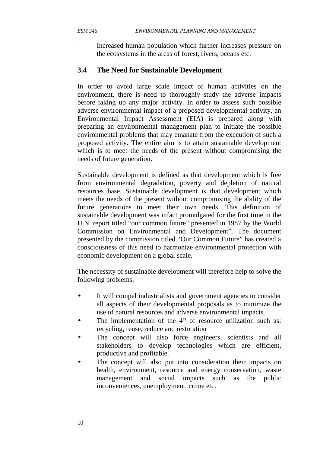Increased human population which further increases pressure on the ecosystems in the areas of forest, rivers, oceans etc.

#### **3.4 The Need for Sustainable Development**

In order to avoid large scale impact of human activities on the environment, there is need to thoroughly study the adverse impacts before taking up any major activity. In order to assess such possible adverse environmental impact of a proposed developmental activity, an Environmental Impact Assessment (EIA) is prepared along with preparing an environmental management plan to initiate the possible environmental problems that may emanate from the execution of such a proposed activity. The entire aim is to attain sustainable development which is to meet the needs of the present without compromising the needs of future generation.

Sustainable development is defined as that development which is free from environmental degradation, poverty and depletion of natural resources base. Sustainable development is that development which meets the needs of the present without compromising the ability of the future generations to meet their own needs. This definition of sustainable development was infact promulgated for the first time in the U.N. report titled "our common future" presented in 1987 by the World Commission on Environmental and Development". The document presented by the commission titled "Our Common Future" has created a consciousness of this need to harmonize environmental protection with economic development on a global scale.

The necessity of sustainable development will therefore help to solve the following problems:

- It will compel industrialists and government agencies to consider all aspects of their developmental proposals as to minimize the use of natural resources and adverse environmental impacts.
- The implementation of the  $4<sup>rs</sup>$  of resource utilization such as: recycling, reuse, reduce and restoration
- The concept will also force engineers, scientists and all stakeholders to develop technologies which are efficient, productive and profitable.
- The concept will also put into consideration their impacts on health, environment, resource and energy conservation, waste management and social impacts such as the public inconveniences, unemployment, crime etc.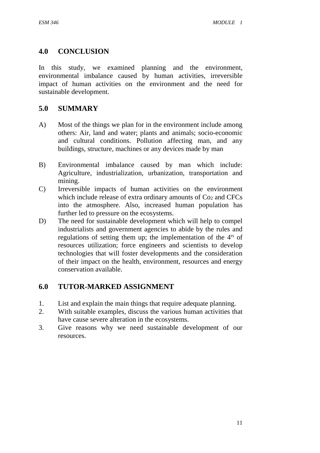#### **4.0 CONCLUSION**

In this study, we examined planning and the environment, environmental imbalance caused by human activities, irreversible impact of human activities on the environment and the need for sustainable development.

#### **5.0 SUMMARY**

- A) Most of the things we plan for in the environment include among others: Air, land and water; plants and animals; socio-economic and cultural conditions. Pollution affecting man, and any buildings, structure, machines or any devices made by man
- B) Environmental imbalance caused by man which include: Agriculture, industrialization, urbanization, transportation and mining.
- C) Irreversible impacts of human activities on the environment which include release of extra ordinary amounts of  $Co<sub>2</sub>$  and CFCs into the atmosphere. Also, increased human population has further led to pressure on the ecosystems.
- D) The need for sustainable development which will help to compel industrialists and government agencies to abide by the rules and regulations of setting them up; the implementation of the 4rs of resources utilization; force engineers and scientists to develop technologies that will foster developments and the consideration of their impact on the health, environment, resources and energy conservation available.

#### **6.0 TUTOR-MARKED ASSIGNMENT**

- 1. List and explain the main things that require adequate planning.
- 2. With suitable examples, discuss the various human activities that have cause severe alteration in the ecosystems.
- 3. Give reasons why we need sustainable development of our resources.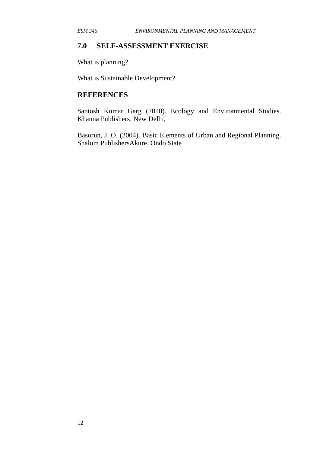#### **7.0 SELF-ASSESSMENT EXERCISE**

What is planning?

What is Sustainable Development?

#### **REFERENCES**

Santosh Kumar Garg (2010). Ecology and Environmental Studies. Khanna Publishers. New Delhi,

Basorun, J. O. (2004). Basic Elements of Urban and Regional Planning. Shalom PublishersAkure, Ondo State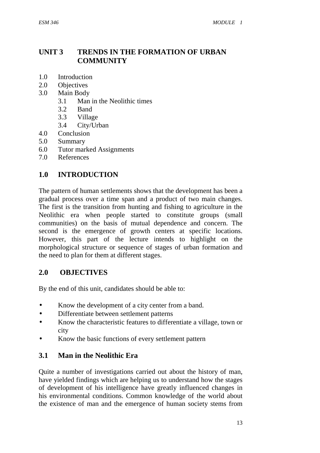# **UNIT 3 TRENDS IN THE FORMATION OF URBAN COMMUNITY**

- 1.0 Introduction
- 2.0 Objectives
- 3.0 Main Body
	- 3.1 Man in the Neolithic times
	- 3.2 Band
	- 3.3 Village
	- 3.4 City/Urban
- 4.0 Conclusion
- 5.0 Summary
- 6.0 Tutor marked Assignments
- 7.0 References

# **1.0 INTRODUCTION**

The pattern of human settlements shows that the development has been a gradual process over a time span and a product of two main changes. The first is the transition from hunting and fishing to agriculture in the Neolithic era when people started to constitute groups (small communities) on the basis of mutual dependence and concern. The second is the emergence of growth centers at specific locations. However, this part of the lecture intends to highlight on the morphological structure or sequence of stages of urban formation and the need to plan for them at different stages.

#### **2.0 OBJECTIVES**

By the end of this unit, candidates should be able to:

- Know the development of a city center from a band.
- Differentiate between settlement patterns
- Know the characteristic features to differentiate a village, town or city
- Know the basic functions of every settlement pattern

#### **3.1 Man in the Neolithic Era**

Quite a number of investigations carried out about the history of man, have yielded findings which are helping us to understand how the stages of development of his intelligence have greatly influenced changes in his environmental conditions. Common knowledge of the world about the existence of man and the emergence of human society stems from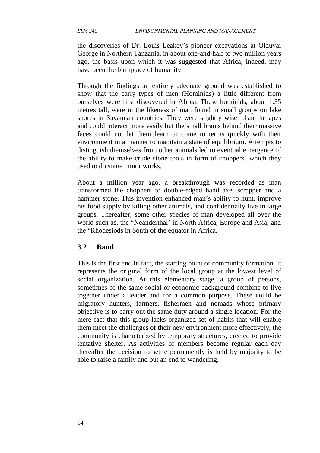the discoveries of Dr. Louis Leakey's pioneer excavations at Olduvai George in Northern Tanzania, in about one-and-half to two million years ago, the basis upon which it was suggested that Africa, indeed, may have been the birthplace of humanity.

Through the findings an entirely adequate ground was established to show that the early types of men (Hominids) a little different from ourselves were first discovered in Africa. These hominids, about 1.35 metres tall, were in the likeness of man found in small groups on lake shores in Savannah countries. They were slightly wiser than the apes and could interact more easily but the small brains behind their massive faces could not let them learn to come to terms quickly with their environment in a manner to maintain a state of equilibrium. Attempts to distinguish themselves from other animals led to eventual emergence of the ability to make crude stone tools in form of choppers' which they used to do some minor works.

About a million year ago, a breakthrough was recorded as man transformed the choppers to double-edged hand axe, scrapper and a hammer stone. This invention enhanced man's ability to hunt, improve his food supply by killing other animals, and confidentially live in large groups. Thereafter, some other species of man developed all over the world such as, the "Neanderthal' in North Africa, Europe and Asia, and the "Rhodesiods in South of the equator in Africa.

#### **3.2 Band**

This is the first and in fact, the starting point of community formation. It represents the original form of the local group at the lowest level of social organization. At this elementary stage, a group of persons, sometimes of the same social or economic background combine to live together under a leader and for a common purpose. These could be migratory hunters, farmers, fishermen and nomads whose primary objective is to carry out the same duty around a single location. For the mere fact that this group lacks organized set of habits that will enable them meet the challenges of their new environment more effectively, the community is characterized by temporary structures, erected to provide tentative shelter. As activities of members become regular each day thereafter the decision to settle permanently is held by majority to be able to raise a family and put an end to wandering.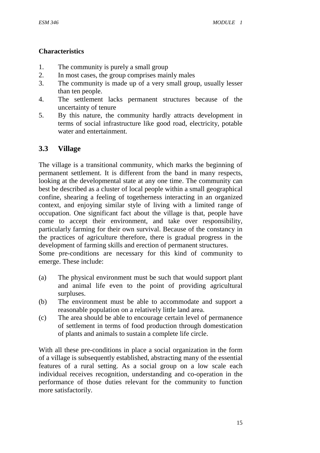#### **Characteristics**

- 1. The community is purely a small group
- 2. In most cases, the group comprises mainly males
- 3. The community is made up of a very small group, usually lesser than ten people.
- 4. The settlement lacks permanent structures because of the uncertainty of tenure
- 5. By this nature, the community hardly attracts development in terms of social infrastructure like good road, electricity, potable water and entertainment.

# **3.3 Village**

The village is a transitional community, which marks the beginning of permanent settlement. It is different from the band in many respects, looking at the developmental state at any one time. The community can best be described as a cluster of local people within a small geographical confine, shearing a feeling of togetherness interacting in an organized context, and enjoying similar style of living with a limited range of occupation. One significant fact about the village is that, people have come to accept their environment, and take over responsibility, particularly farming for their own survival. Because of the constancy in the practices of agriculture therefore, there is gradual progress in the development of farming skills and erection of permanent structures.

Some pre-conditions are necessary for this kind of community to emerge. These include:

- (a) The physical environment must be such that would support plant and animal life even to the point of providing agricultural surpluses.
- (b) The environment must be able to accommodate and support a reasonable population on a relatively little land area.
- (c) The area should be able to encourage certain level of permanence of settlement in terms of food production through domestication of plants and animals to sustain a complete life circle.

With all these pre-conditions in place a social organization in the form of a village is subsequently established, abstracting many of the essential features of a rural setting. As a social group on a low scale each individual receives recognition, understanding and co-operation in the performance of those duties relevant for the community to function more satisfactorily.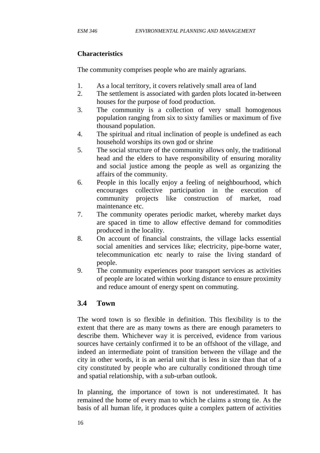#### **Characteristics**

The community comprises people who are mainly agrarians.

- 1. As a local territory, it covers relatively small area of land
- 2. The settlement is associated with garden plots located in-between houses for the purpose of food production.
- 3. The community is a collection of very small homogenous population ranging from six to sixty families or maximum of five thousand population.
- 4. The spiritual and ritual inclination of people is undefined as each household worships its own god or shrine
- 5. The social structure of the community allows only, the traditional head and the elders to have responsibility of ensuring morality and social justice among the people as well as organizing the affairs of the community.
- 6. People in this locally enjoy a feeling of neighbourhood, which encourages collective participation in the execution of community projects like construction of market, road maintenance etc.
- 7. The community operates periodic market, whereby market days are spaced in time to allow effective demand for commodities produced in the locality.
- 8. On account of financial constraints, the village lacks essential social amenities and services like; electricity, pipe-borne water, telecommunication etc nearly to raise the living standard of people.
- 9. The community experiences poor transport services as activities of people are located within working distance to ensure proximity and reduce amount of energy spent on commuting.

# **3.4 Town**

The word town is so flexible in definition. This flexibility is to the extent that there are as many towns as there are enough parameters to describe them. Whichever way it is perceived, evidence from various sources have certainly confirmed it to be an offshoot of the village, and indeed an intermediate point of transition between the village and the city in other words, it is an aerial unit that is less in size than that of a city constituted by people who are culturally conditioned through time and spatial relationship, with a sub-urban outlook.

In planning, the importance of town is not underestimated. It has remained the home of every man to which he claims a strong tie. As the basis of all human life, it produces quite a complex pattern of activities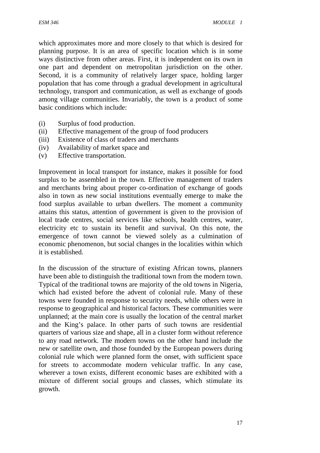which approximates more and more closely to that which is desired for planning purpose. It is an area of specific location which is in some ways distinctive from other areas. First, it is independent on its own in one part and dependent on metropolitan jurisdiction on the other. Second, it is a community of relatively larger space, holding larger population that has come through a gradual development in agricultural technology, transport and communication, as well as exchange of goods among village communities. Invariably, the town is a product of some basic conditions which include:

- (i) Surplus of food production.
- (ii) Effective management of the group of food producers
- (iii) Existence of class of traders and merchants
- (iv) Availability of market space and
- (v) Effective transportation.

Improvement in local transport for instance, makes it possible for food surplus to be assembled in the town. Effective management of traders and merchants bring about proper co-ordination of exchange of goods also in town as new social institutions eventually emerge to make the food surplus available to urban dwellers. The moment a community attains this status, attention of government is given to the provision of local trade centres, social services like schools, health centres, water, electricity etc to sustain its benefit and survival. On this note, the emergence of town cannot be viewed solely as a culmination of economic phenomenon, but social changes in the localities within which it is established.

In the discussion of the structure of existing African towns, planners have been able to distinguish the traditional town from the modern town. Typical of the traditional towns are majority of the old towns in Nigeria, which had existed before the advent of colonial rule. Many of these towns were founded in response to security needs, while others were in response to geographical and historical factors. These communities were unplanned; at the main core is usually the location of the central market and the King's palace. In other parts of such towns are residential quarters of various size and shape, all in a cluster form without reference to any road network. The modern towns on the other hand include the new or satellite own, and those founded by the European powers during colonial rule which were planned form the onset, with sufficient space for streets to accommodate modern vehicular traffic. In any case, wherever a town exists, different economic bases are exhibited with a mixture of different social groups and classes, which stimulate its growth.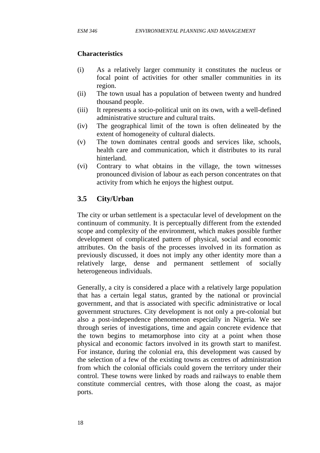#### **Characteristics**

- (i) As a relatively larger community it constitutes the nucleus or focal point of activities for other smaller communities in its region.
- (ii) The town usual has a population of between twenty and hundred thousand people.
- (iii) It represents a socio-political unit on its own, with a well-defined administrative structure and cultural traits.
- (iv) The geographical limit of the town is often delineated by the extent of homogeneity of cultural dialects.
- (v) The town dominates central goods and services like, schools, health care and communication, which it distributes to its rural hinterland.
- (vi) Contrary to what obtains in the village, the town witnesses pronounced division of labour as each person concentrates on that activity from which he enjoys the highest output.

# **3.5 City/Urban**

The city or urban settlement is a spectacular level of development on the continuum of community. It is perceptually different from the extended scope and complexity of the environment, which makes possible further development of complicated pattern of physical, social and economic attributes. On the basis of the processes involved in its formation as previously discussed, it does not imply any other identity more than a relatively large, dense and permanent settlement of socially heterogeneous individuals.

Generally, a city is considered a place with a relatively large population that has a certain legal status, granted by the national or provincial government, and that is associated with specific administrative or local government structures. City development is not only a pre-colonial but also a post-independence phenomenon especially in Nigeria. We see through series of investigations, time and again concrete evidence that the town begins to metamorphose into city at a point when those physical and economic factors involved in its growth start to manifest. For instance, during the colonial era, this development was caused by the selection of a few of the existing towns as centres of administration from which the colonial officials could govern the territory under their control. These towns were linked by roads and railways to enable them constitute commercial centres, with those along the coast, as major ports.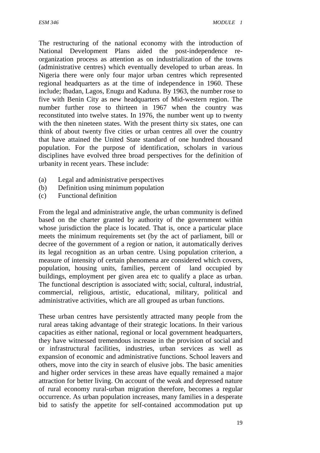The restructuring of the national economy with the introduction of National Development Plans aided the post-independence re organization process as attention as on industrialization of the towns (administrative centres) which eventually developed to urban areas. In Nigeria there were only four major urban centres which represented regional headquarters as at the time of independence in 1960. These include; Ibadan, Lagos, Enugu and Kaduna. By 1963, the number rose to five with Benin City as new headquarters of Mid-western region. The number further rose to thirteen in 1967 when the country was reconstituted into twelve states. In 1976, the number went up to twenty with the then nineteen states. With the present thirty six states, one can think of about twenty five cities or urban centres all over the country that have attained the United State standard of one hundred thousand population. For the purpose of identification, scholars in various disciplines have evolved three broad perspectives for the definition of urbanity in recent years. These include:

- (a) Legal and administrative perspectives
- (b) Definition using minimum population
- (c) Functional definition

From the legal and administrative angle, the urban community is defined based on the charter granted by authority of the government within whose jurisdiction the place is located. That is, once a particular place meets the minimum requirements set (by the act of parliament, bill or decree of the government of a region or nation, it automatically derives its legal recognition as an urban centre. Using population criterion, a measure of intensity of certain phenomena are considered which covers, population, housing units, families, percent of land occupied by buildings, employment per given area etc to qualify a place as urban. The functional description is associated with; social, cultural, industrial, commercial, religious, artistic, educational, military, political and administrative activities, which are all grouped as urban functions.

These urban centres have persistently attracted many people from the rural areas taking advantage of their strategic locations. In their various capacities as either national, regional or local government headquarters, they have witnessed tremendous increase in the provision of social and or infrastructural facilities, industries, urban services as well as expansion of economic and administrative functions. School leavers and others, move into the city in search of elusive jobs. The basic amenities and higher order services in these areas have equally remained a major attraction for better living. On account of the weak and depressed nature of rural economy rural-urban migration therefore, becomes a regular occurrence. As urban population increases, many families in a desperate bid to satisfy the appetite for self-contained accommodation put up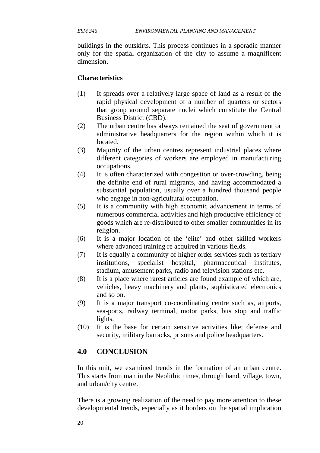buildings in the outskirts. This process continues in a sporadic manner only for the spatial organization of the city to assume a magnificent dimension.

#### **Characteristics**

- (1) It spreads over a relatively large space of land as a result of the rapid physical development of a number of quarters or sectors that group around separate nuclei which constitute the Central Business District (CBD).
- (2) The urban centre has always remained the seat of government or administrative headquarters for the region within which it is located.
- (3) Majority of the urban centres represent industrial places where different categories of workers are employed in manufacturing occupations.
- (4) It is often characterized with congestion or over-crowding, being the definite end of rural migrants, and having accommodated a substantial population, usually over a hundred thousand people who engage in non-agricultural occupation.
- (5) It is a community with high economic advancement in terms of numerous commercial activities and high productive efficiency of goods which are re-distributed to other smaller communities in its religion.
- (6) It is a major location of the 'elite' and other skilled workers where advanced training re acquired in various fields.
- (7) It is equally a community of higher order services such as tertiary institutions, specialist hospital, pharmaceutical institutes, stadium, amusement parks, radio and television stations etc.
- (8) It is a place where rarest articles are found example of which are, vehicles, heavy machinery and plants, sophisticated electronics and so on.
- (9) It is a major transport co-coordinating centre such as, airports, sea-ports, railway terminal, motor parks, bus stop and traffic lights.
- (10) It is the base for certain sensitive activities like; defense and security, military barracks, prisons and police headquarters.

#### **4.0 CONCLUSION**

In this unit, we examined trends in the formation of an urban centre. This starts from man in the Neolithic times, through band, village, town, and urban/city centre.

There is a growing realization of the need to pay more attention to these developmental trends, especially as it borders on the spatial implication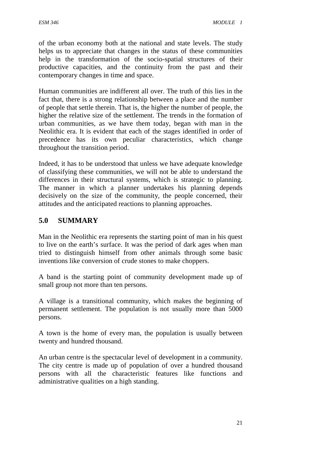of the urban economy both at the national and state levels. The study helps us to appreciate that changes in the status of these communities help in the transformation of the socio-spatial structures of their productive capacities, and the continuity from the past and their contemporary changes in time and space.

Human communities are indifferent all over. The truth of this lies in the fact that, there is a strong relationship between a place and the number of people that settle therein. That is, the higher the number of people, the higher the relative size of the settlement. The trends in the formation of urban communities, as we have them today, began with man in the Neolithic era. It is evident that each of the stages identified in order of precedence has its own peculiar characteristics, which change throughout the transition period.

Indeed, it has to be understood that unless we have adequate knowledge of classifying these communities, we will not be able to understand the differences in their structural systems, which is strategic to planning. The manner in which a planner undertakes his planning depends decisively on the size of the community, the people concerned, their attitudes and the anticipated reactions to planning approaches.

# **5.0 SUMMARY**

Man in the Neolithic era represents the starting point of man in his quest to live on the earth's surface. It was the period of dark ages when man tried to distinguish himself from other animals through some basic inventions like conversion of crude stones to make choppers.

A band is the starting point of community development made up of small group not more than ten persons.

A village is a transitional community, which makes the beginning of permanent settlement. The population is not usually more than 5000 persons.

A town is the home of every man, the population is usually between twenty and hundred thousand.

An urban centre is the spectacular level of development in a community. The city centre is made up of population of over a hundred thousand persons with all the characteristic features like functions and administrative qualities on a high standing.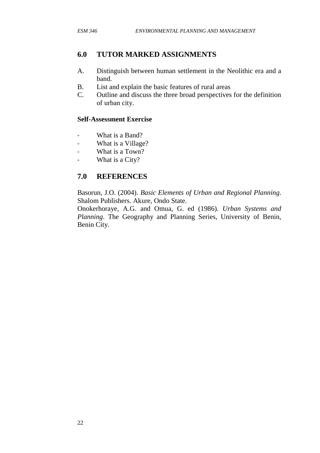# **6.0 TUTOR MARKED ASSIGNMENTS**

- A. Distinguish between human settlement in the Neolithic era and a band.
- B. List and explain the basic features of rural areas
- C. Outline and discuss the three broad perspectives for the definition of urban city.

#### **Self-Assessment Exercise**

- What is a Band?
- What is a Village?
- What is a Town?
- What is a City?

#### **7.0 REFERENCES**

Basorun, J.O. (2004). *Basic Elements of Urban and Regional Planning*. Shalom Publishers. Akure, Ondo State.

Onokerhoraye, A.G. and Omua, G. ed (1986). *Urban Systems and Planning*. The Geography and Planning Series, University of Benin, Benin City.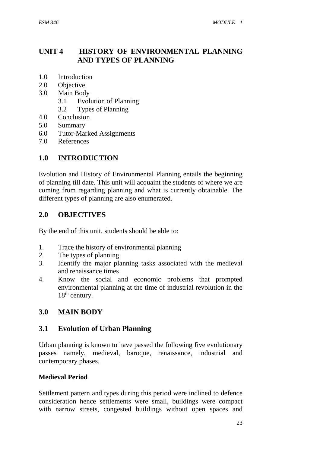#### **UNIT 4 HISTORY OF ENVIRONMENTAL PLANNING AND TYPES OF PLANNING**

- 1.0 Introduction
- 2.0 Objective
- 3.0 Main Body
	- 3.1 Evolution of Planning
	- 3.2 Types of Planning
- 4.0 Conclusion
- 5.0 Summary
- 6.0 Tutor-Marked Assignments
- 7.0 References

# **1.0 INTRODUCTION**

Evolution and History of Environmental Planning entails the beginning of planning till date. This unit will acquaint the students of where we are coming from regarding planning and what is currently obtainable. The different types of planning are also enumerated.

#### **2.0 OBJECTIVES**

By the end of this unit, students should be able to:

- 1. Trace the history of environmental planning
- 2. The types of planning
- 3. Identify the major planning tasks associated with the medieval and renaissance times
- 4. Know the social and economic problems that prompted environmental planning at the time of industrial revolution in the 18<sup>th</sup> century.

#### **3.0 MAIN BODY**

#### **3.1 Evolution of Urban Planning**

Urban planning is known to have passed the following five evolutionary passes namely, medieval, baroque, renaissance, industrial and contemporary phases.

#### **Medieval Period**

Settlement pattern and types during this period were inclined to defence consideration hence settlements were small, buildings were compact with narrow streets, congested buildings without open spaces and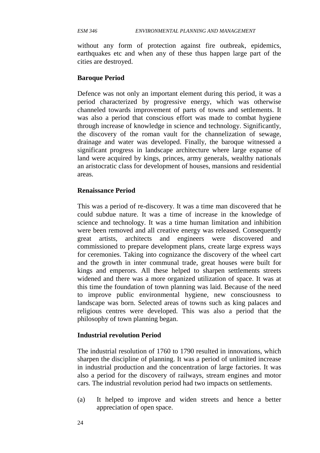without any form of protection against fire outbreak, epidemics, earthquakes etc and when any of these thus happen large part of the cities are destroyed.

#### **Baroque Period**

Defence was not only an important element during this period, it was a period characterized by progressive energy, which was otherwise channeled towards improvement of parts of towns and settlements. It was also a period that conscious effort was made to combat hygiene through increase of knowledge in science and technology. Significantly, the discovery of the roman vault for the channelization of sewage, drainage and water was developed. Finally, the baroque witnessed a significant progress in landscape architecture where large expanse of land were acquired by kings, princes, army generals, wealthy nationals an aristocratic class for development of houses, mansions and residential areas.

#### **Renaissance Period**

This was a period of re-discovery. It was a time man discovered that he could subdue nature. It was a time of increase in the knowledge of science and technology. It was a time human limitation and inhibition were been removed and all creative energy was released. Consequently great artists, architects and engineers were discovered and commissioned to prepare development plans, create large express ways for ceremonies. Taking into cognizance the discovery of the wheel cart and the growth in inter communal trade, great houses were built for kings and emperors. All these helped to sharpen settlements streets widened and there was a more organized utilization of space. It was at this time the foundation of town planning was laid. Because of the need to improve public environmental hygiene, new consciousness to landscape was born. Selected areas of towns such as king palaces and religious centres were developed. This was also a period that the philosophy of town planning began.

#### **Industrial revolution Period**

The industrial resolution of 1760 to 1790 resulted in innovations, which sharpen the discipline of planning. It was a period of unlimited increase in industrial production and the concentration of large factories. It was also a period for the discovery of railways, stream engines and motor cars. The industrial revolution period had two impacts on settlements.

(a) It helped to improve and widen streets and hence a better appreciation of open space.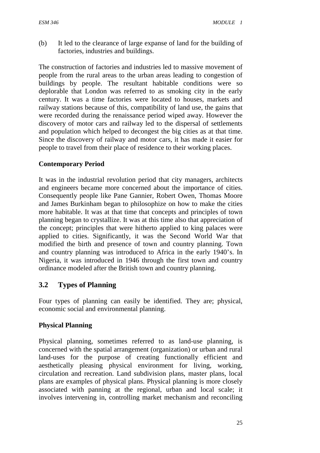(b) It led to the clearance of large expanse of land for the building of factories, industries and buildings.

The construction of factories and industries led to massive movement of people from the rural areas to the urban areas leading to congestion of buildings by people. The resultant habitable conditions were so deplorable that London was referred to as smoking city in the early century. It was a time factories were located to houses, markets and railway stations because of this, compatibility of land use, the gains that were recorded during the renaissance period wiped away. However the discovery of motor cars and railway led to the dispersal of settlements and population which helped to decongest the big cities as at that time. Since the discovery of railway and motor cars, it has made it easier for people to travel from their place of residence to their working places.

#### **Contemporary Period**

It was in the industrial revolution period that city managers, architects and engineers became more concerned about the importance of cities. Consequently people like Pane Gannier, Robert Owen, Thomas Moore and James Burkinham began to philosophize on how to make the cities more habitable. It was at that time that concepts and principles of town planning began to crystallize. It was at this time also that appreciation of the concept; principles that were hitherto applied to king palaces were applied to cities. Significantly, it was the Second World War that modified the birth and presence of town and country planning. Town and country planning was introduced to Africa in the early 1940's. In Nigeria, it was introduced in 1946 through the first town and country ordinance modeled after the British town and country planning.

#### **3.2 Types of Planning**

Four types of planning can easily be identified. They are; physical, economic social and environmental planning.

#### **Physical Planning**

Physical planning, sometimes referred to as land-use planning, is concerned with the spatial arrangement (organization) or urban and rural land-uses for the purpose of creating functionally efficient and aesthetically pleasing physical environment for living, working, circulation and recreation. Land subdivision plans, master plans, local plans are examples of physical plans. Physical planning is more closely associated with panning at the regional, urban and local scale; it involves intervening in, controlling market mechanism and reconciling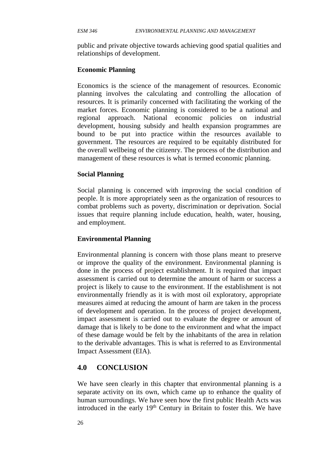public and private objective towards achieving good spatial qualities and relationships of development.

#### **Economic Planning**

Economics is the science of the management of resources. Economic planning involves the calculating and controlling the allocation of resources. It is primarily concerned with facilitating the working of the market forces. Economic planning is considered to be a national and regional approach. National economic policies on industrial development, housing subsidy and health expansion programmes are bound to be put into practice within the resources available to government. The resources are required to be equitably distributed for the overall wellbeing of the citizenry. The process of the distribution and management of these resources is what is termed economic planning.

#### **Social Planning**

Social planning is concerned with improving the social condition of people. It is more appropriately seen as the organization of resources to combat problems such as poverty, discrimination or deprivation. Social issues that require planning include education, health, water, housing, and employment.

#### **Environmental Planning**

Environmental planning is concern with those plans meant to preserve or improve the quality of the environment. Environmental planning is done in the process of project establishment. It is required that impact assessment is carried out to determine the amount of harm or success a project is likely to cause to the environment. If the establishment is not environmentally friendly as it is with most oil exploratory, appropriate measures aimed at reducing the amount of harm are taken in the process of development and operation. In the process of project development, impact assessment is carried out to evaluate the degree or amount of damage that is likely to be done to the environment and what the impact of these damage would be felt by the inhabitants of the area in relation to the derivable advantages. This is what is referred to as Environmental Impact Assessment (EIA).

#### **4.0 CONCLUSION**

We have seen clearly in this chapter that environmental planning is a separate activity on its own, which came up to enhance the quality of human surroundings. We have seen how the first public Health Acts was introduced in the early  $19<sup>th</sup>$  Century in Britain to foster this. We have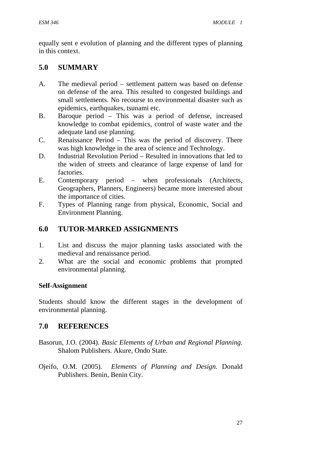equally sent e evolution of planning and the different types of planning in this context.

# **5.0 SUMMARY**

- A. The medieval period settlement pattern was based on defense on defense of the area. This resulted to congested buildings and small settlements. No recourse to environmental disaster such as epidemics, earthquakes, tsunami etc.
- B. Baroque period This was a period of defense, increased knowledge to combat epidemics, control of waste water and the adequate land use planning.
- C. Renaissance Period This was the period of discovery. There was high knowledge in the area of science and Technology.
- D. Industrial Revolution Period Resulted in innovations that led to the widen of streets and clearance of large expense of land for factories.
- E. Contemporary period when professionals (Architects, Geographers, Planners, Engineers) became more interested about the importance of cities.
- F. Types of Planning range from physical, Economic, Social and Environment Planning.

# **6.0 TUTOR-MARKED ASSIGNMENTS**

- 1. List and discuss the major planning tasks associated with the medieval and renaissance period.
- 2. What are the social and economic problems that prompted environmental planning.

# **Self-Assignment**

Students should know the different stages in the development of environmental planning.

# **7.0 REFERENCES**

- Basorun, J.O. (2004). *Basic Elements of Urban and Regional Planning.* Shalom Publishers. Akure, Ondo State.
- Ojeifo, O.M. (2005). *Elements of Planning and Design.* Donald Publishers. Benin, Benin City.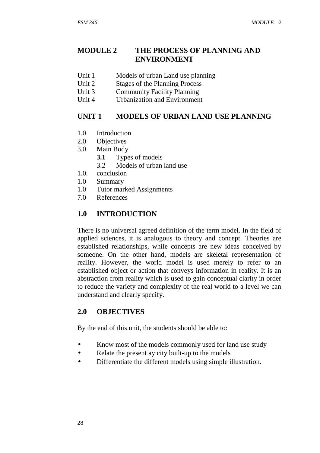# **MODULE 2 THE PROCESS OF PLANNING AND ENVIRONMENT**

- Unit 1 Models of urban Land use planning
- Unit 2 Stages of the Planning Process
- Unit 3 Community Facility Planning
- Unit 4 Urbanization and Environment

# **UNIT 1 MODELS OF URBAN LAND USE PLANNING**

- 1.0 Introduction
- 2.0 Objectives
- 3.0 Main Body
	- **3.1** Types of models
	- 3.2 Models of urban land use
- 1.0. conclusion
- 1.0 Summary
- 1.0 Tutor marked Assignments
- 7.0 References

# **1.0 INTRODUCTION**

There is no universal agreed definition of the term model. In the field of applied sciences, it is analogous to theory and concept. Theories are established relationships, while concepts are new ideas conceived by someone. On the other hand, models are skeletal representation of reality. However, the world model is used merely to refer to an established object or action that conveys information in reality. It is an abstraction from reality which is used to gain conceptual clarity in order to reduce the variety and complexity of the real world to a level we can understand and clearly specify.

# **2.0 OBJECTIVES**

By the end of this unit, the students should be able to:

- Know most of the models commonly used for land use study
- Relate the present ay city built-up to the models
- Differentiate the different models using simple illustration.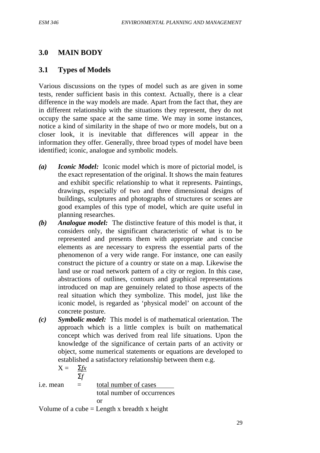# **3.0 MAIN BODY**

## **3.1 Types of Models**

Various discussions on the types of model such as are given in some tests, render sufficient basis in this context. Actually, there is a clear difference in the way models are made. Apart from the fact that, they are in different relationship with the situations they represent, they do not occupy the same space at the same time. We may in some instances, notice a kind of similarity in the shape of two or more models, but on a closer look, it is inevitable that differences will appear in the information they offer. Generally, three broad types of model have been identified; iconic, analogue and symbolic models.

- *(a) Iconic Model:* Iconic model which is more of pictorial model, is the exact representation of the original. It shows the main features and exhibit specific relationship to what it represents. Paintings, drawings, especially of two and three dimensional designs of buildings, sculptures and photographs of structures or scenes are good examples of this type of model, which are quite useful in planning researches.
- *(b) Analogue model:* The distinctive feature of this model is that, it considers only, the significant characteristic of what is to be represented and presents them with appropriate and concise elements as are necessary to express the essential parts of the phenomenon of a very wide range. For instance, one can easily construct the picture of a country or state on a map. Likewise the land use or road network pattern of a city or region. In this case, abstractions of outlines, contours and graphical representations introduced on map are genuinely related to those aspects of the real situation which they symbolize. This model, just like the iconic model, is regarded as 'physical model' on account of the concrete posture.
- *(c) Symbolic model:* This model is of mathematical orientation. The approach which is a little complex is built on mathematical concept which was derived from real life situations. Upon the knowledge of the significance of certain parts of an activity or object, some numerical statements or equations are developed to established a satisfactory relationship between them e.g.

$$
X = \frac{\sum fx}{\sum f}
$$

i.e. mean  $=$  total number of cases total number of occurrences or

Volume of a cube  $=$  Length x breadth x height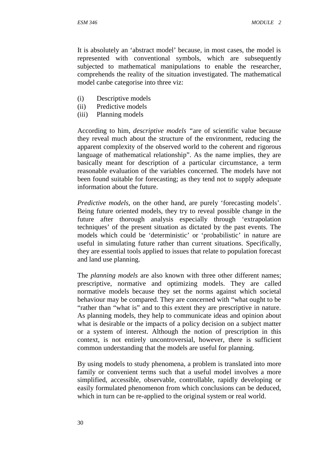It is absolutely an 'abstract model' because, in most cases, the model is represented with conventional symbols, which are subsequently subjected to mathematical manipulations to enable the researcher, comprehends the reality of the situation investigated. The mathematical model canbe categorise into three viz:

- (i) Descriptive models
- (ii) Predictive models
- (iii) Planning models

According to him, *descriptive models "*are of scientific value because they reveal much about the structure of the environment, reducing the apparent complexity of the observed world to the coherent and rigorous language of mathematical relationship". As the name implies, they are basically meant for description of a particular circumstance, a term reasonable evaluation of the variables concerned. The models have not been found suitable for forecasting; as they tend not to supply adequate information about the future.

*Predictive models,* on the other hand, are purely 'forecasting models'. Being future oriented models, they try to reveal possible change in the future after thorough analysis especially through 'extrapolation techniques' of the present situation as dictated by the past events. The models which could be 'deterministic' or 'probabilistic' in nature are useful in simulating future rather than current situations. Specifically, they are essential tools applied to issues that relate to population forecast and land use planning.

The *planning models* are also known with three other different names; prescriptive, normative and optimizing models. They are called normative models because they set the norms against which societal behaviour may be compared. They are concerned with "what ought to be "rather than "what is" and to this extent they are prescriptive in nature. As planning models, they help to communicate ideas and opinion about what is desirable or the impacts of a policy decision on a subject matter or a system of interest. Although the notion of prescription in this context, is not entirely uncontroversial, however, there is sufficient common understanding that the models are useful for planning.

By using models to study phenomena, a problem is translated into more family or convenient terms such that a useful model involves a more simplified, accessible, observable, controllable, rapidly developing or easily formulated phenomenon from which conclusions can be deduced, which in turn can be re-applied to the original system or real world.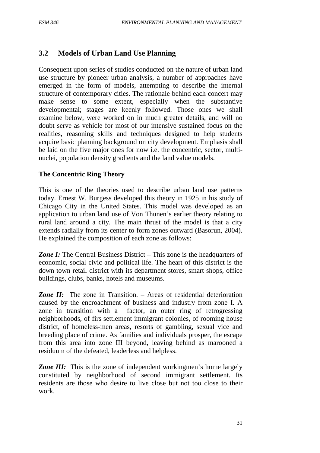# **3.2 Models of Urban Land Use Planning**

Consequent upon series of studies conducted on the nature of urban land use structure by pioneer urban analysis, a number of approaches have emerged in the form of models, attempting to describe the internal structure of contemporary cities. The rationale behind each concert may make sense to some extent, especially when the substantive developmental; stages are keenly followed. Those ones we shall examine below, were worked on in much greater details, and will no doubt serve as vehicle for most of our intensive sustained focus on the realities, reasoning skills and techniques designed to help students acquire basic planning background on city development. Emphasis shall be laid on the five major ones for now i.e. the concentric, sector, multi nuclei, population density gradients and the land value models.

### **The Concentric Ring Theory**

This is one of the theories used to describe urban land use patterns today. Ernest W. Burgess developed this theory in 1925 in his study of Chicago City in the United States. This model was developed as an application to urban land use of Von Thunen's earlier theory relating to rural land around a city. The main thrust of the model is that a city extends radially from its center to form zones outward (Basorun, 2004). He explained the composition of each zone as follows:

**Zone I:** The Central Business District – This zone is the headquarters of economic, social civic and political life. The heart of this district is the down town retail district with its department stores, smart shops, office buildings, clubs, banks, hotels and museums.

**Zone II:** The zone in Transition. – Areas of residential deterioration caused by the encroachment of business and industry from zone I. A zone in transition with a factor, an outer ring of retrogressing neighborhoods, of firs settlement immigrant colonies, of rooming house district, of homeless-men areas, resorts of gambling, sexual vice and breeding place of crime. As families and individuals prosper, the escape from this area into zone III beyond, leaving behind as marooned a residuum of the defeated, leaderless and helpless.

**Zone III:** This is the zone of independent workingmen's home largely constituted by neighborhood of second immigrant settlement. Its residents are those who desire to live close but not too close to their work.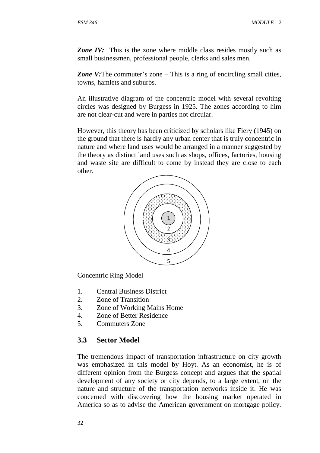**Zone IV:** This is the zone where middle class resides mostly such as small businessmen, professional people, clerks and sales men.

**Zone V:**The commuter's zone – This is a ring of encircling small cities, towns, hamlets and suburbs.

An illustrative diagram of the concentric model with several revolting circles was designed by Burgess in 1925. The zones according to him are not clear-cut and were in parties not circular.

However, this theory has been criticized by scholars like Fiery (1945) on the ground that there is hardly any urban center that is truly concentric in nature and where land uses would be arranged in a manner suggested by the theory as distinct land uses such as shops, offices, factories, housing and waste site are difficult to come by instead they are close to each other.



Concentric Ring Model

- 1. Central Business District
- 2. Zone of Transition
- 3. Zone of Working Mains Home
- 4. Zone of Better Residence
- 5. Commuters Zone

# **3.3 Sector Model**

The tremendous impact of transportation infrastructure on city growth was emphasized in this model by Hoyt. As an economist, he is of different opinion from the Burgess concept and argues that the spatial development of any society or city depends, to a large extent, on the nature and structure of the transportation networks inside it. He was concerned with discovering how the housing market operated in America so as to advise the American government on mortgage policy.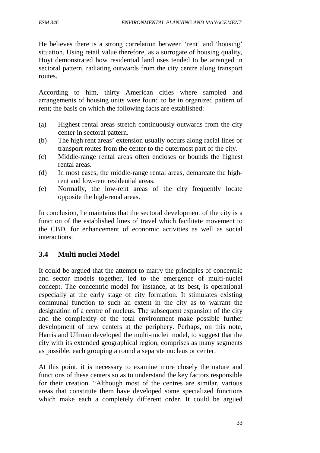He believes there is a strong correlation between 'rent' and 'housing' situation. Using retail value therefore, as a surrogate of housing quality, Hoyt demonstrated how residential land uses tended to be arranged in sectoral pattern, radiating outwards from the city centre along transport routes.

According to him, thirty American cities where sampled and arrangements of housing units were found to be in organized pattern of rent; the basis on which the following facts are established:

- (a) Highest rental areas stretch continuously outwards from the city center in sectoral pattern.
- (b) The high rent areas' extension usually occurs along racial lines or transport routes from the center to the outermost part of the city.
- (c) Middle-range rental areas often encloses or bounds the highest rental areas.
- (d) In most cases, the middle-range rental areas, demarcate the highrent and low-rent residential areas.
- (e) Normally, the low-rent areas of the city frequently locate opposite the high-renal areas.

In conclusion, he maintains that the sectoral development of the city is a function of the established lines of travel which facilitate movement to the CBD, for enhancement of economic activities as well as social interactions.

# **3.4 Multi nuclei Model**

It could be argued that the attempt to marry the principles of concentric and sector models together, led to the emergence of multi-nuclei concept. The concentric model for instance, at its best, is operational especially at the early stage of city formation. It stimulates existing communal function to such an extent in the city as to warrant the designation of a centre of nucleus. The subsequent expansion of the city and the complexity of the total environment make possible further development of new centers at the periphery. Perhaps, on this note, Harris and Ullman developed the multi-nuclei model, to suggest that the city with its extended geographical region, comprises as many segments as possible, each grouping a round a separate nucleus or center.

At this point, it is necessary to examine more closely the nature and functions of these centers so as to understand the key factors responsible for their creation. "Although most of the centres are similar, various areas that constitute them have developed some specialized functions which make each a completely different order. It could be argued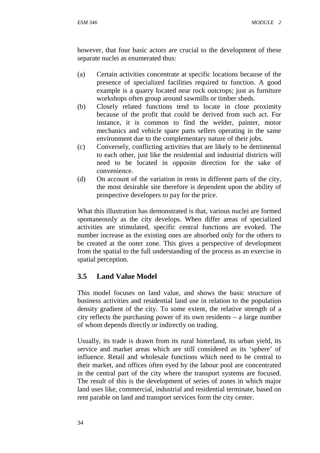however, that four basic actors are crucial to the development of these separate nuclei as enumerated thus:

- (a) Certain activities concentrate at specific locations because of the presence of specialized facilities required to function. A good example is a quarry located near rock outcrops; just as furniture workshops often group around sawmills or timber sheds.
- (b) Closely related functions tend to locate in close proximity because of the profit that could be derived from such act. For instance, it is common to find the welder, painter, motor mechanics and vehicle spare parts sellers operating in the same environment due to the complementary nature of their jobs.
- (c) Conversely, conflicting activities that are likely to be detrimental to each other, just like the residential and industrial districts will need to be located in opposite direction for the sake of convenience.
- (d) On account of the variation in rents in different parts of the city, the most desirable site therefore is dependent upon the ability of prospective developers to pay for the price.

What this illustration has demonstrated is that, various nuclei are formed spontaneously as the city develops. When differ areas of specialized activities are stimulated, specific central functions are evoked. The number increase as the existing ones are absorbed only for the others to be created at the outer zone. This gives a perspective of development from the spatial to the full understanding of the process as an exercise in spatial perception.

# **3.5 Land Value Model**

This model focuses on land value, and shows the basic structure of business activities and residential land use in relation to the population density gradient of the city. To some extent, the relative strength of a city reflects the purchasing power of its own residents – a large number of whom depends directly or indirectly on trading.

Usually, its trade is drawn from its rural hinterland, its urban yield, its service and market areas which are still considered as its 'sphere' of influence. Retail and wholesale functions which need to be central to their market, and offices often eyed by the labour pool are concentrated in the central part of the city where the transport systems are focused. The result of this is the development of series of zones in which major land uses like, commercial, industrial and residential terminate, based on rent parable on land and transport services form the city center.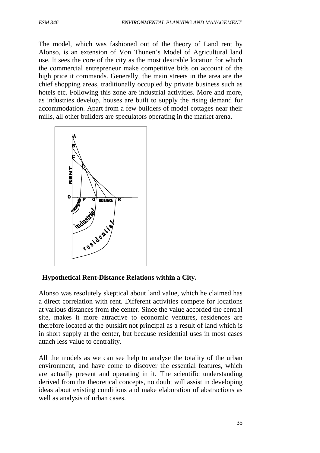The model, which was fashioned out of the theory of Land rent by Alonso, is an extension of Von Thunen's Model of Agricultural land use. It sees the core of the city as the most desirable location for which the commercial entrepreneur make competitive bids on account of the high price it commands. Generally, the main streets in the area are the chief shopping areas, traditionally occupied by private business such as hotels etc. Following this zone are industrial activities. More and more, as industries develop, houses are built to supply the rising demand for accommodation. Apart from a few builders of model cottages near their mills, all other builders are speculators operating in the market arena.



### **Hypothetical Rent-Distance Relations within a City.**

Alonso was resolutely skeptical about land value, which he claimed has a direct correlation with rent. Different activities compete for locations at various distances from the center. Since the value accorded the central site, makes it more attractive to economic ventures, residences are therefore located at the outskirt not principal as a result of land which is in short supply at the center, but because residential uses in most cases attach less value to centrality.

All the models as we can see help to analyse the totality of the urban environment, and have come to discover the essential features, which are actually present and operating in it. The scientific understanding derived from the theoretical concepts, no doubt will assist in developing ideas about existing conditions and make elaboration of abstractions as well as analysis of urban cases.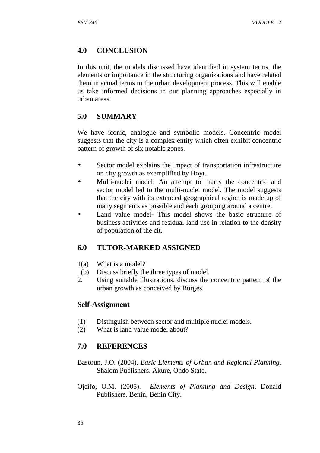# **4.0 CONCLUSION**

In this unit, the models discussed have identified in system terms, the elements or importance in the structuring organizations and have related them in actual terms to the urban development process. This will enable us take informed decisions in our planning approaches especially in urban areas.

# **5.0 SUMMARY**

We have iconic, analogue and symbolic models. Concentric model suggests that the city is a complex entity which often exhibit concentric pattern of growth of six notable zones.

- Sector model explains the impact of transportation infrastructure on city growth as exemplified by Hoyt.
- Multi-nuclei model: An attempt to marry the concentric and sector model led to the multi-nuclei model. The model suggests that the city with its extended geographical region is made up of many segments as possible and each grouping around a centre.
- Land value model- This model shows the basic structure of business activities and residual land use in relation to the density of population of the cit.

# **6.0 TUTOR-MARKED ASSIGNED**

- 1(a) What is a model?
- (b) Discuss briefly the three types of model.
- 2. Using suitable illustrations, discuss the concentric pattern of the urban growth as conceived by Burges.

# **Self-Assignment**

- (1) Distinguish between sector and multiple nuclei models.
- (2) What is land value model about?

# **7.0 REFERENCES**

Basorun, J.O. (2004). *Basic Elements of Urban and Regional Planning*. Shalom Publishers. Akure, Ondo State.

Ojeifo, O.M. (2005). *Elements of Planning and Design*. Donald Publishers. Benin, Benin City.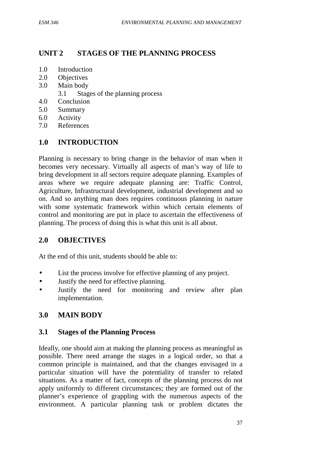# **UNIT 2 STAGES OF THE PLANNING PROCESS**

- 1.0 Introduction
- 2.0 Objectives
- 3.0 Main body
	- 3.1 Stages of the planning process
- 4.0 Conclusion
- 5.0 Summary
- 6.0 Activity
- 7.0 References

# **1.0 INTRODUCTION**

Planning is necessary to bring change in the behavior of man when it becomes very necessary. Virtually all aspects of man's way of life to bring development in all sectors require adequate planning. Examples of areas where we require adequate planning are: Traffic Control, Agriculture, Infrastructural development, industrial development and so on. And so anything man does requires continuous planning in nature with some systematic framework within which certain elements of control and monitoring are put in place to ascertain the effectiveness of planning. The process of doing this is what this unit is all about.

# **2.0 OBJECTIVES**

At the end of this unit, students should be able to:

- List the process involve for effective planning of any project.
- Justify the need for effective planning.
- Justify the need for monitoring and review after plan implementation.

# **3.0 MAIN BODY**

### **3.1 Stages of the Planning Process**

Ideally, one should aim at making the planning process as meaningful as possible. There need arrange the stages in a logical order, so that a common principle is maintained, and that the changes envisaged in a particular situation will have the potentiality of transfer to related situations. As a matter of fact, concepts of the planning process do not apply uniformly to different circumstances; they are formed out of the planner's experience of grappling with the numerous aspects of the environment. A particular planning task or problem dictates the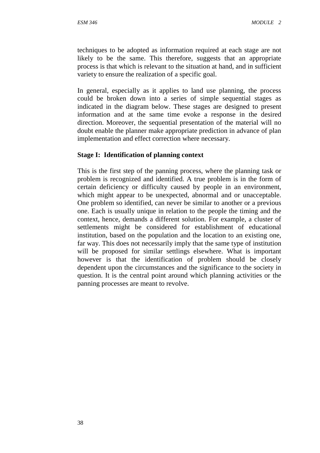techniques to be adopted as information required at each stage are not likely to be the same. This therefore, suggests that an appropriate process is that which is relevant to the situation at hand, and in sufficient variety to ensure the realization of a specific goal.

In general, especially as it applies to land use planning, the process could be broken down into a series of simple sequential stages as indicated in the diagram below. These stages are designed to present information and at the same time evoke a response in the desired direction. Moreover, the sequential presentation of the material will no doubt enable the planner make appropriate prediction in advance of plan implementation and effect correction where necessary.

### **Stage I: Identification of planning context**

This is the first step of the panning process, where the planning task or problem is recognized and identified. A true problem is in the form of certain deficiency or difficulty caused by people in an environment, which might appear to be unexpected, abnormal and or unacceptable. One problem so identified, can never be similar to another or a previous one. Each is usually unique in relation to the people the timing and the context, hence, demands a different solution. For example, a cluster of settlements might be considered for establishment of educational institution, based on the population and the location to an existing one, far way. This does not necessarily imply that the same type of institution will be proposed for similar settlings elsewhere. What is important however is that the identification of problem should be closely dependent upon the circumstances and the significance to the society in question. It is the central point around which planning activities or the panning processes are meant to revolve.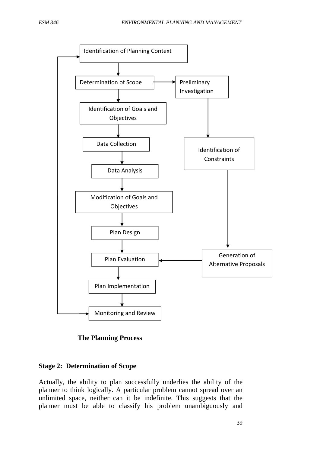

**The Planning Process**

# **Stage 2: Determination of Scope**

Actually, the ability to plan successfully underlies the ability of the planner to think logically. A particular problem cannot spread over an unlimited space, neither can it be indefinite. This suggests that the planner must be able to classify his problem unambiguously and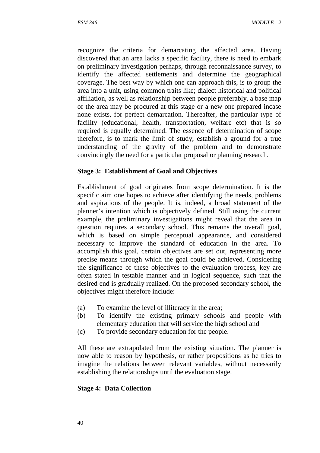recognize the criteria for demarcating the affected area. Having discovered that an area lacks a specific facility, there is need to embark on preliminary investigation perhaps, through reconnaissance survey, to identify the affected settlements and determine the geographical coverage. The best way by which one can approach this, is to group the area into a unit, using common traits like; dialect historical and political affiliation, as well as relationship between people preferably, a base map of the area may be procured at this stage or a new one prepared incase none exists, for perfect demarcation. Thereafter, the particular type of facility (educational, health, transportation, welfare etc) that is so required is equally determined. The essence of determination of scope therefore, is to mark the limit of study, establish a ground for a true understanding of the gravity of the problem and to demonstrate convincingly the need for a particular proposal or planning research.

#### **Stage 3: Establishment of Goal and Objectives**

Establishment of goal originates from scope determination. It is the specific aim one hopes to achieve after identifying the needs, problems and aspirations of the people. It is, indeed, a broad statement of the planner's intention which is objectively defined. Still using the current example, the preliminary investigations might reveal that the area in question requires a secondary school. This remains the overall goal, which is based on simple perceptual appearance, and considered necessary to improve the standard of education in the area. To accomplish this goal, certain objectives are set out, representing more precise means through which the goal could be achieved. Considering the significance of these objectives to the evaluation process, key are often stated in testable manner and in logical sequence, such that the desired end is gradually realized. On the proposed secondary school, the objectives might therefore include:

- (a) To examine the level of illiteracy in the area;
- (b) To identify the existing primary schools and people with elementary education that will service the high school and
- (c) To provide secondary education for the people.

All these are extrapolated from the existing situation. The planner is now able to reason by hypothesis, or rather propositions as he tries to imagine the relations between relevant variables, without necessarily establishing the relationships until the evaluation stage.

#### **Stage 4: Data Collection**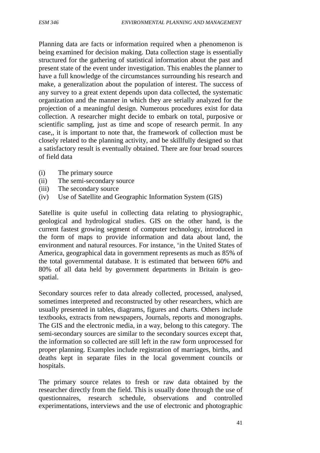Planning data are facts or information required when a phenomenon is being examined for decision making. Data collection stage is essentially structured for the gathering of statistical information about the past and present state of the event under investigation. This enables the planner to have a full knowledge of the circumstances surrounding his research and make, a generalization about the population of interest. The success of any survey to a great extent depends upon data collected, the systematic organization and the manner in which they are serially analyzed for the projection of a meaningful design. Numerous procedures exist for data collection. A researcher might decide to embark on total, purposive or scientific sampling, just as time and scope of research permit. In any case,, it is important to note that, the framework of collection must be closely related to the planning activity, and be skillfully designed so that a satisfactory result is eventually obtained. There are four broad sources of field data

- (i) The primary source
- (ii) The semi-secondary source
- (iii) The secondary source
- (iv) Use of Satellite and Geographic Information System (GIS)

Satellite is quite useful in collecting data relating to physiographic, geological and hydrological studies. GIS on the other hand, is the current fastest growing segment of computer technology, introduced in the form of maps to provide information and data about land, the environment and natural resources. For instance, 'in the United States of America, geographical data in government represents as much as 85% of the total governmental database. It is estimated that between 60% and 80% of all data held by government departments in Britain is geo spatial.

Secondary sources refer to data already collected, processed, analysed, sometimes interpreted and reconstructed by other researchers, which are usually presented in tables, diagrams, figures and charts. Others include textbooks, extracts from newspapers, Journals, reports and monographs. The GIS and the electronic media, in a way, belong to this category. The semi-secondary sources are similar to the secondary sources except that, the information so collected are still left in the raw form unprocessed for proper planning. Examples include registration of marriages, births, and deaths kept in separate files in the local government councils or hospitals.

The primary source relates to fresh or raw data obtained by the researcher directly from the field. This is usually done through the use of questionnaires, research schedule, observations and controlled experimentations, interviews and the use of electronic and photographic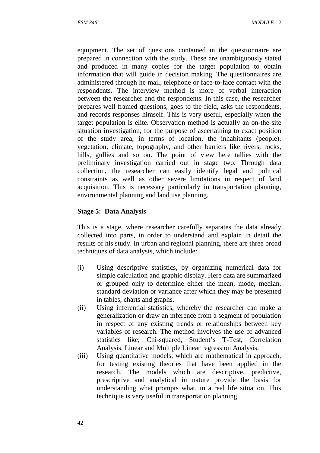equipment. The set of questions contained in the questionnaire are prepared in connection with the study. These are unambiguously stated and produced in many copies for the target population to obtain information that will guide in decision making. The questionnaires are administered through he mail, telephone or face-to-face contact with the respondents. The interview method is more of verbal interaction between the researcher and the respondents. In this case, the researcher prepares well framed questions, goes to the field, asks the respondents, and records responses himself. This is very useful, especially when the target population is elite. Observation method is actually an on-the-site situation investigation, for the purpose of ascertaining to exact position of the study area, in terms of location, the inhabitants (people), vegetation, climate, topography, and other barriers like rivers, rocks, hills, gullies and so on. The point of view here tallies with the preliminary investigation carried out in stage two. Through data collection, the researcher can easily identify legal and political constraints as well as other severe limitations in respect of land acquisition. This is necessary particularly in transportation planning, environmental planning and land use planning.

#### **Stage 5: Data Analysis**

This is a stage, where researcher carefully separates the data already collected into parts, in order to understand and explain in detail the results of his study. In urban and regional planning, there are three broad techniques of data analysis, which include:

- (i) Using descriptive statistics, by organizing numerical data for simple calculation and graphic display. Here data are summarized or grouped only to determine either the mean, mode, median, standard deviation or variance after which they may be presented in tables, charts and graphs.
- (ii) Using inferential statistics, whereby the researcher can make a generalization or draw an inference from a segment of population in respect of any existing trends or relationships between key variables of research. The method involves the use of advanced statistics like; Chi-squared, Student's T-Test, Correlation Analysis, Linear and Multiple Linear regression Analysis.
- (iii) Using quantitative models, which are mathematical in approach, for testing existing theories that have been applied in the research. The models which are descriptive, predictive, prescriptive and analytical in nature provide the basis for understanding what prompts what, in a real life situation. This technique is very useful in transportation planning.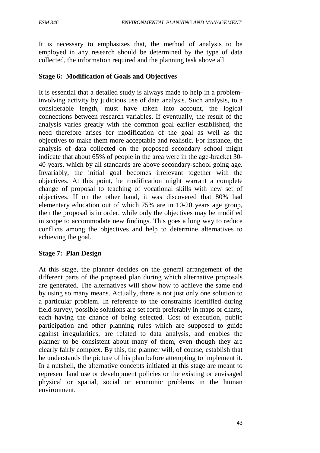It is necessary to emphasizes that, the method of analysis to be employed in any research should be determined by the type of data collected, the information required and the planning task above all.

#### **Stage 6: Modification of Goals and Objectives**

It is essential that a detailed study is always made to help in a probleminvolving activity by judicious use of data analysis. Such analysis, to a considerable length, must have taken into account, the logical connections between research variables. If eventually, the result of the analysis varies greatly with the common goal earlier established, the need therefore arises for modification of the goal as well as the objectives to make them more acceptable and realistic. For instance, the analysis of data collected on the proposed secondary school might indicate that about 65% of people in the area were in the age-bracket 30- 40 years, which by all standards are above secondary-school going age. Invariably, the initial goal becomes irrelevant together with the objectives. At this point, he modification might warrant a complete change of proposal to teaching of vocational skills with new set of objectives. If on the other hand, it was discovered that 80% had elementary education out of which 75% are in 10-20 years age group, then the proposal is in order, while only the objectives may be modified in scope to accommodate new findings. This goes a long way to reduce conflicts among the objectives and help to determine alternatives to achieving the goal.

#### **Stage 7: Plan Design**

At this stage, the planner decides on the general arrangement of the different parts of the proposed plan during which alternative proposals are generated. The alternatives will show how to achieve the same end by using so many means. Actually, there is not just only one solution to a particular problem. In reference to the constraints identified during field survey, possible solutions are set forth preferably in maps or charts, each having the chance of being selected. Cost of execution, public participation and other planning rules which are supposed to guide against irregularities, are related to data analysis, and enables the planner to be consistent about many of them, even though they are clearly fairly complex. By this, the planner will, of course, establish that he understands the picture of his plan before attempting to implement it. In a nutshell, the alternative concepts initiated at this stage are meant to represent land use or development policies or the existing or envisaged physical or spatial, social or economic problems in the human environment.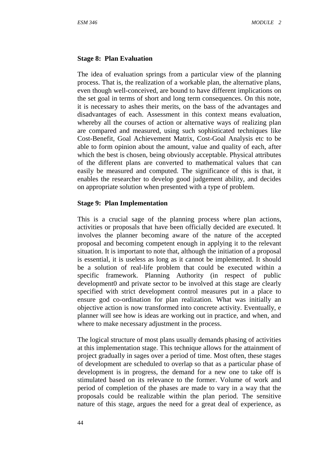#### **Stage 8: Plan Evaluation**

The idea of evaluation springs from a particular view of the planning process. That is, the realization of a workable plan, the alternative plans, even though well-conceived, are bound to have different implications on the set goal in terms of short and long term consequences. On this note, it is necessary to ashes their merits, on the bass of the advantages and disadvantages of each. Assessment in this context means evaluation, whereby all the courses of action or alternative ways of realizing plan are compared and measured, using such sophisticated techniques like Cost-Benefit, Goal Achievement Matrix, Cost-Goal Analysis etc to be able to form opinion about the amount, value and quality of each, after which the best is chosen, being obviously acceptable. Physical attributes of the different plans are converted to mathematical values that can easily be measured and computed. The significance of this is that, it enables the researcher to develop good judgement ability, and decides on appropriate solution when presented with a type of problem.

#### **Stage 9: Plan Implementation**

This is a crucial sage of the planning process where plan actions, activities or proposals that have been officially decided are executed. It involves the planner becoming aware of the nature of the accepted proposal and becoming competent enough in applying it to the relevant situation. It is important to note that, although the initiation of a proposal is essential, it is useless as long as it cannot be implemented. It should be a solution of real-life problem that could be executed within a specific framework. Planning Authority (in respect of public development0 and private sector to be involved at this stage are clearly specified with strict development control measures put in a place to ensure god co-ordination for plan realization. What was initially an objective action is now transformed into concrete activity. Eventually, e planner will see how is ideas are working out in practice, and when, and where to make necessary adjustment in the process.

The logical structure of most plans usually demands phasing of activities at this implementation stage. This technique allows for the attainment of project gradually in sages over a period of time. Most often, these stages of development are scheduled to overlap so that as a particular phase of development is in progress, the demand for a new one to take off is stimulated based on its relevance to the former. Volume of work and period of completion of the phases are made to vary in a way that the proposals could be realizable within the plan period. The sensitive nature of this stage, argues the need for a great deal of experience, as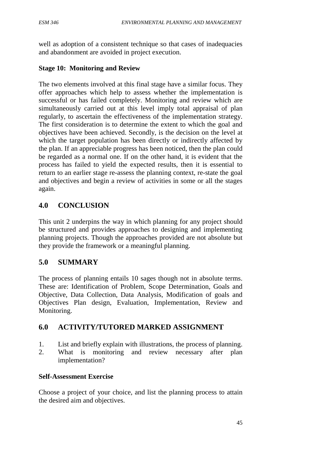well as adoption of a consistent technique so that cases of inadequacies and abandonment are avoided in project execution.

## **Stage 10: Monitoring and Review**

The two elements involved at this final stage have a similar focus. They offer approaches which help to assess whether the implementation is successful or has failed completely. Monitoring and review which are simultaneously carried out at this level imply total appraisal of plan regularly, to ascertain the effectiveness of the implementation strategy. The first consideration is to determine the extent to which the goal and objectives have been achieved. Secondly, is the decision on the level at which the target population has been directly or indirectly affected by the plan. If an appreciable progress has been noticed, then the plan could be regarded as a normal one. If on the other hand, it is evident that the process has failed to yield the expected results, then it is essential to return to an earlier stage re-assess the planning context, re-state the goal and objectives and begin a review of activities in some or all the stages again.

# **4.0 CONCLUSION**

This unit 2 underpins the way in which planning for any project should be structured and provides approaches to designing and implementing planning projects. Though the approaches provided are not absolute but they provide the framework or a meaningful planning.

# **5.0 SUMMARY**

The process of planning entails 10 sages though not in absolute terms. These are: Identification of Problem, Scope Determination, Goals and Objective, Data Collection, Data Analysis, Modification of goals and Objectives Plan design, Evaluation, Implementation, Review and Monitoring.

# **6.0 ACTIVITY/TUTORED MARKED ASSIGNMENT**

- 1. List and briefly explain with illustrations, the process of planning.
- 2. What is monitoring and review necessary after plan implementation?

### **Self-Assessment Exercise**

Choose a project of your choice, and list the planning process to attain the desired aim and objectives.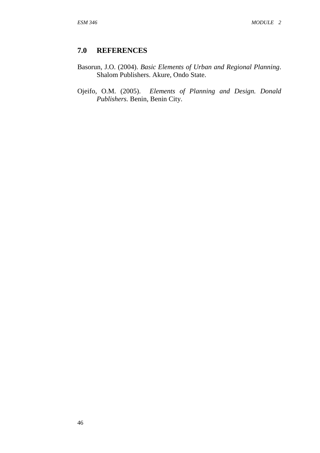### **7.0 REFERENCES**

- Basorun, J.O. (2004). *Basic Elements of Urban and Regional Planning*. Shalom Publishers. Akure, Ondo State.
- Ojeifo, O.M. (2005). *Elements of Planning and Design. Donald Publishers.* Benin, Benin City.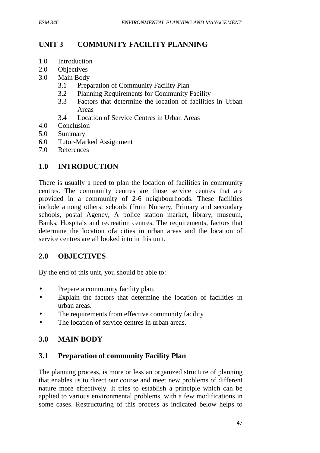# **UNIT 3 COMMUNITY FACILITY PLANNING**

- 1.0 Introduction
- 2.0 Objectives
- 3.0 Main Body
	- 3.1 Preparation of Community Facility Plan
	- 3.2 Planning Requirements for Community Facility
	- 3.3 Factors that determine the location of facilities in Urban Areas
	- 3.4 Location of Service Centres in Urban Areas
- 4.0 Conclusion
- 5.0 Summary
- 6.0 Tutor-Marked Assignment
- 7.0 References

# **1.0 INTRODUCTION**

There is usually a need to plan the location of facilities in community centres. The community centres are those service centres that are provided in a community of 2-6 neighbourhoods. These facilities include among others: schools (from Nursery, Primary and secondary schools, postal Agency, A police station market, library, museum, Banks, Hospitals and recreation centres. The requirements, factors that determine the location ofa cities in urban areas and the location of service centres are all looked into in this unit.

# **2.0 OBJECTIVES**

By the end of this unit, you should be able to:

- Prepare a community facility plan.
- Explain the factors that determine the location of facilities in urban areas.
- The requirements from effective community facility
- The location of service centres in urban areas.

# **3.0 MAIN BODY**

### **3.1 Preparation of community Facility Plan**

The planning process, is more or less an organized structure of planning that enables us to direct our course and meet new problems of different nature more effectively. It tries to establish a principle which can be applied to various environmental problems, with a few modifications in some cases. Restructuring of this process as indicated below helps to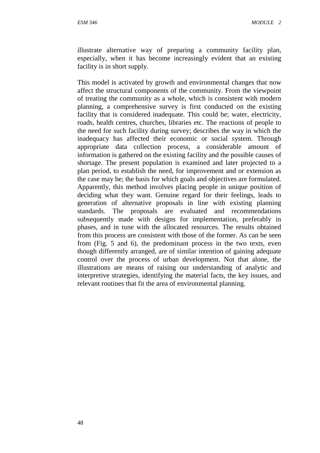illustrate alternative way of preparing a community facility plan, especially, when it has become increasingly evident that an existing facility is in short supply.

This model is activated by growth and environmental changes that now affect the structural components of the community. From the viewpoint of treating the community as a whole, which is consistent with modern planning, a comprehensive survey is first conducted on the existing facility that is considered inadequate. This could be; water, electricity, roads, health centres, churches, libraries etc. The reactions of people to the need for such facility during survey; describes the way in which the inadequacy has affected their economic or social system. Through appropriate data collection process, a considerable amount of information is gathered on the existing facility and the possible causes of shortage. The present population is examined and later projected to a plan period, to establish the need, for improvement and or extension as the case may be; the basis for which goals and objectives are formulated. Apparently, this method involves placing people in unique position of deciding what they want. Genuine regard for their feelings, leads to generation of alternative proposals in line with existing planning standards. The proposals are evaluated and recommendations subsequently made with designs for implementation, preferably in phases, and in tune with the allocated resources. The results obtained from this process are consistent with those of the former. As can be seen from (Fig. 5 and 6), the predominant process in the two texts, even though differently arranged, are of similar intention of gaining adequate control over the process of urban development. Not that alone, the illustrations are means of raising our understanding of analytic and interpretive strategies, identifying the material facts, the key issues, and relevant routines that fit the area of environmental planning.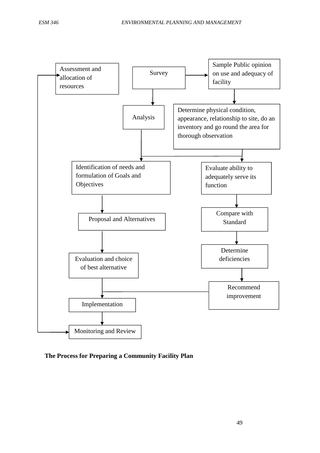

**The Process for Preparing a Community Facility Plan**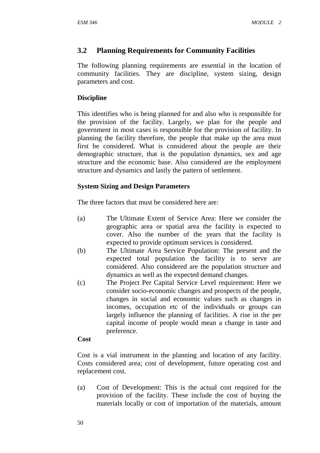# **3.2 Planning Requirements for Community Facilities**

The following planning requirements are essential in the location of community facilities. They are discipline, system sizing, design parameters and cost.

# **Discipline**

This identifies who is being planned for and also who is responsible for the provision of the facility. Largely, we plan for the people and government in most cases is responsible for the provision of facility. In planning the facility therefore, the people that make up the area must first be considered. What is considered about the people are their demographic structure, that is the population dynamics, sex and age structure and the economic base. Also considered are the employment structure and dynamics and lastly the pattern of settlement.

## **System Sizing and Design Parameters**

The three factors that must be considered here are:

- (a) The Ultimate Extent of Service Area: Here we consider the geographic area or spatial area the facility is expected to cover. Also the number of the years that the facility is expected to provide optimum services is considered.
- (b) The Ultimate Area Service Population: The present and the expected total population the facility is to serve are considered. Also considered are the population structure and dynamics as well as the expected demand changes.
- (c) The Project Per Capital Service Level requirement: Here we consider socio-economic changes and prospects of the people, changes in social and economic values such as changes in incomes, occupation etc of the individuals or groups can largely influence the planning of facilities. A rise in the per capital income of people would mean a change in taste and preference.

### **Cost**

Cost is a vial instrument in the planning and location of any facility. Costs considered area; cost of development, future operating cost and replacement cost.

(a) Cost of Development: This is the actual cost required for the provision of the facility. These include the cost of buying the materials locally or cost of importation of the materials, amount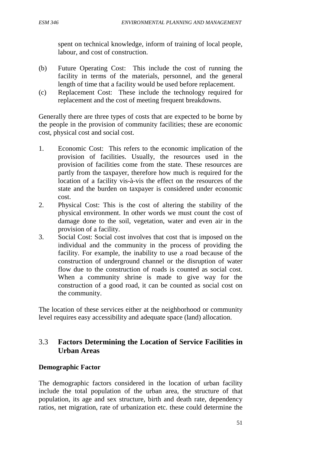spent on technical knowledge, inform of training of local people, labour, and cost of construction.

- (b) Future Operating Cost: This include the cost of running the facility in terms of the materials, personnel, and the general length of time that a facility would be used before replacement.
- (c) Replacement Cost: These include the technology required for replacement and the cost of meeting frequent breakdowns.

Generally there are three types of costs that are expected to be borne by the people in the provision of community facilities; these are economic cost, physical cost and social cost.

- 1. Economic Cost: This refers to the economic implication of the provision of facilities. Usually, the resources used in the provision of facilities come from the state. These resources are partly from the taxpayer, therefore how much is required for the location of a facility vis-à-vis the effect on the resources of the state and the burden on taxpayer is considered under economic cost.
- 2. Physical Cost: This is the cost of altering the stability of the physical environment. In other words we must count the cost of damage done to the soil, vegetation, water and even air in the provision of a facility.
- 3. Social Cost: Social cost involves that cost that is imposed on the individual and the community in the process of providing the facility. For example, the inability to use a road because of the construction of underground channel or the disruption of water flow due to the construction of roads is counted as social cost. When a community shrine is made to give way for the construction of a good road, it can be counted as social cost on the community.

The location of these services either at the neighborhood or community level requires easy accessibility and adequate space (land) allocation.

# 3.3 **Factors Determining the Location of Service Facilities in Urban Areas**

# **Demographic Factor**

The demographic factors considered in the location of urban facility include the total population of the urban area, the structure of that population, its age and sex structure, birth and death rate, dependency ratios, net migration, rate of urbanization etc. these could determine the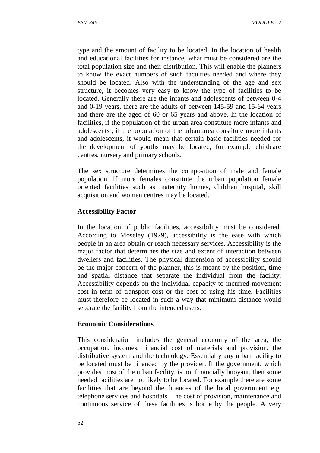type and the amount of facility to be located. In the location of health and educational facilities for instance, what must be considered are the total population size and their distribution. This will enable the planners to know the exact numbers of such faculties needed and where they should be located. Also with the understanding of the age and sex structure, it becomes very easy to know the type of facilities to be located. Generally there are the infants and adolescents of between 0-4 and 0-19 years, there are the adults of between 145-59 and 15-64 years and there are the aged of 60 or 65 years and above. In the location of facilities, if the population of the urban area constitute more infants and adolescents , if the population of the urban area constitute more infants and adolescents, it would mean that certain basic facilities needed for the development of youths may be located, for example childcare centres, nursery and primary schools.

The sex structure determines the composition of male and female population. If more females constitute the urban population female oriented facilities such as maternity homes, children hospital, skill acquisition and women centres may be located.

#### **Accessibility Factor**

In the location of public facilities, accessibility must be considered. According to Moseley (1979), accessibility is the ease with which people in an area obtain or reach necessary services. Accessibility is the major factor that determines the size and extent of interaction between dwellers and facilities. The physical dimension of accessibility should be the major concern of the planner, this is meant by the position, time and spatial distance that separate the individual from the facility. Accessibility depends on the individual capacity to incurred movement cost in term of transport cost or the cost of using his time. Facilities must therefore be located in such a way that minimum distance would separate the facility from the intended users.

#### **Economic Considerations**

This consideration includes the general economy of the area, the occupation, incomes, financial cost of materials and provision, the distributive system and the technology. Essentially any urban facility to be located must be financed by the provider. If the government, which provides most of the urban facility, is not financially buoyant, then some needed facilities are not likely to be located. For example there are some facilities that are beyond the finances of the local government e.g. telephone services and hospitals. The cost of provision, maintenance and continuous service of these facilities is borne by the people. A very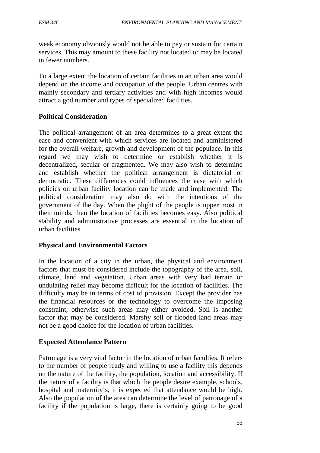weak economy obviously would not be able to pay or sustain for certain services. This may amount to these facility not located or may be located in fewer numbers.

To a large extent the location of certain facilities in an urban area would depend on the income and occupation of the people. Urban centres with mainly secondary and tertiary activities and with high incomes would attract a god number and types of specialized facilities.

## **Political Consideration**

The political arrangement of an area determines to a great extent the ease and convenient with which services are located and administered for the overall welfare, growth and development of the populace. In this regard we may wish to determine or establish whether it is decentralized, secular or fragmented. We may also wish to determine and establish whether the political arrangement is dictatorial or democratic. These differences could influences the ease with which policies on urban facility location can be made and implemented. The political consideration may also do with the intentions of the government of the day. When the plight of the people is upper most in their minds, then the location of facilities becomes easy. Also political stability and administrative processes are essential in the location of urban facilities.

### **Physical and Environmental Factors**

In the location of a city in the urban, the physical and environment factors that must be considered include the topography of the area, soil, climate, land and vegetation. Urban areas with very bad terrain or undulating relief may become difficult for the location of facilities. The difficulty may be in terms of cost of provision. Except the provider has the financial resources or the technology to overcome the imposing constraint, otherwise such areas may either avoided. Soil is another factor that may be considered. Marshy soil or flooded land areas may not be a good choice for the location of urban facilities.

### **Expected Attendance Pattern**

Patronage is a very vital factor in the location of urban faculties. It refers to the number of people ready and willing to use a facility this depends on the nature of the facility, the population, location and accessibility. If the nature of a facility is that which the people desire example, schools, hospital and maternity's, it is expected that attendance would be high. Also the population of the area can determine the level of patronage of a facility if the population is large, there is certainly going to be good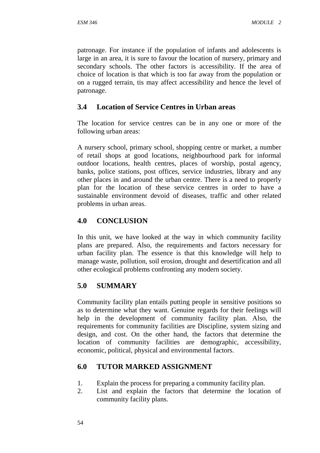patronage. For instance if the population of infants and adolescents is large in an area, it is sure to favour the location of nursery, primary and secondary schools. The other factors is accessibility. If the area of choice of location is that which is too far away from the population or on a rugged terrain, tis may affect accessibility and hence the level of patronage.

# **3.4 Location of Service Centres in Urban areas**

The location for service centres can be in any one or more of the following urban areas:

A nursery school, primary school, shopping centre or market, a number of retail shops at good locations, neighbourhood park for informal outdoor locations, health centres, places of worship, postal agency, banks, police stations, post offices, service industries, library and any other places in and around the urban centre. There is a need to properly plan for the location of these service centres in order to have a sustainable environment devoid of diseases, traffic and other related problems in urban areas.

## **4.0 CONCLUSION**

In this unit, we have looked at the way in which community facility plans are prepared. Also, the requirements and factors necessary for urban facility plan. The essence is that this knowledge will help to manage waste, pollution, soil erosion, drought and desertification and all other ecological problems confronting any modern society.

### **5.0 SUMMARY**

Community facility plan entails putting people in sensitive positions so as to determine what they want. Genuine regards for their feelings will help in the development of community facility plan. Also, the requirements for community facilities are Discipline, system sizing and design, and cost. On the other hand, the factors that determine the location of community facilities are demographic, accessibility, economic, political, physical and environmental factors.

# **6.0 TUTOR MARKED ASSIGNMENT**

- 1. Explain the process for preparing a community facility plan.
- 2. List and explain the factors that determine the location of community facility plans.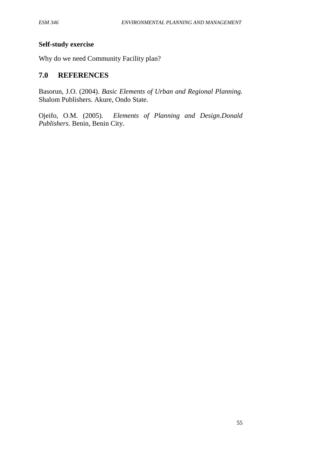### **Self-study exercise**

Why do we need Community Facility plan?

# **7.0 REFERENCES**

Basorun, J.O. (2004). *Basic Elements of Urban and Regional Planning.* Shalom Publishers. Akure, Ondo State.

Ojeifo, O.M. (2005). *Elements of Planning and Design.Donald Publishers.* Benin, Benin City.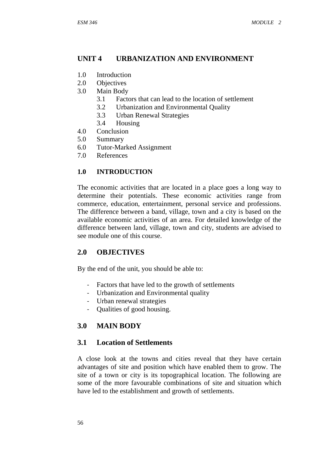## **UNIT 4 URBANIZATION AND ENVIRONMENT**

- 1.0 Introduction
- 2.0 Objectives
- 3.0 Main Body
	- 3.1 Factors that can lead to the location of settlement
	- 3.2 Urbanization and Environmental Quality
	- 3.3 Urban Renewal Strategies
	- 3.4 Housing
- 4.0 Conclusion
- 5.0 Summary
- 6.0 Tutor-Marked Assignment
- 7.0 References

### **1.0 INTRODUCTION**

The economic activities that are located in a place goes a long way to determine their potentials. These economic activities range from commerce, education, entertainment, personal service and professions. The difference between a band, village, town and a city is based on the available economic activities of an area. For detailed knowledge of the difference between land, village, town and city, students are advised to see module one of this course.

# **2.0 OBJECTIVES**

By the end of the unit, you should be able to:

- Factors that have led to the growth of settlements
- Urbanization and Environmental quality
- Urban renewal strategies
- Qualities of good housing.

# **3.0 MAIN BODY**

### **3.1 Location of Settlements**

A close look at the towns and cities reveal that they have certain advantages of site and position which have enabled them to grow. The site of a town or city is its topographical location. The following are some of the more favourable combinations of site and situation which have led to the establishment and growth of settlements.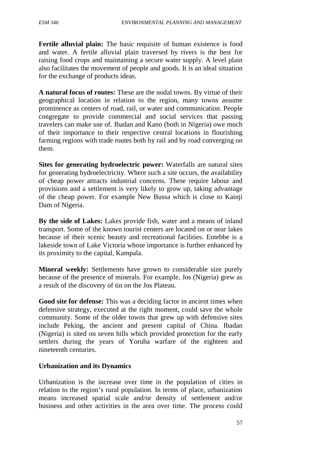**Fertile alluvial plain:** The basic requisite of human existence is food and water. A fertile alluvial plain traversed by rivers is the best for raising food crops and maintaining a secure water supply. A level plain also facilitates the movement of people and goods. It is an ideal situation for the exchange of products ideas.

**A natural focus of routes:** These are the nodal towns. By virtue of their geographical location in relation to the region, many towns assume prominence as centers of road, rail, or water and communication. People congregate to provide commercial and social services that passing travelers can make use of. Ibadan and Kano (both in Nigeria) owe much of their importance to their respective central locations in flourishing farming regions with trade routes both by rail and by road converging on them.

**Sites for generating hydroelectric power:** Waterfalls are natural sites for generating hydroelectricity. Where such a site occurs, the availability of cheap power attracts industrial concerns. These require labour and provisions and a settlement is very likely to grow up, taking advantage of the cheap power. For example New Bussa which is close to Kainji Dam of Nigeria.

**By the side of Lakes:** Lakes provide fish, water and a means of inland transport. Some of the known tourist centers are located on or near lakes because of their scenic beauty and recreational facilities. Entebbe is a lakeside town of Lake Victoria whose importance is further enhanced by its proximity to the capital, Kampala.

**Mineral weekly:** Settlements have grown to considerable size purely because of the presence of minerals. For example, Jos (Nigeria) grew as a result of the discovery of tin on the Jos Plateau.

**Good site for defense:** This was a deciding factor in ancient times when defensive strategy, executed at the right moment, could save the whole community. Some of the older towns that grew up with defensive sites include Peking, the ancient and present capital of China. Ibadan (Nigeria) is sited on seven hills which provided protection for the early settlers during the years of Yoruba warfare of the eighteen and nineteenth centuries.

# **Urbanization and its Dynamics**

Urbanization is the increase over time in the population of cities in relation to the region's rural population. In terms of place, urbanization means increased spatial scale and/or density of settlement and/or business and other activities in the area over time. The process could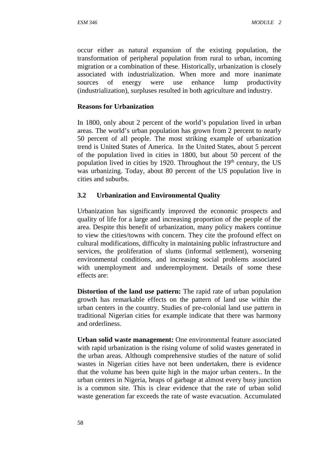occur either as natural expansion of the existing population, the transformation of peripheral population from rural to urban, incoming migration or a combination of these. Historically, urbanization is closely associated with industrialization. When more and more inanimate sources of energy were use enhance lump productivity (industrialization), surpluses resulted in both agriculture and industry.

#### **Reasons for Urbanization**

In 1800, only about 2 percent of the world's population lived in urban areas. The world's urban population has grown from 2 percent to nearly 50 percent of all people. The most striking example of urbanization trend is United States of America. In the United States, about 5 percent of the population lived in cities in 1800, but about 50 percent of the population lived in cities by 1920. Throughout the  $19<sup>th</sup>$  century, the US was urbanizing. Today, about 80 percent of the US population live in cities and suburbs.

### **3.2 Urbanization and Environmental Quality**

Urbanization has significantly improved the economic prospects and quality of life for a large and increasing proportion of the people of the area. Despite this benefit of urbanization, many policy makers continue to view the cities/towns with concern. They cite the profound effect on cultural modifications, difficulty in maintaining public infrastructure and services, the proliferation of slums (informal settlement), worsening environmental conditions, and increasing social problems associated with unemployment and underemployment. Details of some these effects are:

**Distortion of the land use pattern:** The rapid rate of urban population growth has remarkable effects on the pattern of land use within the urban centers in the country. Studies of pre-colonial land use pattern in traditional Nigerian cities for example indicate that there was harmony and orderliness.

**Urban solid waste management:** One environmental feature associated with rapid urbanization is the rising volume of solid wastes generated in the urban areas. Although comprehensive studies of the nature of solid wastes in Nigerian cities have not been undertaken, there is evidence that the volume has been quite high in the major urban centers.. In the urban centers in Nigeria, heaps of garbage at almost every busy junction is a common site. This is clear evidence that the rate of urban solid waste generation far exceeds the rate of waste evacuation. Accumulated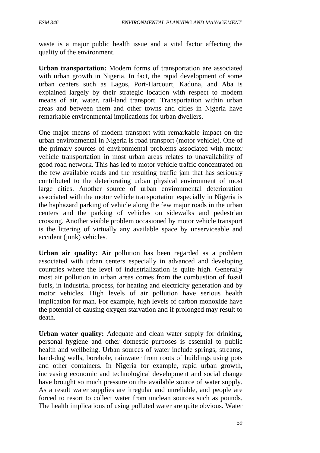waste is a major public health issue and a vital factor affecting the quality of the environment.

**Urban transportation:** Modern forms of transportation are associated with urban growth in Nigeria. In fact, the rapid development of some urban centers such as Lagos, Port-Harcourt, Kaduna, and Aba is explained largely by their strategic location with respect to modern means of air, water, rail-land transport. Transportation within urban areas and between them and other towns and cities in Nigeria have remarkable environmental implications for urban dwellers.

One major means of modern transport with remarkable impact on the urban environmental in Nigeria is road transport (motor vehicle). One of the primary sources of environmental problems associated with motor vehicle transportation in most urban areas relates to unavailability of good road network. This has led to motor vehicle traffic concentrated on the few available roads and the resulting traffic jam that has seriously contributed to the deteriorating urban physical environment of most large cities. Another source of urban environmental deterioration associated with the motor vehicle transportation especially in Nigeria is the haphazard parking of vehicle along the few major roads in the urban centers and the parking of vehicles on sidewalks and pedestrian crossing. Another visible problem occasioned by motor vehicle transport is the littering of virtually any available space by unserviceable and accident (junk) vehicles.

**Urban air quality:** Air pollution has been regarded as a problem associated with urban centers especially in advanced and developing countries where the level of industrialization is quite high. Generally most air pollution in urban areas comes from the combustion of fossil fuels, in industrial process, for heating and electricity generation and by motor vehicles. High levels of air pollution have serious health implication for man. For example, high levels of carbon monoxide have the potential of causing oxygen starvation and if prolonged may result to death.

**Urban water quality:** Adequate and clean water supply for drinking, personal hygiene and other domestic purposes is essential to public health and wellbeing. Urban sources of water include springs, streams, hand-dug wells, borehole, rainwater from roots of buildings using pots and other containers. In Nigeria for example, rapid urban growth, increasing economic and technological development and social change have brought so much pressure on the available source of water supply. As a result water supplies are irregular and unreliable, and people are forced to resort to collect water from unclean sources such as pounds. The health implications of using polluted water are quite obvious. Water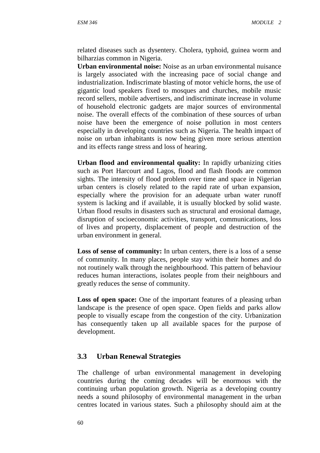related diseases such as dysentery. Cholera, typhoid, guinea worm and bilharzias common in Nigeria.

**Urban environmental noise:** Noise as an urban environmental nuisance is largely associated with the increasing pace of social change and industrialization. Indiscrimate blasting of motor vehicle horns, the use of gigantic loud speakers fixed to mosques and churches, mobile music record sellers, mobile advertisers, and indiscriminate increase in volume of household electronic gadgets are major sources of environmental noise. The overall effects of the combination of these sources of urban noise have been the emergence of noise pollution in most centers especially in developing countries such as Nigeria. The health impact of noise on urban inhabitants is now being given more serious attention and its effects range stress and loss of hearing.

**Urban flood and environmental quality:** In rapidly urbanizing cities such as Port Harcourt and Lagos, flood and flash floods are common sights. The intensity of flood problem over time and space in Nigerian urban centers is closely related to the rapid rate of urban expansion, especially where the provision for an adequate urban water runoff system is lacking and if available, it is usually blocked by solid waste. Urban flood results in disasters such as structural and erosional damage, disruption of socioeconomic activities, transport, communications, loss of lives and property, displacement of people and destruction of the urban environment in general.

**Loss of sense of community:** In urban centers, there is a loss of a sense of community. In many places, people stay within their homes and do not routinely walk through the neighbourhood. This pattern of behaviour reduces human interactions, isolates people from their neighbours and greatly reduces the sense of community.

**Loss of open space:** One of the important features of a pleasing urban landscape is the presence of open space. Open fields and parks allow people to visually escape from the congestion of the city. Urbanization has consequently taken up all available spaces for the purpose of development.

#### **3.3 Urban Renewal Strategies**

The challenge of urban environmental management in developing countries during the coming decades will be enormous with the continuing urban population growth. Nigeria as a developing country needs a sound philosophy of environmental management in the urban centres located in various states. Such a philosophy should aim at the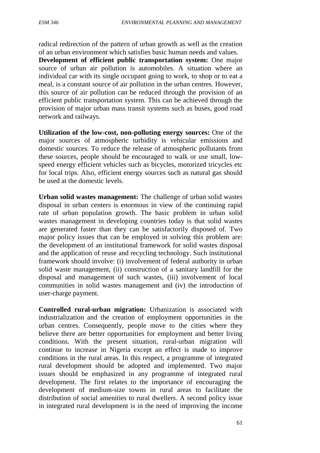radical redirection of the pattern of urban growth as well as the creation of an urban environment which satisfies basic human needs and values.

**Development of efficient public transportation system:** One major source of urban air pollution is automobiles. A situation where an individual car with its single occupant going to work, to shop or to eat a meal, is a constant source of air pollution in the urban centres. However, this source of air pollution can be reduced through the provision of an efficient public transportation system. This can be achieved through the provision of major urban mass transit systems such as buses, good road network and railways.

**Utilization of the low-cost, non-polluting energy sources:** One of the major sources of atmospheric turbidity is vehicular emissions and domestic sources. To reduce the release of atmospheric pollutants from these sources, people should be encouraged to walk or use small, low speed energy efficient vehicles such as bicycles, motorized tricycles etc for local trips. Also, efficient energy sources such as natural gas should be used at the domestic levels.

**Urban solid wastes management:** The challenge of urban solid wastes disposal in urban centers is enormous in view of the continuing rapid rate of urban population growth. The basic problem in urban solid wastes management in developing countries today is that solid wastes are generated faster than they can be satisfactorily disposed of. Two major policy issues that can be employed in solving this problem are: the development of an institutional framework for solid wastes disposal and the application of reuse and recycling technology. Such institutional framework should involve: (i) involvement of federal authority in urban solid waste management, (ii) construction of a sanitary landfill for the disposal and management of such wastes, (iii) involvement of local communities in solid wastes management and (iv) the introduction of user-charge payment.

**Controlled rural-urban migration:** Urbanization is associated with industrialization and the creation of employment opportunities in the urban centres. Consequently, people move to the cities where they believe there are better opportunities for employment and better living conditions. With the present situation, rural-urban migration will continue to increase in Nigeria except an effect is made to improve conditions in the rural areas. In this respect, a programme of integrated rural development should be adopted and implemented. Two major issues should be emphasized in any programme of integrated rural development. The first relates to the importance of encouraging the development of medium-size towns in rural areas to facilitate the distribution of social amenities to rural dwellers. A second policy issue in integrated rural development is in the need of improving the income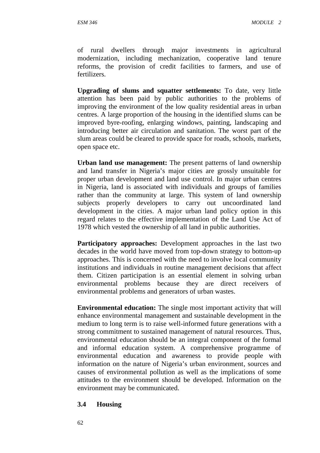of rural dwellers through major investments in agricultural modernization, including mechanization, cooperative land tenure reforms, the provision of credit facilities to farmers, and use of fertilizers.

**Upgrading of slums and squatter settlements:** To date, very little attention has been paid by public authorities to the problems of improving the environment of the low quality residential areas in urban centres. A large proportion of the housing in the identified slums can be improved byre-roofing, enlarging windows, painting, landscaping and introducing better air circulation and sanitation. The worst part of the slum areas could be cleared to provide space for roads, schools, markets, open space etc.

**Urban land use management:** The present patterns of land ownership and land transfer in Nigeria's major cities are grossly unsuitable for proper urban development and land use control. In major urban centres in Nigeria, land is associated with individuals and groups of families rather than the community at large. This system of land ownership subjects properly developers to carry out uncoordinated land development in the cities. A major urban land policy option in this regard relates to the effective implementation of the Land Use Act of 1978 which vested the ownership of all land in public authorities.

**Participatory approaches:** Development approaches in the last two decades in the world have moved from top-down strategy to bottom-up approaches. This is concerned with the need to involve local community institutions and individuals in routine management decisions that affect them. Citizen participation is an essential element in solving urban environmental problems because they are direct receivers of environmental problems and generators of urban wastes.

**Environmental education:** The single most important activity that will enhance environmental management and sustainable development in the medium to long term is to raise well-informed future generations with a strong commitment to sustained management of natural resources. Thus, environmental education should be an integral component of the formal and informal education system. A comprehensive programme of environmental education and awareness to provide people with information on the nature of Nigeria's urban environment, sources and causes of environmental pollution as well as the implications of some attitudes to the environment should be developed. Information on the environment may be communicated.

### **3.4 Housing**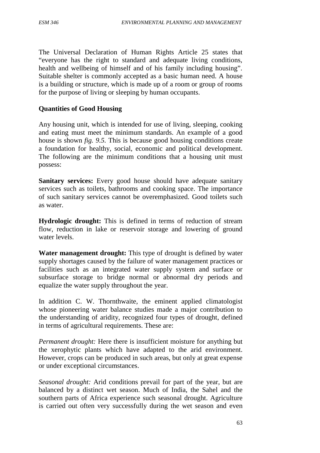The Universal Declaration of Human Rights Article 25 states that "everyone has the right to standard and adequate living conditions, health and wellbeing of himself and of his family including housing". Suitable shelter is commonly accepted as a basic human need. A house is a building or structure, which is made up of a room or group of rooms for the purpose of living or sleeping by human occupants.

#### **Quantities of Good Housing**

Any housing unit, which is intended for use of living, sleeping, cooking and eating must meet the minimum standards. An example of a good house is shown *fig. 9.5.* This is because good housing conditions create a foundation for healthy, social, economic and political development. The following are the minimum conditions that a housing unit must possess:

**Sanitary services:** Every good house should have adequate sanitary services such as toilets, bathrooms and cooking space. The importance of such sanitary services cannot be overemphasized. Good toilets such as water.

**Hydrologic drought:** This is defined in terms of reduction of stream flow, reduction in lake or reservoir storage and lowering of ground water levels.

**Water management drought:** This type of drought is defined by water supply shortages caused by the failure of water management practices or facilities such as an integrated water supply system and surface or subsurface storage to bridge normal or abnormal dry periods and equalize the water supply throughout the year.

In addition C. W. Thornthwaite, the eminent applied climatologist whose pioneering water balance studies made a major contribution to the understanding of aridity, recognized four types of drought, defined in terms of agricultural requirements. These are:

*Permanent drought:* Here there is insufficient moisture for anything but the xerophytic plants which have adapted to the arid environment. However, crops can be produced in such areas, but only at great expense or under exceptional circumstances.

*Seasonal drought:* Arid conditions prevail for part of the year, but are balanced by a distinct wet season. Much of India, the Sahel and the southern parts of Africa experience such seasonal drought. Agriculture is carried out often very successfully during the wet season and even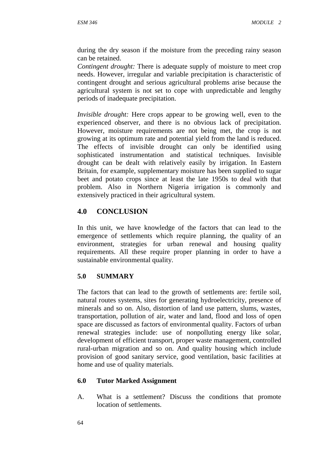during the dry season if the moisture from the preceding rainy season can be retained.

*Contingent drought:* There is adequate supply of moisture to meet crop needs. However, irregular and variable precipitation is characteristic of contingent drought and serious agricultural problems arise because the agricultural system is not set to cope with unpredictable and lengthy periods of inadequate precipitation.

*Invisible drought:* Here crops appear to be growing well, even to the experienced observer, and there is no obvious lack of precipitation. However, moisture requirements are not being met, the crop is not growing at its optimum rate and potential yield from the land is reduced. The effects of invisible drought can only be identified using sophisticated instrumentation and statistical techniques. Invisible drought can be dealt with relatively easily by irrigation. In Eastern Britain, for example, supplementary moisture has been supplied to sugar beet and potato crops since at least the late 1950s to deal with that problem. Also in Northern Nigeria irrigation is commonly and extensively practiced in their agricultural system.

# **4.0 CONCLUSION**

In this unit, we have knowledge of the factors that can lead to the emergence of settlements which require planning, the quality of an environment, strategies for urban renewal and housing quality requirements. All these require proper planning in order to have a sustainable environmental quality.

# **5.0 SUMMARY**

The factors that can lead to the growth of settlements are: fertile soil, natural routes systems, sites for generating hydroelectricity, presence of minerals and so on. Also, distortion of land use pattern, slums, wastes, transportation, pollution of air, water and land, flood and loss of open space are discussed as factors of environmental quality. Factors of urban renewal strategies include: use of nonpolluting energy like solar, development of efficient transport, proper waste management, controlled rural-urban migration and so on. And quality housing which include provision of good sanitary service, good ventilation, basic facilities at home and use of quality materials.

#### **6.0 Tutor Marked Assignment**

A. What is a settlement? Discuss the conditions that promote location of settlements.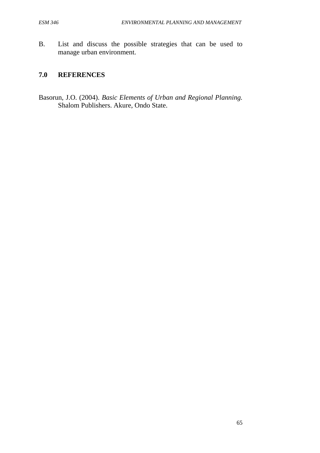B. List and discuss the possible strategies that can be used to manage urban environment.

# **7.0 REFERENCES**

Basorun, J.O. (2004). *Basic Elements of Urban and Regional Planning.* Shalom Publishers. Akure, Ondo State.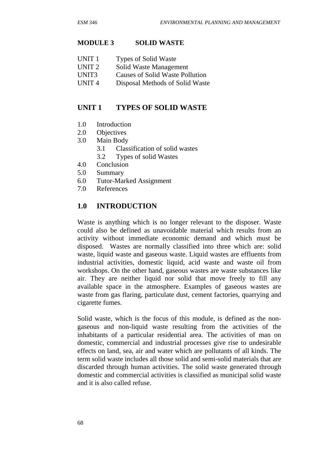#### **MODULE 3 SOLID WASTE**

| UNIT <sub>1</sub> | <b>Types of Solid Waste</b>   |
|-------------------|-------------------------------|
| UNIT <sub>2</sub> | <b>Solid Waste Management</b> |

- UNIT3 Causes of Solid Waste Pollution
- UNIT 4 Disposal Methods of Solid Waste

#### **UNIT 1 TYPES OF SOLID WASTE**

- 1.0 Introduction
- 2.0 Objectives
- 3.0 Main Body
	- 3.1 Classification of solid wastes
	- 3.2 Types of solid Wastes
- 4.0 Conclusion
- 5.0 Summary
- 6.0 Tutor-Marked Assignment
- 7.0 References

# **1.0 INTRODUCTION**

Waste is anything which is no longer relevant to the disposer. Waste could also be defined as unavoidable material which results from an activity without immediate economic demand and which must be disposed. Wastes are normally classified into three which are: solid waste, liquid waste and gaseous waste. Liquid wastes are effluents from industrial activities, domestic liquid, acid waste and waste oil from workshops. On the other hand, gaseous wastes are waste substances like air. They are neither liquid nor solid that move freely to fill any available space in the atmosphere. Examples of gaseous wastes are waste from gas flaring, particulate dust, cement factories, quarrying and cigarette fumes.

Solid waste, which is the focus of this module, is defined as the non gaseous and non-liquid waste resulting from the activities of the inhabitants of a particular residential area. The activities of man on domestic, commercial and industrial processes give rise to undesirable effects on land, sea, air and water which are pollutants of all kinds. The term solid waste includes all those solid and semi-solid materials that are discarded through human activities. The solid waste generated through domestic and commercial activities is classified as municipal solid waste and it is also called refuse.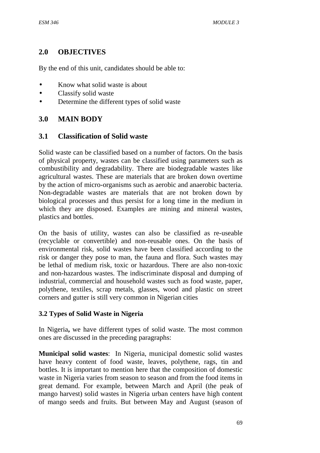# **2.0 OBJECTIVES**

By the end of this unit, candidates should be able to:

- Know what solid waste is about
- Classify solid waste
- Determine the different types of solid waste

# **3.0 MAIN BODY**

#### **3.1 Classification of Solid waste**

Solid waste can be classified based on a number of factors. On the basis of physical property, wastes can be classified using parameters such as combustibility and degradability. There are biodegradable wastes like agricultural wastes. These are materials that are broken down overtime by the action of micro-organisms such as aerobic and anaerobic bacteria. Non-degradable wastes are materials that are not broken down by biological processes and thus persist for a long time in the medium in which they are disposed. Examples are mining and mineral wastes, plastics and bottles.

On the basis of utility, wastes can also be classified as re-useable (recyclable or convertible) and non-reusable ones. On the basis of environmental risk, solid wastes have been classified according to the risk or danger they pose to man, the fauna and flora. Such wastes may be lethal of medium risk, toxic or hazardous. There are also non-toxic and non-hazardous wastes. The indiscriminate disposal and dumping of industrial, commercial and household wastes such as food waste, paper, polythene, textiles, scrap metals, glasses, wood and plastic on street corners and gutter is still very common in Nigerian cities

# **3.2 Types of Solid Waste in Nigeria**

In Nigeria**,** we have different types of solid waste. The most common ones are discussed in the preceding paragraphs:

**Municipal solid wastes**: In Nigeria, municipal domestic solid wastes have heavy content of food waste, leaves, polythene, rags, tin and bottles. It is important to mention here that the composition of domestic waste in Nigeria varies from season to season and from the food items in great demand. For example, between March and April (the peak of mango harvest) solid wastes in Nigeria urban centers have high content of mango seeds and fruits. But between May and August (season of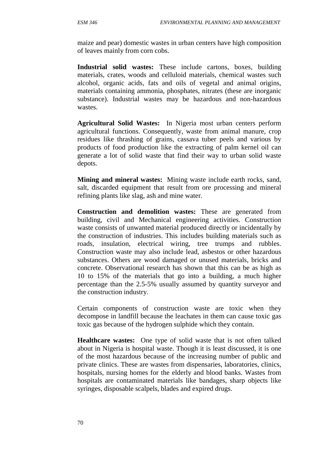maize and pear) domestic wastes in urban centers have high composition of leaves mainly from corn cobs.

**Industrial solid wastes:** These include cartons, boxes, building materials, crates, woods and celluloid materials, chemical wastes such alcohol, organic acids, fats and oils of vegetal and animal origins, materials containing ammonia, phosphates, nitrates (these are inorganic substance). Industrial wastes may be hazardous and non-hazardous wastes.

**Agricultural Solid Wastes:** In Nigeria most urban centers perform agricultural functions. Consequently, waste from animal manure, crop residues like thrashing of grains, cassava tuber peels and various by products of food production like the extracting of palm kernel oil can generate a lot of solid waste that find their way to urban solid waste depots.

**Mining and mineral wastes:** Mining waste include earth rocks, sand, salt, discarded equipment that result from ore processing and mineral refining plants like slag, ash and mine water.

**Construction and demolition wastes:** These are generated from building, civil and Mechanical engineering activities. Construction waste consists of unwanted material produced directly or incidentally by the construction of industries. This includes building materials such as roads, insulation, electrical wiring, tree trumps and rubbles. Construction waste may also include lead, asbestos or other hazardous substances. Others are wood damaged or unused materials, bricks and concrete. Observational research has shown that this can be as high as 10 to 15% of the materials that go into a building, a much higher percentage than the 2.5-5% usually assumed by quantity surveyor and the construction industry.

Certain components of construction waste are toxic when they decompose in landfill because the leachates in them can cause toxic gas toxic gas because of the hydrogen sulphide which they contain.

**Healthcare wastes:** One type of solid waste that is not often talked about in Nigeria is hospital waste. Though it is least discussed, it is one of the most hazardous because of the increasing number of public and private clinics. These are wastes from dispensaries, laboratories, clinics, hospitals, nursing homes for the elderly and blood banks. Wastes from hospitals are contaminated materials like bandages, sharp objects like syringes, disposable scalpels, blades and expired drugs.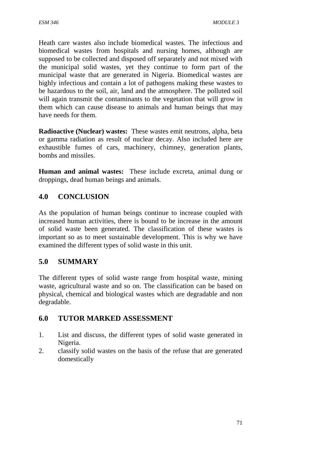Heath care wastes also include biomedical wastes. The infectious and biomedical wastes from hospitals and nursing homes, although are supposed to be collected and disposed off separately and not mixed with the municipal solid wastes, yet they continue to form part of the municipal waste that are generated in Nigeria. Biomedical wastes are highly infectious and contain a lot of pathogens making these wastes to be hazardous to the soil, air, land and the atmosphere. The polluted soil will again transmit the contaminants to the vegetation that will grow in them which can cause disease to animals and human beings that may have needs for them.

**Radioactive (Nuclear) wastes:** These wastes emit neutrons, alpha, beta or gamma radiation as result of nuclear decay. Also included here are exhaustible fumes of cars, machinery, chimney, generation plants, bombs and missiles.

**Human and animal wastes:** These include excreta, animal dung or droppings, dead human beings and animals.

# **4.0 CONCLUSION**

As the population of human beings continue to increase coupled with increased human activities, there is bound to be increase in the amount of solid waste been generated. The classification of these wastes is important so as to meet sustainable development. This is why we have examined the different types of solid waste in this unit.

# **5.0 SUMMARY**

The different types of solid waste range from hospital waste, mining waste, agricultural waste and so on. The classification can be based on physical, chemical and biological wastes which are degradable and non degradable.

# **6.0 TUTOR MARKED ASSESSMENT**

- 1. List and discuss, the different types of solid waste generated in Nigeria.
- 2. classify solid wastes on the basis of the refuse that are generated domestically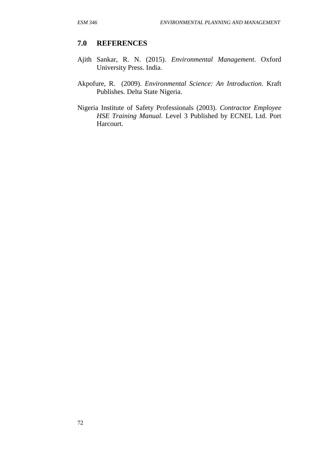#### **7.0 REFERENCES**

- Ajith Sankar, R. N. (2015). *Environmental Management*. Oxford University Press. India.
- Akpofure, R. (2009). *Environmental Science: An Introduction*. Kraft Publishes. Delta State Nigeria.
- Nigeria Institute of Safety Professionals (2003). *Contractor Employee HSE Training Manual.* Level 3 Published by ECNEL Ltd. Port Harcourt.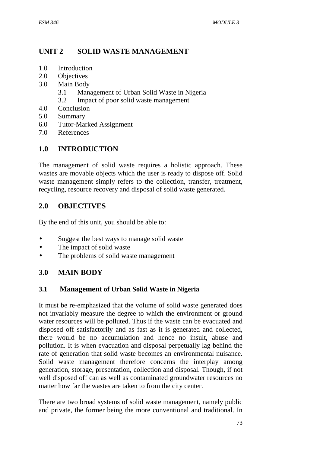# **UNIT 2 SOLID WASTE MANAGEMENT**

- 1.0 Introduction
- 2.0 Objectives
- 3.0 Main Body
	- 3.1 Management of Urban Solid Waste in Nigeria
	- 3.2 Impact of poor solid waste management
- 4.0 Conclusion
- 5.0 Summary
- 6.0 Tutor-Marked Assignment
- 7.0 References

# **1.0 INTRODUCTION**

The management of solid waste requires a holistic approach. These wastes are movable objects which the user is ready to dispose off. Solid waste management simply refers to the collection, transfer, treatment, recycling, resource recovery and disposal of solid waste generated.

# **2.0 OBJECTIVES**

By the end of this unit, you should be able to:

- Suggest the best ways to manage solid waste
- The impact of solid waste
- The problems of solid waste management

# **3.0 MAIN BODY**

#### **3.1 Management of Urban Solid Waste in Nigeria**

It must be re-emphasized that the volume of solid waste generated does not invariably measure the degree to which the environment or ground water resources will be polluted. Thus if the waste can be evacuated and disposed off satisfactorily and as fast as it is generated and collected, there would be no accumulation and hence no insult, abuse and pollution. It is when evacuation and disposal perpetually lag behind the rate of generation that solid waste becomes an environmental nuisance. Solid waste management therefore concerns the interplay among generation, storage, presentation, collection and disposal. Though, if not well disposed off can as well as contaminated groundwater resources no matter how far the wastes are taken to from the city center.

There are two broad systems of solid waste management, namely public and private, the former being the more conventional and traditional. In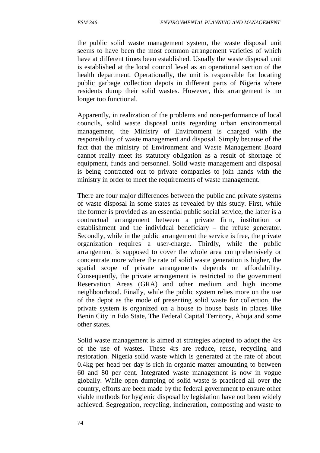the public solid waste management system, the waste disposal unit seems to have been the most common arrangement varieties of which have at different times been established. Usually the waste disposal unit is established at the local council level as an operational section of the health department. Operationally, the unit is responsible for locating public garbage collection depots in different parts of Nigeria where residents dump their solid wastes. However, this arrangement is no longer too functional.

Apparently, in realization of the problems and non-performance of local councils, solid waste disposal units regarding urban environmental management, the Ministry of Environment is charged with the responsibility of waste management and disposal. Simply because of the fact that the ministry of Environment and Waste Management Board cannot really meet its statutory obligation as a result of shortage of equipment, funds and personnel. Solid waste management and disposal is being contracted out to private companies to join hands with the ministry in order to meet the requirements of waste management.

There are four major differences between the public and private systems of waste disposal in some states as revealed by this study. First, while the former is provided as an essential public social service, the latter is a contractual arrangement between a private firm, institution or establishment and the individual beneficiary – the refuse generator. Secondly, while in the public arrangement the service is free, the private organization requires a user-charge. Thirdly, while the public arrangement is supposed to cover the whole area comprehensively or concentrate more where the rate of solid waste generation is higher, the spatial scope of private arrangements depends on affordability. Consequently, the private arrangement is restricted to the government Reservation Areas (GRA) and other medium and high income neighbourhood. Finally, while the public system relies more on the use of the depot as the mode of presenting solid waste for collection, the private system is organized on a house to house basis in places like Benin City in Edo State, The Federal Capital Territory, Abuja and some other states.

Solid waste management is aimed at strategies adopted to adopt the 4rs of the use of wastes. These 4rs are reduce, reuse, recycling and restoration. Nigeria solid waste which is generated at the rate of about 0.4kg per head per day is rich in organic matter amounting to between 60 and 80 per cent. Integrated waste management is now in vogue globally. While open dumping of solid waste is practiced all over the country, efforts are been made by the federal government to ensure other viable methods for hygienic disposal by legislation have not been widely achieved. Segregation, recycling, incineration, composting and waste to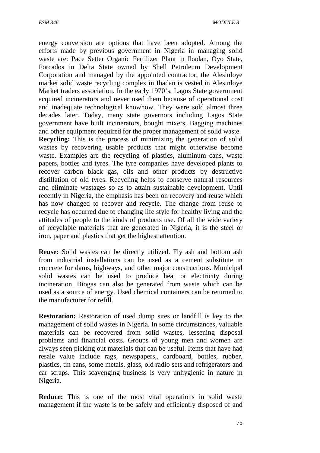energy conversion are options that have been adopted. Among the efforts made by previous government in Nigeria in managing solid waste are: Pace Setter Organic Fertilizer Plant in Ibadan, Oyo State, Forcados in Delta State owned by Shell Petroleum Development Corporation and managed by the appointed contractor, the Alesinloye market solid waste recycling complex in Ibadan is vested in Alesinloye Market traders association. In the early 1970's, Lagos State government acquired incinerators and never used them because of operational cost and inadequate technological knowhow. They were sold almost three decades later. Today, many state governors including Lagos State government have built incinerators, bought mixers, Bagging machines and other equipment required for the proper management of solid waste. **Recycling:** This is the process of minimizing the generation of solid wastes by recovering usable products that might otherwise become waste. Examples are the recycling of plastics, aluminum cans, waste papers, bottles and tyres. The tyre companies have developed plants to recover carbon black gas, oils and other products by destructive distillation of old tyres. Recycling helps to conserve natural resources and eliminate wastages so as to attain sustainable development. Until recently in Nigeria, the emphasis has been on recovery and reuse which has now changed to recover and recycle. The change from reuse to recycle has occurred due to changing life style for healthy living and the attitudes of people to the kinds of products use. Of all the wide variety of recyclable materials that are generated in Nigeria, it is the steel or iron, paper and plastics that get the highest attention.

**Reuse:** Solid wastes can be directly utilized. Fly ash and bottom ash from industrial installations can be used as a cement substitute in concrete for dams, highways, and other major constructions. Municipal solid wastes can be used to produce heat or electricity during incineration. Biogas can also be generated from waste which can be used as a source of energy. Used chemical containers can be returned to the manufacturer for refill.

**Restoration:** Restoration of used dump sites or landfill is key to the management of solid wastes in Nigeria. In some circumstances, valuable materials can be recovered from solid wastes, lessening disposal problems and financial costs. Groups of young men and women are always seen picking out materials that can be useful. Items that have had resale value include rags, newspapers,, cardboard, bottles, rubber, plastics, tin cans, some metals, glass, old radio sets and refrigerators and car scraps. This scavenging business is very unhygienic in nature in Nigeria.

**Reduce:** This is one of the most vital operations in solid waste management if the waste is to be safely and efficiently disposed of and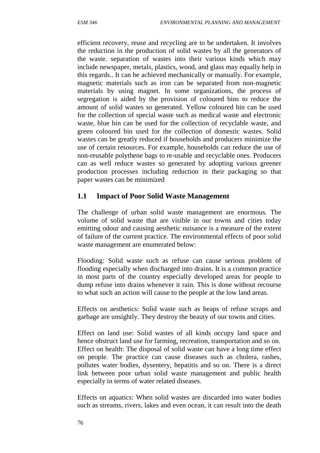efficient recovery, reuse and recycling are to be undertaken. It involves the reduction in the production of solid wastes by all the generators of the waste. separation of wastes into their various kinds which may include newspaper, metals, plastics, wood, and glass may equally help in this regards.. It can be achieved mechanically or manually. For example, magnetic materials such as iron can be separated from non-magnetic materials by using magnet. In some organizations, the process of segregation is aided by the provision of coloured bins to reduce the amount of solid wastes so generated. Yellow coloured bin can be used for the collection of special waste such as medical waste and electronic waste, blue bin can be used for the collection of recyclable waste, and green coloured bin used for the collection of domestic wastes. Solid wastes can be greatly reduced if households and producers minimize the use of certain resources. For example, households can reduce the use of non-reusable polythene bags to re-usable and recyclable ones. Producers can as well reduce wastes so generated by adopting various greener production processes including reduction in their packaging so that paper wastes can be minimized

# **1.1 Impact of Poor Solid Waste Management**

The challenge of urban solid waste management are enormous. The volume of solid waste that are visible in our towns and cities today emitting odour and causing aesthetic nuisance is a measure of the extent of failure of the current practice. The environmental effects of poor solid waste management are enumerated below:

Flooding: Solid waste such as refuse can cause serious problem of flooding especially when discharged into drains. It is a common practice in most parts of the country especially developed areas for people to dump refuse into drains whenever it rain. This is done without recourse to what such an action will cause to the people at the low land areas.

Effects on aesthetics: Solid waste such as heaps of refuse scraps and garbage are unsightly. They destroy the beauty of our towns and cities.

Effect on land use: Solid wastes of all kinds occupy land space and hence obstruct land use for farming, recreation, transportation and so on. Effect on health: The disposal of solid waste can have a long time effect on people. The practice can cause diseases such as cholera, rashes, pollutes water bodies, dysentery, hepatitis and so on. There is a direct link between poor urban solid waste management and public health especially in terms of water related diseases.

Effects on aquatics: When solid wastes are discarded into water bodies such as streams, rivers, lakes and even ocean, it can result into the death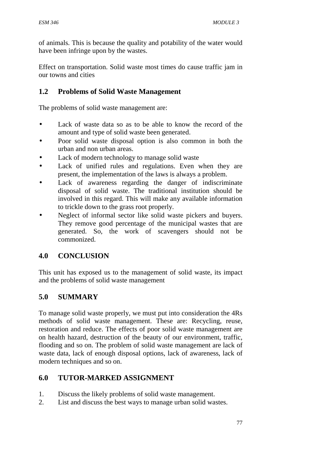of animals. This is because the quality and potability of the water would have been infringe upon by the wastes.

Effect on transportation. Solid waste most times do cause traffic jam in our towns and cities

# **1.2 Problems of Solid Waste Management**

The problems of solid waste management are:

- Lack of waste data so as to be able to know the record of the amount and type of solid waste been generated.
- Poor solid waste disposal option is also common in both the urban and non urban areas.
- Lack of modern technology to manage solid waste
- Lack of unified rules and regulations. Even when they are present, the implementation of the laws is always a problem.
- Lack of awareness regarding the danger of indiscriminate disposal of solid waste. The traditional institution should be involved in this regard. This will make any available information to trickle down to the grass root properly.
- Neglect of informal sector like solid waste pickers and buyers. They remove good percentage of the municipal wastes that are generated. So, the work of scavengers should not be commonized.

# **4.0 CONCLUSION**

This unit has exposed us to the management of solid waste, its impact and the problems of solid waste management

# **5.0 SUMMARY**

To manage solid waste properly, we must put into consideration the 4Rs methods of solid waste management. These are: Recycling, reuse, restoration and reduce. The effects of poor solid waste management are on health hazard, destruction of the beauty of our environment, traffic, flooding and so on. The problem of solid waste management are lack of waste data, lack of enough disposal options, lack of awareness, lack of modern techniques and so on.

# **6.0 TUTOR-MARKED ASSIGNMENT**

- 1. Discuss the likely problems of solid waste management.
- 2. List and discuss the best ways to manage urban solid wastes.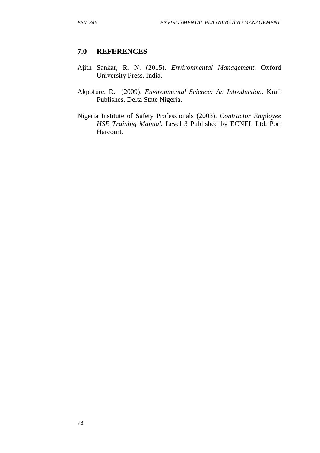# **7.0 REFERENCES**

- Ajith Sankar, R. N. (2015). *Environmental Management*. Oxford University Press. India.
- Akpofure, R. (2009). *Environmental Science: An Introduction*. Kraft Publishes. Delta State Nigeria.
- Nigeria Institute of Safety Professionals (2003). *Contractor Employee HSE Training Manual.* Level 3 Published by ECNEL Ltd. Port Harcourt.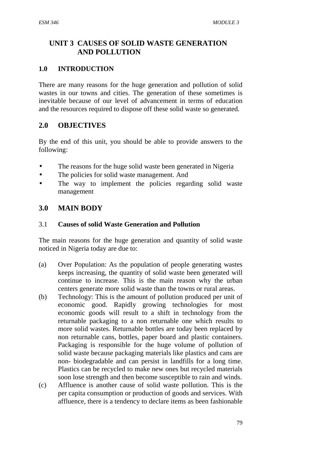# **UNIT 3 CAUSES OF SOLID WASTE GENERATION AND POLLUTION**

#### **1.0 INTRODUCTION**

There are many reasons for the huge generation and pollution of solid wastes in our towns and cities. The generation of these sometimes is inevitable because of our level of advancement in terms of education and the resources required to dispose off these solid waste so generated.

# **2.0 OBJECTIVES**

By the end of this unit, you should be able to provide answers to the following:

- The reasons for the huge solid waste been generated in Nigeria
- The policies for solid waste management. And
- The way to implement the policies regarding solid waste management

# **3.0 MAIN BODY**

#### 3.1 **Causes of solid Waste Generation and Pollution**

The main reasons for the huge generation and quantity of solid waste noticed in Nigeria today are due to:

- (a) Over Population: As the population of people generating wastes keeps increasing, the quantity of solid waste been generated will continue to increase. This is the main reason why the urban centers generate more solid waste than the towns or rural areas.
- (b) Technology: This is the amount of pollution produced per unit of economic good. Rapidly growing technologies for most economic goods will result to a shift in technology from the returnable packaging to a non returnable one which results to more solid wastes. Returnable bottles are today been replaced by non returnable cans, bottles, paper board and plastic containers. Packaging is responsible for the huge volume of pollution of solid waste because packaging materials like plastics and cans are non- biodegradable and can persist in landfills for a long time. Plastics can be recycled to make new ones but recycled materials soon lose strength and then become susceptible to rain and winds.
- (c) Affluence is another cause of solid waste pollution. This is the per capita consumption or production of goods and services. With affluence, there is a tendency to declare items as been fashionable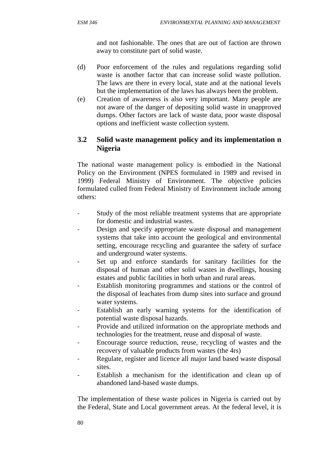and not fashionable. The ones that are out of faction are thrown away to constitute part of solid waste.

- (d) Poor enforcement of the rules and regulations regarding solid waste is another factor that can increase solid waste pollution. The laws are there in every local, state and at the national levels but the implementation of the laws has always been the problem.
- (e) Creation of awareness is also very important. Many people are not aware of the danger of depositing solid waste in unapproved dumps. Other factors are lack of waste data, poor waste disposal options and inefficient waste collection system.

# **3.2 Solid waste management policy and its implementation n Nigeria**

The national waste management policy is embodied in the National Policy on the Environment (NPES formulated in 1989 and revised in 1999) Federal Ministry of Environment. The objective policies formulated culled from Federal Ministry of Environment include among others:

- Study of the most reliable treatment systems that are appropriate for domestic and industrial wastes.
- Design and specify appropriate waste disposal and management systems that take into account the geological and environmental setting, encourage recycling and guarantee the safety of surface and underground water systems.
- Set up and enforce standards for sanitary facilities for the disposal of human and other solid wastes in dwellings, housing estates and public facilities in both urban and rural areas.
- Establish monitoring programmes and stations or the control of the disposal of leachates from dump sites into surface and ground water systems.
- Establish an early warning systems for the identification of potential waste disposal hazards.
- Provide and utilized information on the appropriate methods and technologies for the treatment, reuse and disposal of waste.
- Encourage source reduction, reuse, recycling of wastes and the recovery of valuable products from wastes (the 4rs)
- Regulate, register and licence all major land based waste disposal sites.
- Establish a mechanism for the identification and clean up of abandoned land-based waste dumps.

The implementation of these waste polices in Nigeria is carried out by the Federal, State and Local government areas. At the federal level, it is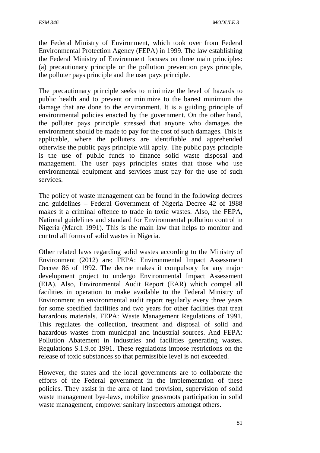the Federal Ministry of Environment, which took over from Federal Environmental Protection Agency (FEPA) in 1999. The law establishing the Federal Ministry of Environment focuses on three main principles: (a) precautionary principle or the pollution prevention pays principle, the polluter pays principle and the user pays principle.

The precautionary principle seeks to minimize the level of hazards to public health and to prevent or minimize to the barest minimum the damage that are done to the environment. It is a guiding principle of environmental policies enacted by the government. On the other hand, the polluter pays principle stressed that anyone who damages the environment should be made to pay for the cost of such damages. This is applicable, where the polluters are identifiable and apprehended otherwise the public pays principle will apply. The public pays principle is the use of public funds to finance solid waste disposal and management. The user pays principles states that those who use environmental equipment and services must pay for the use of such services.

The policy of waste management can be found in the following decrees and guidelines – Federal Government of Nigeria Decree 42 of 1988 makes it a criminal offence to trade in toxic wastes. Also, the FEPA, National guidelines and standard for Environmental pollution control in Nigeria (March 1991). This is the main law that helps to monitor and control all forms of solid wastes in Nigeria.

Other related laws regarding solid wastes according to the Ministry of Environment (2012) are: FEPA: Environmental Impact Assessment Decree 86 of 1992. The decree makes it compulsory for any major development project to undergo Environmental Impact Assessment (EIA). Also, Environmental Audit Report (EAR) which compel all facilities in operation to make available to the Federal Ministry of Environment an environmental audit report regularly every three years for some specified facilities and two years for other facilities that treat hazardous materials. FEPA: Waste Management Regulations of 1991. This regulates the collection, treatment and disposal of solid and hazardous wastes from municipal and industrial sources. And FEPA: Pollution Abatement in Industries and facilities generating wastes. Regulations S.1.9.of 1991. These regulations impose restrictions on the release of toxic substances so that permissible level is not exceeded.

However, the states and the local governments are to collaborate the efforts of the Federal government in the implementation of these policies. They assist in the area of land provision, supervision of solid waste management bye-laws, mobilize grassroots participation in solid waste management, empower sanitary inspectors amongst others.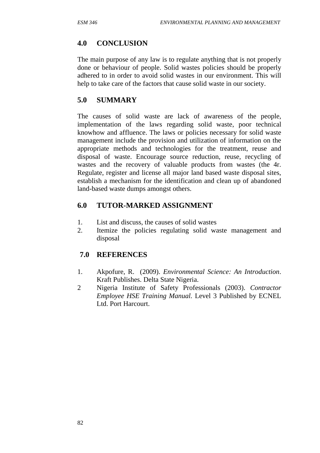#### **4.0 CONCLUSION**

The main purpose of any law is to regulate anything that is not properly done or behaviour of people. Solid wastes policies should be properly adhered to in order to avoid solid wastes in our environment. This will help to take care of the factors that cause solid waste in our society.

#### **5.0 SUMMARY**

The causes of solid waste are lack of awareness of the people, implementation of the laws regarding solid waste, poor technical knowhow and affluence. The laws or policies necessary for solid waste management include the provision and utilization of information on the appropriate methods and technologies for the treatment, reuse and disposal of waste. Encourage source reduction, reuse, recycling of wastes and the recovery of valuable products from wastes (the 4r. Regulate, register and license all major land based waste disposal sites, establish a mechanism for the identification and clean up of abandoned land-based waste dumps amongst others.

#### **6.0 TUTOR-MARKED ASSIGNMENT**

- 1. List and discuss, the causes of solid wastes
- 2. Itemize the policies regulating solid waste management and disposal

# **7.0 REFERENCES**

- 1. Akpofure, R. (2009). *Environmental Science: An Introduction*. Kraft Publishes. Delta State Nigeria.
- 2 Nigeria Institute of Safety Professionals (2003). *Contractor Employee HSE Training Manual.* Level 3 Published by ECNEL Ltd. Port Harcourt.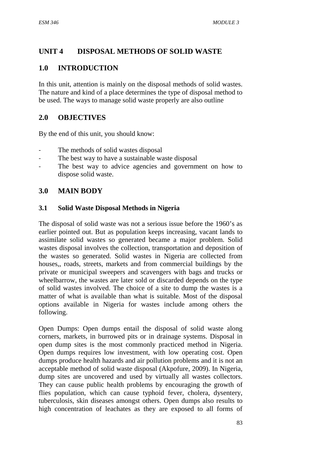# **UNIT 4 DISPOSAL METHODS OF SOLID WASTE**

# **1.0 INTRODUCTION**

In this unit, attention is mainly on the disposal methods of solid wastes. The nature and kind of a place determines the type of disposal method to be used. The ways to manage solid waste properly are also outline

# **2.0 OBJECTIVES**

By the end of this unit, you should know:

- The methods of solid wastes disposal
- The best way to have a sustainable waste disposal
- The best way to advice agencies and government on how to dispose solid waste.

# **3.0 MAIN BODY**

#### **3.1 Solid Waste Disposal Methods in Nigeria**

The disposal of solid waste was not a serious issue before the 1960's as earlier pointed out. But as population keeps increasing, vacant lands to assimilate solid wastes so generated became a major problem. Solid wastes disposal involves the collection, transportation and deposition of the wastes so generated. Solid wastes in Nigeria are collected from houses,, roads, streets, markets and from commercial buildings by the private or municipal sweepers and scavengers with bags and trucks or wheelbarrow, the wastes are later sold or discarded depends on the type of solid wastes involved. The choice of a site to dump the wastes is a matter of what is available than what is suitable. Most of the disposal options available in Nigeria for wastes include among others the following.

Open Dumps: Open dumps entail the disposal of solid waste along corners, markets, in burrowed pits or in drainage systems. Disposal in open dump sites is the most commonly practiced method in Nigeria. Open dumps requires low investment, with low operating cost. Open dumps produce health hazards and air pollution problems and it is not an acceptable method of solid waste disposal (Akpofure, 2009). In Nigeria, dump sites are uncovered and used by virtually all wastes collectors. They can cause public health problems by encouraging the growth of flies population, which can cause typhoid fever, cholera, dysentery, tuberculosis, skin diseases amongst others. Open dumps also results to high concentration of leachates as they are exposed to all forms of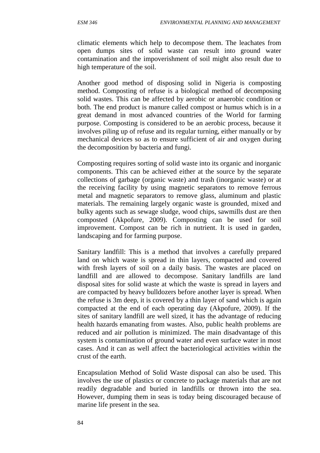climatic elements which help to decompose them. The leachates from open dumps sites of solid waste can result into ground water contamination and the impoverishment of soil might also result due to high temperature of the soil.

Another good method of disposing solid in Nigeria is composting method. Composting of refuse is a biological method of decomposing solid wastes. This can be affected by aerobic or anaerobic condition or both. The end product is manure called compost or humus which is in a great demand in most advanced countries of the World for farming purpose. Composting is considered to be an aerobic process, because it involves piling up of refuse and its regular turning, either manually or by mechanical devices so as to ensure sufficient of air and oxygen during the decomposition by bacteria and fungi.

Composting requires sorting of solid waste into its organic and inorganic components. This can be achieved either at the source by the separate collections of garbage (organic waste) and trash (inorganic waste) or at the receiving facility by using magnetic separators to remove ferrous metal and magnetic separators to remove glass, aluminum and plastic materials. The remaining largely organic waste is grounded, mixed and bulky agents such as sewage sludge, wood chips, sawmills dust are then composted (Akpofure, 2009). Composting can be used for soil improvement. Compost can be rich in nutrient. It is used in garden, landscaping and for farming purpose.

Sanitary landfill: This is a method that involves a carefully prepared land on which waste is spread in thin layers, compacted and covered with fresh layers of soil on a daily basis. The wastes are placed on landfill and are allowed to decompose. Sanitary landfills are land disposal sites for solid waste at which the waste is spread in layers and are compacted by heavy bulldozers before another layer is spread. When the refuse is 3m deep, it is covered by a thin layer of sand which is again compacted at the end of each operating day (Akpofure, 2009). If the sites of sanitary landfill are well sized, it has the advantage of reducing health hazards emanating from wastes. Also, public health problems are reduced and air pollution is minimized. The main disadvantage of this system is contamination of ground water and even surface water in most cases. And it can as well affect the bacteriological activities within the crust of the earth.

Encapsulation Method of Solid Waste disposal can also be used. This involves the use of plastics or concrete to package materials that are not readily degradable and buried in landfills or thrown into the sea. However, dumping them in seas is today being discouraged because of marine life present in the sea.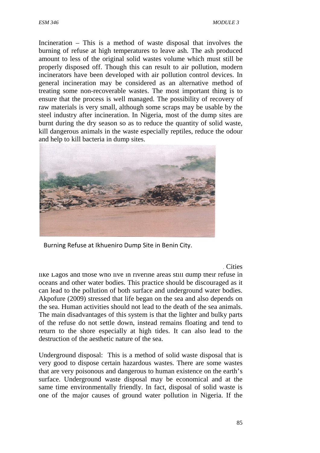Incineration – This is a method of waste disposal that involves the burning of refuse at high temperatures to leave ash. The ash produced amount to less of the original solid wastes volume which must still be properly disposed off. Though this can result to air pollution, modern incinerators have been developed with air pollution control devices. In general incineration may be considered as an alternative method of treating some non-recoverable wastes. The most important thing is to ensure that the process is well managed. The possibility of recovery of raw materials is very small, although some scraps may be usable by the steel industry after incineration. In Nigeria, most of the dump sites are burnt during the dry season so as to reduce the quantity of solid waste, kill dangerous animals in the waste especially reptiles, reduce the odour and help to kill bacteria in dump sites.



Burning Refuse at Ikhueniro Dump Site in Benin City.

#### $Cities$

like Lagos and those who live in riverine areas still dump their refuse in oceans and other water bodies. This practice should be discouraged as it can lead to the pollution of both surface and underground water bodies. Akpofure (2009) stressed that life began on the sea and also depends on the sea. Human activities should not lead to the death of the sea animals. The main disadvantages of this system is that the lighter and bulky parts of the refuse do not settle down, instead remains floating and tend to return to the shore especially at high tides. It can also lead to the destruction of the aesthetic nature of the sea.

Underground disposal: This is a method of solid waste disposal that is very good to dispose certain hazardous wastes. There are some wastes that are very poisonous and dangerous to human existence on the earth's surface. Underground waste disposal may be economical and at the same time environmentally friendly. In fact, disposal of solid waste is one of the major causes of ground water pollution in Nigeria. If the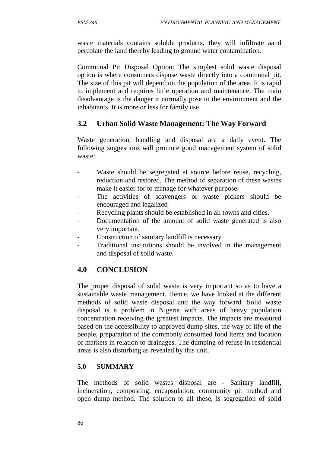waste materials contains soluble products, they will infiltrate aand percolate the land thereby leading to ground water contamination.

Communal Pit Disposal Option: The simplest solid waste disposal option is where consumers dispose waste directly into a communal pit. The size of this pit will depend on the population of the area. It is rapid to implement and requires little operation and maintenance. The main disadvantage is the danger it normally pose to the environment and the inhabitants. It is more or less for family use.

# **3.2 Urban Solid Waste Management: The Way Forward**

Waste generation, handling and disposal are a daily event. The following suggestions will promote good management system of solid waste:

- Waste should be segregated at source before reuse, recycling, reduction and restored. The method of separation of these wastes make it easier for to manage for whatever purpose.
- The activities of scavengers or waste pickers should be encouraged and legalized
- Recycling plants should be established in all towns and cities.
- Documentation of the amount of solid waste generated is also very important.
- Construction of sanitary landfill is necessary
- Traditional institutions should be involved in the management and disposal of solid waste.

# **4.0 CONCLUSION**

The proper disposal of solid waste is very important so as to have a sustainable waste management. Hence, we have looked at the different methods of solid waste disposal and the way forward. Solid waste disposal is a problem in Nigeria with areas of heavy population concentration receiving the greatest impacts. The impacts are measured based on the accessibility to approved dump sites, the way of life of the people, preparation of the commonly consumed food items and location of markets in relation to drainages. The dumping of refuse in residential areas is also disturbing as revealed by this unit.

# **5.0 SUMMARY**

The methods of solid wastes disposal are - Sanitary landfill, incineration, composting, encapsulation, community pit method and open dump method. The solution to all these, is segregation of solid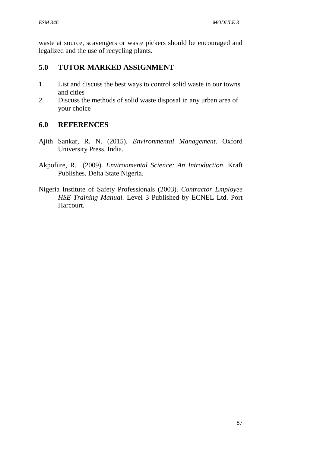waste at source, scavengers or waste pickers should be encouraged and legalized and the use of recycling plants.

# **5.0 TUTOR-MARKED ASSIGNMENT**

- 1. List and discuss the best ways to control solid waste in our towns and cities
- 2. Discuss the methods of solid waste disposal in any urban area of your choice

# **6.0 REFERENCES**

- Ajith Sankar, R. N. (2015). *Environmental Management*. Oxford University Press. India.
- Akpofure, R. (2009). *Environmental Science: An Introduction*. Kraft Publishes. Delta State Nigeria.
- Nigeria Institute of Safety Professionals (2003). *Contractor Employee HSE Training Manual.* Level 3 Published by ECNEL Ltd. Port Harcourt.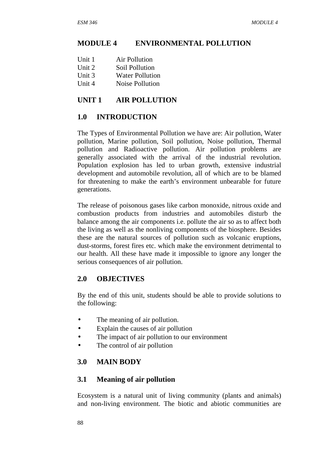# **MODULE 4 ENVIRONMENTAL POLLUTION**

| Unit 1 | Air Pollution          |
|--------|------------------------|
| Unit 2 | Soil Pollution         |
| Unit 3 | <b>Water Pollution</b> |
| Unit 4 | Noise Pollution        |

# **UNIT 1 AIR POLLUTION**

# **1.0 INTRODUCTION**

The Types of Environmental Pollution we have are: Air pollution, Water pollution, Marine pollution, Soil pollution, Noise pollution, Thermal pollution and Radioactive pollution. Air pollution problems are generally associated with the arrival of the industrial revolution. Population explosion has led to urban growth, extensive industrial development and automobile revolution, all of which are to be blamed for threatening to make the earth's environment unbearable for future generations.

The release of poisonous gases like carbon monoxide, nitrous oxide and combustion products from industries and automobiles disturb the balance among the air components i.e. pollute the air so as to affect both the living as well as the nonliving components of the biosphere. Besides these are the natural sources of pollution such as volcanic eruptions, dust-storms, forest fires etc. which make the environment detrimental to our health. All these have made it impossible to ignore any longer the serious consequences of air pollution.

# **2.0 OBJECTIVES**

By the end of this unit, students should be able to provide solutions to the following:

- The meaning of air pollution.
- Explain the causes of air pollution
- The impact of air pollution to our environment
- The control of air pollution

# **3.0 MAIN BODY**

# **3.1 Meaning of air pollution**

Ecosystem is a natural unit of living community (plants and animals) and non-living environment. The biotic and abiotic communities are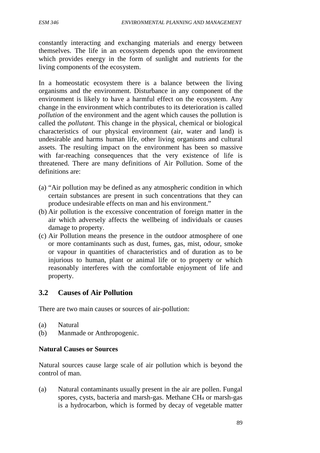constantly interacting and exchanging materials and energy between themselves. The life in an ecosystem depends upon the environment which provides energy in the form of sunlight and nutrients for the living components of the ecosystem.

In a homeostatic ecosystem there is a balance between the living organisms and the environment. Disturbance in any component of the environment is likely to have a harmful effect on the ecosystem. Any change in the environment which contributes to its deterioration is called *pollution* of the environment and the agent which causes the pollution is called the *pollutant.* This change in the physical, chemical or biological characteristics of our physical environment (air, water and land) is undesirable and harms human life, other living organisms and cultural assets. The resulting impact on the environment has been so massive with far-reaching consequences that the very existence of life is threatened. There are many definitions of Air Pollution. Some of the definitions are:

- (a) "Air pollution may be defined as any atmospheric condition in which certain substances are present in such concentrations that they can produce undesirable effects on man and his environment."
- (b) Air pollution is the excessive concentration of foreign matter in the air which adversely affects the wellbeing of individuals or causes damage to property.
- (c) Air Pollution means the presence in the outdoor atmosphere of one or more contaminants such as dust, fumes, gas, mist, odour, smoke or vapour in quantities of characteristics and of duration as to be injurious to human, plant or animal life or to property or which reasonably interferes with the comfortable enjoyment of life and property.

# **3.2 Causes of Air Pollution**

There are two main causes or sources of air-pollution:

- (a) Natural
- (b) Manmade or Anthropogenic.

#### **Natural Causes or Sources**

Natural sources cause large scale of air pollution which is beyond the control of man.

(a) Natural contaminants usually present in the air are pollen. Fungal spores, cysts, bacteria and marsh-gas. Methane CH<sub>4</sub> or marsh-gas is a hydrocarbon, which is formed by decay of vegetable matter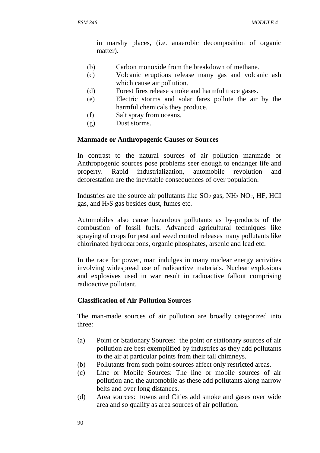in marshy places, (i.e. anaerobic decomposition of organic matter).

- (b) Carbon monoxide from the breakdown of methane.
- (c) Volcanic eruptions release many gas and volcanic ash which cause air pollution.
- (d) Forest fires release smoke and harmful trace gases.
- (e) Electric storms and solar fares pollute the air by the harmful chemicals they produce.
- (f) Salt spray from oceans.
- (g) Dust storms.

#### **Manmade or Anthropogenic Causes or Sources**

In contrast to the natural sources of air pollution manmade or Anthropogenic sources pose problems seer enough to endanger life and property. Rapid industrialization, automobile revolution and deforestation are the inevitable consequences of over population.

Industries are the source air pollutants like  $SO_2$  gas,  $NH_3$   $NO_2$ , HF, HCI gas, and H2S gas besides dust, fumes etc.

Automobiles also cause hazardous pollutants as by-products of the combustion of fossil fuels. Advanced agricultural techniques like spraying of crops for pest and weed control releases many pollutants like chlorinated hydrocarbons, organic phosphates, arsenic and lead etc.

In the race for power, man indulges in many nuclear energy activities involving widespread use of radioactive materials. Nuclear explosions and explosives used in war result in radioactive fallout comprising radioactive pollutant.

#### **Classification of Air Pollution Sources**

The man-made sources of air pollution are broadly categorized into three:

- (a) Point or Stationary Sources: the point or stationary sources of air pollution are best exemplified by industries as they add pollutants to the air at particular points from their tall chimneys.
- (b) Pollutants from such point-sources affect only restricted areas.
- (c) Line or Mobile Sources: The line or mobile sources of air pollution and the automobile as these add pollutants along narrow belts and over long distances.
- (d) Area sources: towns and Cities add smoke and gases over wide area and so qualify as area sources of air pollution.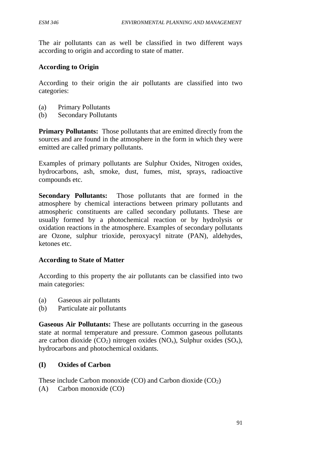The air pollutants can as well be classified in two different ways according to origin and according to state of matter.

#### **According to Origin**

According to their origin the air pollutants are classified into two categories:

- (a) Primary Pollutants
- (b) Secondary Pollutants

**Primary Pollutants:** Those pollutants that are emitted directly from the sources and are found in the atmosphere in the form in which they were emitted are called primary pollutants.

Examples of primary pollutants are Sulphur Oxides, Nitrogen oxides, hydrocarbons, ash, smoke, dust, fumes, mist, sprays, radioactive compounds etc.

**Secondary Pollutants:** Those pollutants that are formed in the atmosphere by chemical interactions between primary pollutants and atmospheric constituents are called secondary pollutants. These are usually formed by a photochemical reaction or by hydrolysis or oxidation reactions in the atmosphere. Examples of secondary pollutants are Ozone, sulphur trioxide, peroxyacyl nitrate (PAN), aldehydes, ketones etc.

#### **According to State of Matter**

According to this property the air pollutants can be classified into two main categories:

- (a) Gaseous air pollutants
- (b) Particulate air pollutants

**Gaseous Air Pollutants:** These are pollutants occurring in the gaseous state at normal temperature and pressure. Common gaseous pollutants are carbon dioxide  $(CO_2)$  nitrogen oxides  $(NO_x)$ , Sulphur oxides  $(SO_x)$ , hydrocarbons and photochemical oxidants.

#### **(I) Oxides of Carbon**

These include Carbon monoxide  $(CO)$  and Carbon dioxide  $(CO<sub>2</sub>)$ 

(A) Carbon monoxide (CO)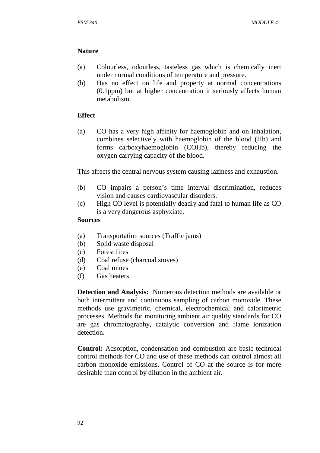#### **Nature**

- (a) Colourless, odourless, tasteless gas which is chemically inert under normal conditions of temperature and pressure.
- (b) Has no effect on life and property at normal concentrations (0.1ppm) but at higher concentration it seriously affects human metabolism.

#### **Effect**

(a) CO has a very high affinity for haemoglobin and on inhalation, combines selectively with haemoglobin of the blood (Hb) and forms carboxyhaemoglobin (COHb), thereby reducing the oxygen carrying capacity of the blood.

This affects the central nervous system causing laziness and exhaustion.

- (b) CO impairs a person's time interval discrimination, reduces vision and causes cardiovascular disorders.
- (c) High CO level is potentially deadly and fatal to human life as CO is a very dangerous asphyxiate.

#### **Sources**

- (a) Transportation sources (Traffic jams)
- (b) Solid waste disposal
- (c) Forest fires
- (d) Coal refuse (charcoal stoves)
- (e) Coal mines
- (f) Gas heaters

**Detection and Analysis:** Numerous detection methods are available or both intermittent and continuous sampling of carbon monoxide. These methods use gravimetric, chemical, electrochemical and calorimetric processes. Methods for monitoring ambient air quality standards for CO are gas chromatography, catalytic conversion and flame ionization detection.

**Control:** Adsorption, condensation and combustion are basic technical control methods for CO and use of these methods can control almost all carbon monoxide emissions. Control of CO at the source is for more desirable than control by dilution in the ambient air.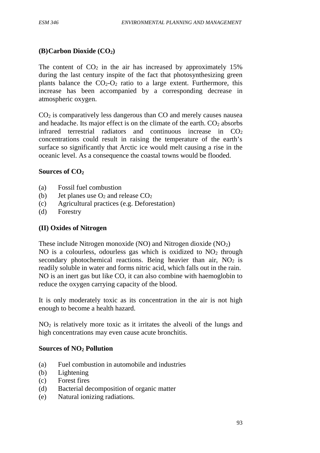#### **(B)Carbon Dioxide (CO2)**

The content of  $CO<sub>2</sub>$  in the air has increased by approximately 15% during the last century inspite of the fact that photosynthesizing green plants balance the  $CO<sub>2</sub>-O<sub>2</sub>$  ratio to a large extent. Furthermore, this increase has been accompanied by a corresponding decrease in atmospheric oxygen.

 $CO<sub>2</sub>$  is comparatively less dangerous than  $CO$  and merely causes nausea and headache. Its major effect is on the climate of the earth.  $CO<sub>2</sub>$  absorbs infrared terrestrial radiators and continuous increase in  $CO<sub>2</sub>$ concentrations could result in raising the temperature of the earth's surface so significantly that Arctic ice would melt causing a rise in the oceanic level. As a consequence the coastal towns would be flooded.

#### **Sources of CO<sup>2</sup>**

- (a) Fossil fuel combustion
- (b) Jet planes use  $O_2$  and release  $CO_2$
- (c) Agricultural practices (e.g. Deforestation)
- (d) Forestry

#### **(II) Oxides of Nitrogen**

These include Nitrogen monoxide (NO) and Nitrogen dioxide  $(NO<sub>2</sub>)$ NO is a colourless, odourless gas which is oxidized to  $NO<sub>2</sub>$  through secondary photochemical reactions. Being heavier than air,  $NO<sub>2</sub>$  is readily soluble in water and forms nitric acid, which falls out in the rain. NO is an inert gas but like CO, it can also combine with haemoglobin to reduce the oxygen carrying capacity of the blood.

It is only moderately toxic as its concentration in the air is not high enough to become a health hazard.

 $NO<sub>2</sub>$  is relatively more toxic as it irritates the alveoli of the lungs and high concentrations may even cause acute bronchitis.

#### **Sources of NO<sup>2</sup> Pollution**

- (a) Fuel combustion in automobile and industries
- (b) Lightening
- (c) Forest fires
- (d) Bacterial decomposition of organic matter
- (e) Natural ionizing radiations.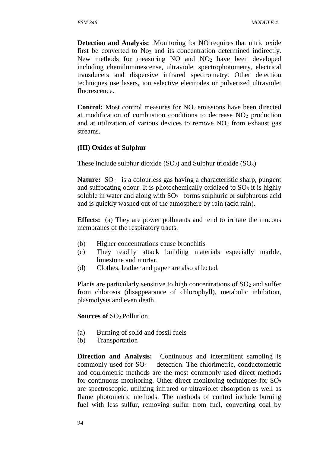**Detection and Analysis:** Monitoring for NO requires that nitric oxide first be converted to  $No<sub>2</sub>$  and its concentration determined indirectly. New methods for measuring NO and  $NO<sub>2</sub>$  have been developed including chemiluminescense, ultraviolet spectrophotometry, electrical transducers and dispersive infrared spectrometry. Other detection techniques use lasers, ion selective electrodes or pulverized ultraviolet fluorescence.

**Control:** Most control measures for NO<sub>2</sub> emissions have been directed at modification of combustion conditions to decrease  $NO<sub>2</sub>$  production and at utilization of various devices to remove  $NO<sub>2</sub>$  from exhaust gas streams.

#### **(III) Oxides of Sulphur**

These include sulphur dioxide  $(SO_2)$  and Sulphur trioxide  $(SO_3)$ 

**Nature:**  $SO_2$  is a colourless gas having a characteristic sharp, pungent and suffocating odour. It is photochemically oxidized to  $SO<sub>3</sub>$  it is highly soluble in water and along with  $SO<sub>3</sub>$  forms sulphuric or sulphurous acid and is quickly washed out of the atmosphere by rain (acid rain).

**Effects:** (a) They are power pollutants and tend to irritate the mucous membranes of the respiratory tracts.

- (b) Higher concentrations cause bronchitis
- (c) They readily attack building materials especially marble, limestone and mortar.
- (d) Clothes, leather and paper are also affected.

Plants are particularly sensitive to high concentrations of  $SO<sub>2</sub>$  and suffer from chlorosis (disappearance of chlorophyll), metabolic inhibition, plasmolysis and even death.

#### **Sources of** SO<sub>2</sub> Pollution

- (a) Burning of solid and fossil fuels
- (b) Transportation

**Direction and Analysis:** Continuous and intermittent sampling is commonly used for  $SO<sub>2</sub>$  detection. The chlorimetric, conductometric and coulometric methods are the most commonly used direct methods for continuous monitoring. Other direct monitoring techniques for  $SO<sub>2</sub>$ are spectroscopic, utilizing infrared or ultraviolet absorption as well as flame photometric methods. The methods of control include burning fuel with less sulfur, removing sulfur from fuel, converting coal by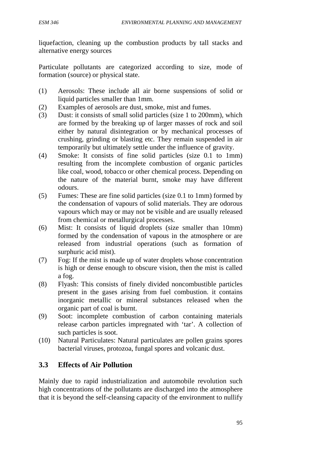liquefaction, cleaning up the combustion products by tall stacks and alternative energy sources

Particulate pollutants are categorized according to size, mode of formation (source) or physical state.

- (1) Aerosols: These include all air borne suspensions of solid or liquid particles smaller than 1mm.
- (2) Examples of aerosols are dust, smoke, mist and fumes.
- (3) Dust: it consists of small solid particles (size 1 to 200mm), which are formed by the breaking up of larger masses of rock and soil either by natural disintegration or by mechanical processes of crushing, grinding or blasting etc. They remain suspended in air temporarily but ultimately settle under the influence of gravity.
- (4) Smoke: It consists of fine solid particles (size 0.1 to 1mm) resulting from the incomplete combustion of organic particles like coal, wood, tobacco or other chemical process. Depending on the nature of the material burnt, smoke may have different odours.
- (5) Fumes: These are fine solid particles (size 0.1 to 1mm) formed by the condensation of vapours of solid materials. They are odorous vapours which may or may not be visible and are usually released from chemical or metallurgical processes.
- (6) Mist: It consists of liquid droplets (size smaller than 10mm) formed by the condensation of vapous in the atmosphere or are released from industrial operations (such as formation of surphuric acid mist).
- (7) Fog: If the mist is made up of water droplets whose concentration is high or dense enough to obscure vision, then the mist is called a fog.
- (8) Flyash: This consists of finely divided noncombustible particles present in the gases arising from fuel combustion. it contains inorganic metallic or mineral substances released when the organic part of coal is burnt.
- (9) Soot: incomplete combustion of carbon containing materials release carbon particles impregnated with 'tar'. A collection of such particles is soot.
- (10) Natural Particulates: Natural particulates are pollen grains spores bacterial viruses, protozoa, fungal spores and volcanic dust.

# **3.3 Effects of Air Pollution**

Mainly due to rapid industrialization and automobile revolution such high concentrations of the pollutants are discharged into the atmosphere that it is beyond the self-cleansing capacity of the environment to nullify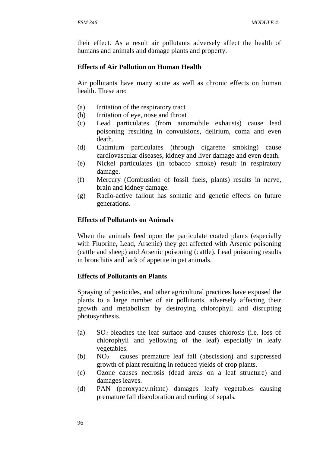their effect. As a result air pollutants adversely affect the health of humans and animals and damage plants and property.

#### **Effects of Air Pollution on Human Health**

Air pollutants have many acute as well as chronic effects on human health. These are:

- (a) Irritation of the respiratory tract
- (b) Irritation of eye, nose and throat
- (c) Lead particulates (from automobile exhausts) cause lead poisoning resulting in convulsions, delirium, coma and even death.
- (d) Cadmium particulates (through cigarette smoking) cause cardiovascular diseases, kidney and liver damage and even death.
- (e) Nickel particulates (in tobacco smoke) result in respiratory damage.
- (f) Mercury (Combustion of fossil fuels, plants) results in nerve, brain and kidney damage.
- (g) Radio-active fallout has somatic and genetic effects on future generations.

#### **Effects of Pollutants on Animals**

When the animals feed upon the particulate coated plants (especially with Fluorine, Lead, Arsenic) they get affected with Arsenic poisoning (cattle and sheep) and Arsenic poisoning (cattle). Lead poisoning results in bronchitis and lack of appetite in pet animals.

#### **Effects of Pollutants on Plants**

Spraying of pesticides, and other agricultural practices have exposed the plants to a large number of air pollutants, adversely affecting their growth and metabolism by destroying chlorophyll and disrupting photosynthesis.

- (a) SO<sup>2</sup> bleaches the leaf surface and causes chlorosis (i.e. loss of chlorophyll and yellowing of the leaf) especially in leafy vegetables.
- (b) NO<sup>2</sup> causes premature leaf fall (abscission) and suppressed growth of plant resulting in reduced yields of crop plants.
- (c) Ozone causes necrosis (dead areas on a leaf structure) and damages leaves.
- (d) PAN (peroxyacylnitate) damages leafy vegetables causing premature fall discoloration and curling of sepals.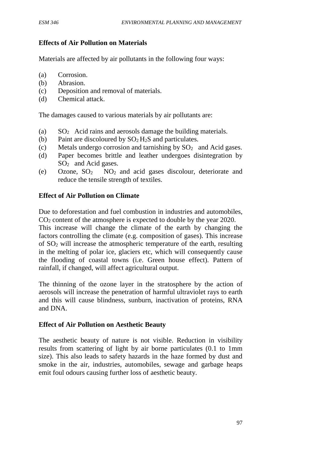# **Effects of Air Pollution on Materials**

Materials are affected by air pollutants in the following four ways:

- (a) Corrosion.
- (b) Abrasion.
- (c) Deposition and removal of materials.
- (d) Chemical attack.

The damages caused to various materials by air pollutants are:

- (a)  $SO<sub>2</sub>$  Acid rains and aerosols damage the building materials.
- (b) Paint are discoloured by  $SO<sub>2</sub>H<sub>2</sub>S$  and particulates.
- (c) Metals undergo corrosion and tarnishing by  $SO<sub>2</sub>$  and Acid gases.
- (d) Paper becomes brittle and leather undergoes disintegration by SO<sub>2</sub> and Acid gases.
- (e) Ozone,  $SO_2$  NO<sub>2</sub> and acid gases discolour, deteriorate and reduce the tensile strength of textiles.

#### **Effect of Air Pollution on Climate**

Due to deforestation and fuel combustion in industries and automobiles, CO<sup>2</sup> content of the atmosphere is expected to double by the year 2020.

This increase will change the climate of the earth by changing the factors controlling the climate (e.g. composition of gases). This increase of SO<sup>2</sup> will increase the atmospheric temperature of the earth, resulting in the melting of polar ice, glaciers etc, which will consequently cause the flooding of coastal towns (i.e. Green house effect). Pattern of rainfall, if changed, will affect agricultural output.

The thinning of the ozone layer in the stratosphere by the action of aerosols will increase the penetration of harmful ultraviolet rays to earth and this will cause blindness, sunburn, inactivation of proteins, RNA and DNA.

#### **Effect of Air Pollution on Aesthetic Beauty**

The aesthetic beauty of nature is not visible. Reduction in visibility results from scattering of light by air borne particulates (0.1 to 1mm size). This also leads to safety hazards in the haze formed by dust and smoke in the air, industries, automobiles, sewage and garbage heaps emit foul odours causing further loss of aesthetic beauty.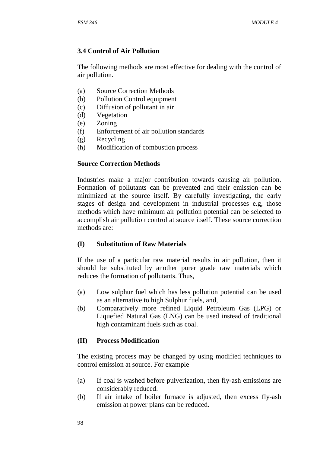#### **3.4 Control of Air Pollution**

The following methods are most effective for dealing with the control of air pollution.

- (a) Source Correction Methods
- (b) Pollution Control equipment
- (c) Diffusion of pollutant in air
- (d) Vegetation
- (e) Zoning
- (f) Enforcement of air pollution standards
- (g) Recycling
- (h) Modification of combustion process

#### **Source Correction Methods**

Industries make a major contribution towards causing air pollution. Formation of pollutants can be prevented and their emission can be minimized at the source itself. By carefully investigating, the early stages of design and development in industrial processes e.g, those methods which have minimum air pollution potential can be selected to accomplish air pollution control at source itself. These source correction methods are:

# **(I) Substitution of Raw Materials**

If the use of a particular raw material results in air pollution, then it should be substituted by another purer grade raw materials which reduces the formation of pollutants. Thus,

- (a) Low sulphur fuel which has less pollution potential can be used as an alternative to high Sulphur fuels, and,
- (b) Comparatively more refined Liquid Petroleum Gas (LPG) or Liquefied Natural Gas (LNG) can be used instead of traditional high contaminant fuels such as coal.

#### **(II) Process Modification**

The existing process may be changed by using modified techniques to control emission at source. For example

- (a) If coal is washed before pulverization, then fly-ash emissions are considerably reduced.
- (b) If air intake of boiler furnace is adjusted, then excess fly-ash emission at power plans can be reduced.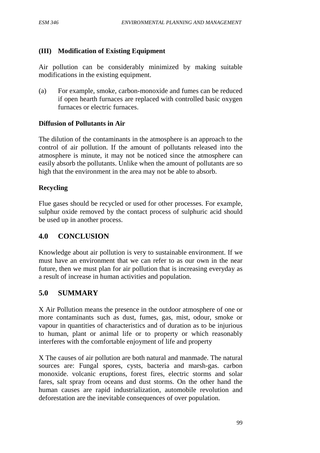#### **(III) Modification of Existing Equipment**

Air pollution can be considerably minimized by making suitable modifications in the existing equipment.

(a) For example, smoke, carbon-monoxide and fumes can be reduced if open hearth furnaces are replaced with controlled basic oxygen furnaces or electric furnaces.

#### **Diffusion of Pollutants in Air**

The dilution of the contaminants in the atmosphere is an approach to the control of air pollution. If the amount of pollutants released into the atmosphere is minute, it may not be noticed since the atmosphere can easily absorb the pollutants. Unlike when the amount of pollutants are so high that the environment in the area may not be able to absorb.

#### **Recycling**

Flue gases should be recycled or used for other processes. For example, sulphur oxide removed by the contact process of sulphuric acid should be used up in another process.

# **4.0 CONCLUSION**

Knowledge about air pollution is very to sustainable environment. If we must have an environment that we can refer to as our own in the near future, then we must plan for air pollution that is increasing everyday as a result of increase in human activities and population.

# **5.0 SUMMARY**

X Air Pollution means the presence in the outdoor atmosphere of one or more contaminants such as dust, fumes, gas, mist, odour, smoke or vapour in quantities of characteristics and of duration as to be injurious to human, plant or animal life or to property or which reasonably interferes with the comfortable enjoyment of life and property

X The causes of air pollution are both natural and manmade. The natural sources are: Fungal spores, cysts, bacteria and marsh-gas. carbon monoxide. volcanic eruptions, forest fires, electric storms and solar fares, salt spray from oceans and dust storms. On the other hand the human causes are rapid industrialization, automobile revolution and deforestation are the inevitable consequences of over population.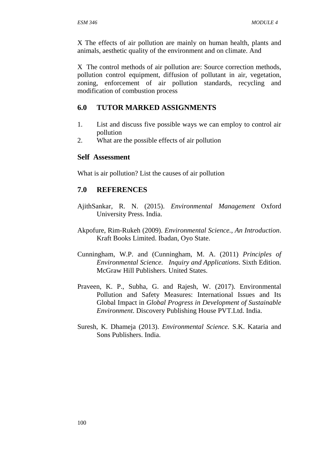X The effects of air pollution are mainly on human health, plants and animals, aesthetic quality of the environment and on climate. And

X The control methods of air pollution are: Source correction methods, pollution control equipment, diffusion of pollutant in air, vegetation, zoning, enforcement of air pollution standards, recycling and modification of combustion process

# **6.0 TUTOR MARKED ASSIGNMENTS**

- 1. List and discuss five possible ways we can employ to control air pollution
- 2. What are the possible effects of air pollution

#### **Self Assessment**

What is air pollution? List the causes of air pollution

# **7.0 REFERENCES**

- AjithSankar, R. N. (2015). *Environmental Management* Oxford University Press. India.
- Akpofure, Rim-Rukeh (2009). *Environmental Science., An Introduction*. Kraft Books Limited. Ibadan, Oyo State.
- Cunningham, W.P. and (Cunningham, M. A. (2011) *Principles of Environmental Science. Inquiry and Applications*. Sixth Edition. McGraw Hill Publishers. United States.
- Praveen, K. P., Subha, G. and Rajesh, W. (2017). Environmental Pollution and Safety Measures: International Issues and Its Global Impact in *Global Progress in Development of Sustainable Environment*. Discovery Publishing House PVT.Ltd. India.
- Suresh, K. Dhameja (2013). *Environmental Science.* S.K. Kataria and Sons Publishers. India.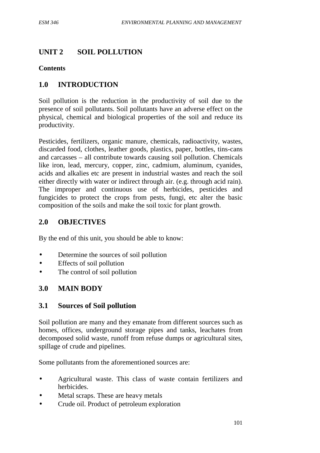# **UNIT 2 SOIL POLLUTION**

#### **Contents**

## **1.0 INTRODUCTION**

Soil pollution is the reduction in the productivity of soil due to the presence of soil pollutants. Soil pollutants have an adverse effect on the physical, chemical and biological properties of the soil and reduce its productivity.

Pesticides, fertilizers, organic manure, chemicals, radioactivity, wastes, discarded food, clothes, leather goods, plastics, paper, bottles, tins-cans and carcasses – all contribute towards causing soil pollution. Chemicals like iron, lead, mercury, copper, zinc, cadmium, aluminum, cyanides, acids and alkalies etc are present in industrial wastes and reach the soil either directly with water or indirect through air. (e.g. through acid rain). The improper and continuous use of herbicides, pesticides and fungicides to protect the crops from pests, fungi, etc alter the basic composition of the soils and make the soil toxic for plant growth.

## **2.0 OBJECTIVES**

By the end of this unit, you should be able to know:

- Determine the sources of soil pollution
- Effects of soil pollution
- The control of soil pollution

## **3.0 MAIN BODY**

### **3.1 Sources of Soil pollution**

Soil pollution are many and they emanate from different sources such as homes, offices, underground storage pipes and tanks, leachates from decomposed solid waste, runoff from refuse dumps or agricultural sites, spillage of crude and pipelines.

Some pollutants from the aforementioned sources are:

- Agricultural waste. This class of waste contain fertilizers and herbicides.
- Metal scraps. These are heavy metals
- Crude oil. Product of petroleum exploration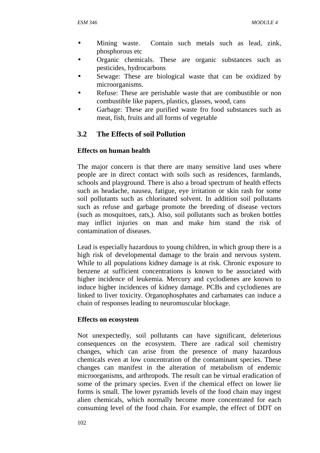- Mining waste. Contain such metals such as lead, zink, phosphorous etc
- Organic chemicals. These are organic substances such as pesticides, hydrocarbons
- Sewage: These are biological waste that can be oxidized by microorganisms.
- Refuse: These are perishable waste that are combustible or non combustible like papers, plastics, glasses, wood, cans
- Garbage: These are purified waste fro food substances such as meat, fish, fruits and all forms of vegetable

# **3.2 The Effects of soil Pollution**

### **Effects on human health**

The major concern is that there are many sensitive land uses where people are in direct contact with soils such as residences, farmlands, schools and playground. There is also a broad spectrum of health effects such as headache, nausea, fatigue, eye irritation or skin rash for some soil pollutants such as chlorinated solvent. In addition soil pollutants such as refuse and garbage promote the breeding of disease vectors (such as mosquitoes, rats,). Also, soil pollutants such as broken bottles may inflict injuries on man and make him stand the risk of contamination of diseases.

Lead is especially hazardous to young children, in which group there is a high risk of developmental damage to the brain and nervous system. While to all populations kidney damage is at risk. Chronic exposure to benzene at sufficient concentrations is known to be associated with higher incidence of leukemia. Mercury and cyclodienes are known to induce higher incidences of kidney damage. PCBs and cyclodienes are linked to liver toxicity. Organophosphates and carbamates can induce a chain of responses leading to neuromuscular blockage.

### **Effects on ecosystem**

Not unexpectedly, soil pollutants can have significant, deleterious consequences on the ecosystem. There are radical soil chemistry changes, which can arise from the presence of many hazardous chemicals even at low concentration of the contaminant species. These changes can manifest in the alteration of metabolism of endemic microorganisms, and arthropods. The result can be virtual eradication of some of the primary species. Even if the chemical effect on lower lie forms is small. The lower pyramids levels of the food chain may ingest alien chemicals, which normally become more concentrated for each consuming level of the food chain. For example, the effect of DDT on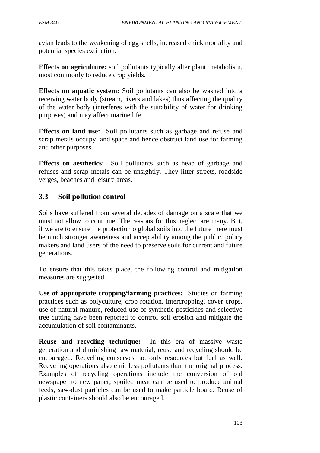avian leads to the weakening of egg shells, increased chick mortality and potential species extinction.

**Effects on agriculture:** soil pollutants typically alter plant metabolism, most commonly to reduce crop yields.

**Effects on aquatic system:** Soil pollutants can also be washed into a receiving water body (stream, rivers and lakes) thus affecting the quality of the water body (interferes with the suitability of water for drinking purposes) and may affect marine life.

**Effects on land use:** Soil pollutants such as garbage and refuse and scrap metals occupy land space and hence obstruct land use for farming and other purposes.

**Effects on aesthetics:** Soil pollutants such as heap of garbage and refuses and scrap metals can be unsightly. They litter streets, roadside verges, beaches and leisure areas.

## **3.3 Soil pollution control**

Soils have suffered from several decades of damage on a scale that we must not allow to continue. The reasons for this neglect are many. But, if we are to ensure the protection o global soils into the future there must be much stronger awareness and acceptability among the public, policy makers and land users of the need to preserve soils for current and future generations.

To ensure that this takes place, the following control and mitigation measures are suggested.

**Use of appropriate cropping/farming practices:** Studies on farming practices such as polyculture, crop rotation, intercropping, cover crops, use of natural manure, reduced use of synthetic pesticides and selective tree cutting have been reported to control soil erosion and mitigate the accumulation of soil contaminants.

**Reuse and recycling technique:** In this era of massive waste generation and diminishing raw material, reuse and recycling should be encouraged. Recycling conserves not only resources but fuel as well. Recycling operations also emit less pollutants than the original process. Examples of recycling operations include the conversion of old newspaper to new paper, spoiled meat can be used to produce animal feeds, saw-dust particles can be used to make particle board. Reuse of plastic containers should also be encouraged.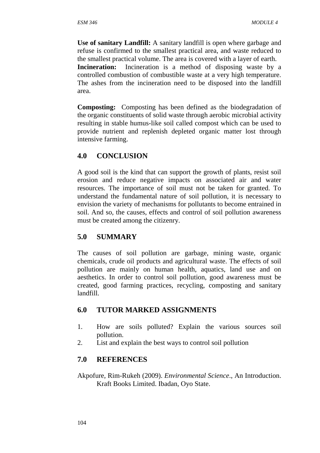**Use of sanitary Landfill:** A sanitary landfill is open where garbage and refuse is confirmed to the smallest practical area, and waste reduced to the smallest practical volume. The area is covered with a layer of earth.

**Incineration:** Incineration is a method of disposing waste by a controlled combustion of combustible waste at a very high temperature. The ashes from the incineration need to be disposed into the landfill area.

**Composting:** Composting has been defined as the biodegradation of the organic constituents of solid waste through aerobic microbial activity resulting in stable humus-like soil called compost which can be used to provide nutrient and replenish depleted organic matter lost through intensive farming.

## **4.0 CONCLUSION**

A good soil is the kind that can support the growth of plants, resist soil erosion and reduce negative impacts on associated air and water resources. The importance of soil must not be taken for granted. To understand the fundamental nature of soil pollution, it is necessary to envision the variety of mechanisms for pollutants to become entrained in soil. And so, the causes, effects and control of soil pollution awareness must be created among the citizenry.

## **5.0 SUMMARY**

The causes of soil pollution are garbage, mining waste, organic chemicals, crude oil products and agricultural waste. The effects of soil pollution are mainly on human health, aquatics, land use and on aesthetics. In order to control soil pollution, good awareness must be created, good farming practices, recycling, composting and sanitary landfill.

## **6.0 TUTOR MARKED ASSIGNMENTS**

- 1. How are soils polluted? Explain the various sources soil pollution.
- 2. List and explain the best ways to control soil pollution

## **7.0 REFERENCES**

Akpofure, Rim-Rukeh (2009). *Environmental Science*., An Introduction. Kraft Books Limited. Ibadan, Oyo State.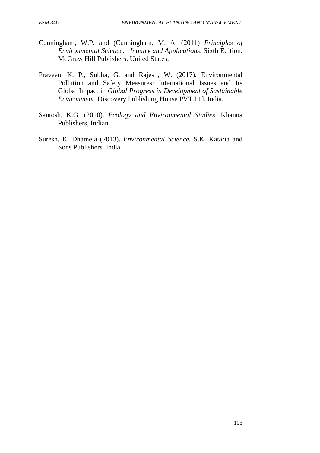- Cunningham, W.P. and (Cunningham, M. A. (2011) *Principles of Environmental Science. Inquiry and Applications*. Sixth Edition. McGraw Hill Publishers. United States.
- Praveen, K. P., Subha, G. and Rajesh, W. (2017). Environmental Pollution and Safety Measures: International Issues and Its Global Impact in *Global Progress in Development of Sustainable Environment*. Discovery Publishing House PVT.Ltd. India.
- Santosh, K.G. (2010). *Ecology and Environmental Studies*. Khanna Publishers, Indian.
- Suresh, K. Dhameja (2013). *Environmental Science.* S.K. Kataria and Sons Publishers. India.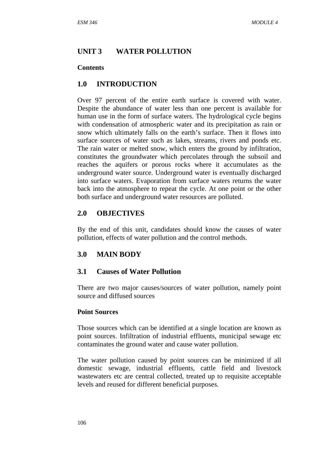## **UNIT 3 WATER POLLUTION**

#### **Contents**

### **1.0 INTRODUCTION**

Over 97 percent of the entire earth surface is covered with water. Despite the abundance of water less than one percent is available for human use in the form of surface waters. The hydrological cycle begins with condensation of atmospheric water and its precipitation as rain or snow which ultimately falls on the earth's surface. Then it flows into surface sources of water such as lakes, streams, rivers and ponds etc. The rain water or melted snow, which enters the ground by infiltration, constitutes the groundwater which percolates through the subsoil and reaches the aquifers or porous rocks where it accumulates as the underground water source. Underground water is eventually discharged into surface waters. Evaporation from surface waters returns the water back into the atmosphere to repeat the cycle. At one point or the other both surface and underground water resources are polluted.

## **2.0 OBJECTIVES**

By the end of this unit, candidates should know the causes of water pollution, effects of water pollution and the control methods.

## **3.0 MAIN BODY**

### **3.1 Causes of Water Pollution**

There are two major causes/sources of water pollution, namely point source and diffused sources

#### **Point Sources**

Those sources which can be identified at a single location are known as point sources. Infiltration of industrial effluents, municipal sewage etc contaminates the ground water and cause water pollution.

The water pollution caused by point sources can be minimized if all domestic sewage, industrial effluents, cattle field and livestock wastewaters etc are central collected, treated up to requisite acceptable levels and reused for different beneficial purposes.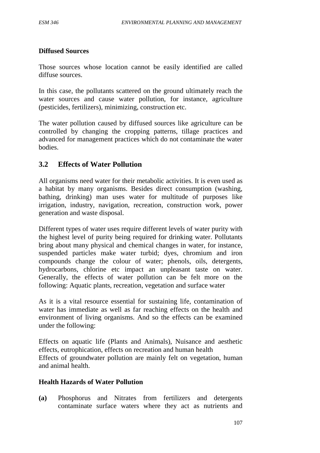#### **Diffused Sources**

Those sources whose location cannot be easily identified are called diffuse sources.

In this case, the pollutants scattered on the ground ultimately reach the water sources and cause water pollution, for instance, agriculture (pesticides, fertilizers), minimizing, construction etc.

The water pollution caused by diffused sources like agriculture can be controlled by changing the cropping patterns, tillage practices and advanced for management practices which do not contaminate the water bodies.

## **3.2 Effects of Water Pollution**

All organisms need water for their metabolic activities. It is even used as a habitat by many organisms. Besides direct consumption (washing, bathing, drinking) man uses water for multitude of purposes like irrigation, industry, navigation, recreation, construction work, power generation and waste disposal.

Different types of water uses require different levels of water purity with the highest level of purity being required for drinking water. Pollutants bring about many physical and chemical changes in water, for instance, suspended particles make water turbid; dyes, chromium and iron compounds change the colour of water; phenols, oils, detergents, hydrocarbons, chlorine etc impact an unpleasant taste on water. Generally, the effects of water pollution can be felt more on the following: Aquatic plants, recreation, vegetation and surface water

As it is a vital resource essential for sustaining life, contamination of water has immediate as well as far reaching effects on the health and environment of living organisms. And so the effects can be examined under the following:

Effects on aquatic life (Plants and Animals), Nuisance and aesthetic effects, eutrophication, effects on recreation and human health Effects of groundwater pollution are mainly felt on vegetation, human and animal health.

### **Health Hazards of Water Pollution**

**(a)** Phosphorus and Nitrates from fertilizers and detergents contaminate surface waters where they act as nutrients and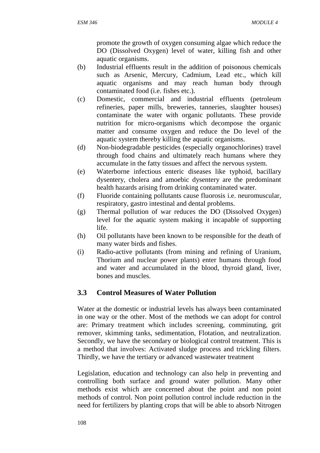promote the growth of oxygen consuming algae which reduce the DO (Dissolved Oxygen) level of water, killing fish and other aquatic organisms.

- (b) Industrial effluents result in the addition of poisonous chemicals such as Arsenic, Mercury, Cadmium, Lead etc., which kill aquatic organisms and may reach human body through contaminated food (i.e. fishes etc.).
- (c) Domestic, commercial and industrial effluents (petroleum refineries, paper mills, breweries, tanneries, slaughter houses) contaminate the water with organic pollutants. These provide nutrition for micro-organisms which decompose the organic matter and consume oxygen and reduce the Do level of the aquatic system thereby killing the aquatic organisms.
- (d) Non-biodegradable pesticides (especially organochlorines) travel through food chains and ultimately reach humans where they accumulate in the fatty tissues and affect the nervous system.
- (e) Waterborne infectious enteric diseases like typhoid, bacillary dysentery, cholera and amoebic dysentery are the predominant health hazards arising from drinking contaminated water.
- (f) Fluoride containing pollutants cause fluorosis i.e. neuromuscular, respiratory, gastro intestinal and dental problems.
- (g) Thermal pollution of war reduces the DO (Dissolved Oxygen) level for the aquatic system making it incapable of supporting life.
- (h) Oil pollutants have been known to be responsible for the death of many water birds and fishes.
- (i) Radio-active pollutants (from mining and refining of Uranium, Thorium and nuclear power plants) enter humans through food and water and accumulated in the blood, thyroid gland, liver, bones and muscles.

## **3.3 Control Measures of Water Pollution**

Water at the domestic or industrial levels has always been contaminated in one way or the other. Most of the methods we can adopt for control are: Primary treatment which includes screening, comminuting, grit remover, skimming tanks, sedimentation, Flotation, and neutralization. Secondly, we have the secondary or biological control treatment. This is a method that involves: Activated sludge process and trickling filters. Thirdly, we have the tertiary or advanced wastewater treatment

Legislation, education and technology can also help in preventing and controlling both surface and ground water pollution. Many other methods exist which are concerned about the point and non point methods of control. Non point pollution control include reduction in the need for fertilizers by planting crops that will be able to absorb Nitrogen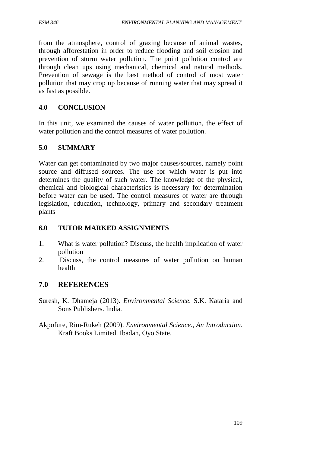from the atmosphere, control of grazing because of animal wastes, through afforestation in order to reduce flooding and soil erosion and prevention of storm water pollution. The point pollution control are through clean ups using mechanical, chemical and natural methods. Prevention of sewage is the best method of control of most water pollution that may crop up because of running water that may spread it as fast as possible.

### **4.0 CONCLUSION**

In this unit, we examined the causes of water pollution, the effect of water pollution and the control measures of water pollution.

### **5.0 SUMMARY**

Water can get contaminated by two major causes/sources, namely point source and diffused sources. The use for which water is put into determines the quality of such water. The knowledge of the physical, chemical and biological characteristics is necessary for determination before water can be used. The control measures of water are through legislation, education, technology, primary and secondary treatment plants

#### **6.0 TUTOR MARKED ASSIGNMENTS**

- 1. What is water pollution? Discuss, the health implication of water pollution
- 2. Discuss, the control measures of water pollution on human health

### **7.0 REFERENCES**

- Suresh, K. Dhameja (2013). *Environmental Science*. S.K. Kataria and Sons Publishers. India.
- Akpofure, Rim-Rukeh (2009). *Environmental Science., An Introduction*. Kraft Books Limited. Ibadan, Oyo State.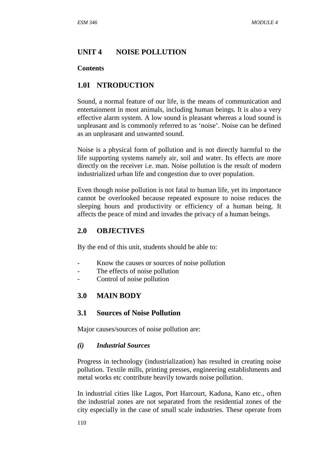## **UNIT 4 NOISE POLLUTION**

#### **Contents**

## **1.0I NTRODUCTION**

Sound, a normal feature of our life, is the means of communication and entertainment in most animals, including human beings. It is also a very effective alarm system. A low sound is pleasant whereas a loud sound is unpleasant and is commonly referred to as 'noise'. Noise can be defined as an unpleasant and unwanted sound.

Noise is a physical form of pollution and is not directly harmful to the life supporting systems namely air, soil and water. Its effects are more directly on the receiver i.e. man. Noise pollution is the result of modern industrialized urban life and congestion due to over population.

Even though noise pollution is not fatal to human life, yet its importance cannot be overlooked because repeated exposure to noise reduces the sleeping hours and productivity or efficiency of a human being. It affects the peace of mind and invades the privacy of a human beings.

### **2.0 OBJECTIVES**

By the end of this unit, students should be able to:

- Know the causes or sources of noise pollution
- The effects of noise pollution
- Control of noise pollution

## **3.0 MAIN BODY**

### **3.1 Sources of Noise Pollution**

Major causes/sources of noise pollution are:

#### *(i) Industrial Sources*

Progress in technology (industrialization) has resulted in creating noise pollution. Textile mills, printing presses, engineering establishments and metal works etc contribute heavily towards noise pollution.

In industrial cities like Lagos, Port Harcourt, Kaduna, Kano etc., often the industrial zones are not separated from the residential zones of the city especially in the case of small scale industries. These operate from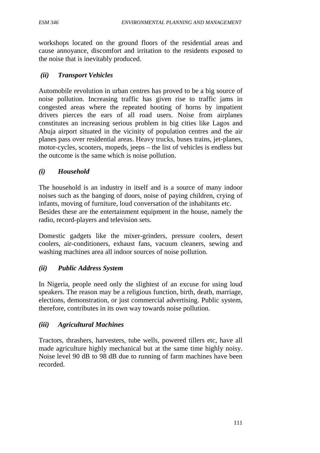workshops located on the ground floors of the residential areas and cause annoyance, discomfort and irritation to the residents exposed to the noise that is inevitably produced.

#### *(ii) Transport Vehicles*

Automobile revolution in urban centres has proved to be a big source of noise pollution. Increasing traffic has given rise to traffic jams in congested areas where the repeated hooting of horns by impatient drivers pierces the ears of all road users. Noise from airplanes constitutes an increasing serious problem in big cities like Lagos and Abuja airport situated in the vicinity of population centres and the air planes pass over residential areas. Heavy trucks, buses trains, jet-planes, motor-cycles, scooters, mopeds, jeeps – the list of vehicles is endless but the outcome is the same which is noise pollution.

### *(i) Household*

The household is an industry in itself and is a source of many indoor noises such as the banging of doors, noise of paying children, crying of infants, moving of furniture, loud conversation of the inhabitants etc. Besides these are the entertainment equipment in the house, namely the radio, record-players and television sets.

Domestic gadgets like the mixer-grinders, pressure coolers, desert coolers, air-conditioners, exhaust fans, vacuum cleaners, sewing and washing machines area all indoor sources of noise pollution.

#### *(ii) Public Address System*

In Nigeria, people need only the slightest of an excuse for using loud speakers. The reason may be a religious function, birth, death, marriage, elections, demonstration, or just commercial advertising. Public system, therefore, contributes in its own way towards noise pollution.

#### *(iii) Agricultural Machines*

Tractors, thrashers, harvesters, tube wells, powered tillers etc, have all made agriculture highly mechanical but at the same time highly noisy. Noise level 90 dB to 98 dB due to running of farm machines have been recorded.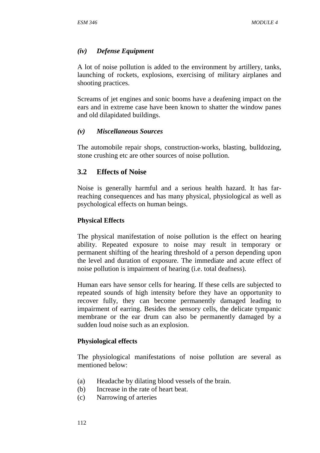### *(iv) Defense Equipment*

A lot of noise pollution is added to the environment by artillery, tanks, launching of rockets, explosions, exercising of military airplanes and shooting practices.

Screams of jet engines and sonic booms have a deafening impact on the ears and in extreme case have been known to shatter the window panes and old dilapidated buildings.

## *(v) Miscellaneous Sources*

The automobile repair shops, construction-works, blasting, bulldozing, stone crushing etc are other sources of noise pollution.

## **3.2 Effects of Noise**

Noise is generally harmful and a serious health hazard. It has farreaching consequences and has many physical, physiological as well as psychological effects on human beings.

## **Physical Effects**

The physical manifestation of noise pollution is the effect on hearing ability. Repeated exposure to noise may result in temporary or permanent shifting of the hearing threshold of a person depending upon the level and duration of exposure. The immediate and acute effect of noise pollution is impairment of hearing (i.e. total deafness).

Human ears have sensor cells for hearing. If these cells are subjected to repeated sounds of high intensity before they have an opportunity to recover fully, they can become permanently damaged leading to impairment of earring. Besides the sensory cells, the delicate tympanic membrane or the ear drum can also be permanently damaged by a sudden loud noise such as an explosion.

### **Physiological effects**

The physiological manifestations of noise pollution are several as mentioned below:

- (a) Headache by dilating blood vessels of the brain.
- (b) Increase in the rate of heart beat.
- (c) Narrowing of arteries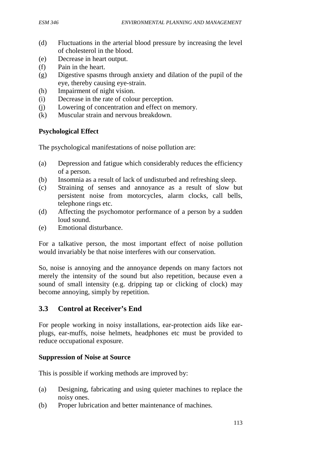- (d) Fluctuations in the arterial blood pressure by increasing the level of cholesterol in the blood.
- (e) Decrease in heart output.
- (f) Pain in the heart.
- (g) Digestive spasms through anxiety and dilation of the pupil of the eye, thereby causing eye-strain.
- (h) Impairment of night vision.
- (i) Decrease in the rate of colour perception.
- (j) Lowering of concentration and effect on memory.
- (k) Muscular strain and nervous breakdown.

## **Psychological Effect**

The psychological manifestations of noise pollution are:

- (a) Depression and fatigue which considerably reduces the efficiency of a person.
- (b) Insomnia as a result of lack of undisturbed and refreshing sleep.
- (c) Straining of senses and annoyance as a result of slow but persistent noise from motorcycles, alarm clocks, call bells, telephone rings etc.
- (d) Affecting the psychomotor performance of a person by a sudden loud sound.
- (e) Emotional disturbance.

For a talkative person, the most important effect of noise pollution would invariably be that noise interferes with our conservation.

So, noise is annoying and the annoyance depends on many factors not merely the intensity of the sound but also repetition, because even a sound of small intensity (e.g. dripping tap or clicking of clock) may become annoying, simply by repetition.

# **3.3 Control at Receiver's End**

For people working in noisy installations, ear-protection aids like ear plugs, ear-muffs, noise helmets, headphones etc must be provided to reduce occupational exposure.

### **Suppression of Noise at Source**

This is possible if working methods are improved by:

- (a) Designing, fabricating and using quieter machines to replace the noisy ones.
- (b) Proper lubrication and better maintenance of machines.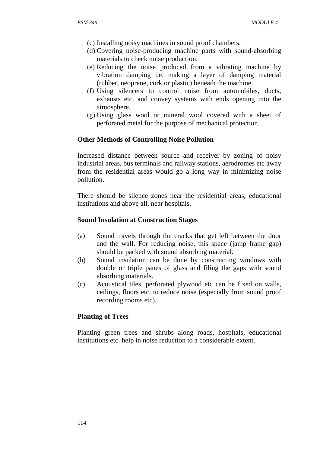- (c) Installing noisy machines in sound proof chambers.
- (d) Covering noise-producing machine parts with sound-absorbing materials to check noise production.
- (e) Reducing the noise produced from a vibrating machine by vibration damping i.e. making a layer of damping material (rubber, neoprene, cork or plastic) beneath the machine.
- (f) Using silencers to control noise from automobiles, ducts, exhausts etc. and convey systems with ends opening into the atmosphere.
- (g) Using glass wool or mineral wool covered with a sheet of perforated metal for the purpose of mechanical protection.

#### **Other Methods of Controlling Noise Pollution**

Increased distance between source and receiver by zoning of noisy industrial areas, bus terminals and railway stations, aerodromes etc away from the residential areas would go a long way in minimizing noise pollution.

There should be silence zones near the residential areas, educational institutions and above all, near hospitals.

#### **Sound Insulation at Construction Stages**

- (a) Sound travels through the cracks that get left between the door and the wall. For reducing noise, this space (jamp frame gap) should be packed with sound absorbing material.
- (b) Sound insulation can be done by constructing windows with double or triple panes of glass and filing the gaps with sound absorbing materials.
- (c) Acoustical tiles, perforated plywood etc can be fixed on walls, ceilings, floors etc. to reduce noise (especially from sound proof recording rooms etc).

#### **Planting of Trees**

Planting green trees and shrubs along roads, hospitals, educational institutions etc. help in noise reduction to a considerable extent.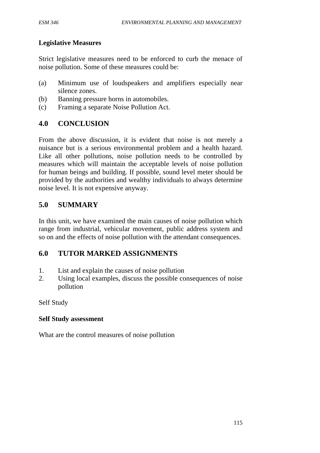## **Legislative Measures**

Strict legislative measures need to be enforced to curb the menace of noise pollution. Some of these measures could be:

- (a) Minimum use of loudspeakers and amplifiers especially near silence zones.
- (b) Banning pressure horns in automobiles.
- (c) Framing a separate Noise Pollution Act.

# **4.0 CONCLUSION**

From the above discussion, it is evident that noise is not merely a nuisance but is a serious environmental problem and a health hazard. Like all other pollutions, noise pollution needs to be controlled by measures which will maintain the acceptable levels of noise pollution for human beings and building. If possible, sound level meter should be provided by the authorities and wealthy individuals to always determine noise level. It is not expensive anyway.

# **5.0 SUMMARY**

In this unit, we have examined the main causes of noise pollution which range from industrial, vehicular movement, public address system and so on and the effects of noise pollution with the attendant consequences.

# **6.0 TUTOR MARKED ASSIGNMENTS**

- 1. List and explain the causes of noise pollution
- 2. Using local examples, discuss the possible consequences of noise pollution

Self Study

### **Self Study assessment**

What are the control measures of noise pollution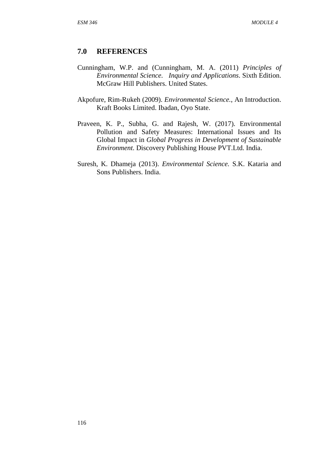## **7.0 REFERENCES**

- Cunningham, W.P. and (Cunningham, M. A. (2011) *Principles of Environmental Science. Inquiry and Applications*. Sixth Edition. McGraw Hill Publishers. United States.
- Akpofure, Rim-Rukeh (2009). *Environmental Science.*, An Introduction. Kraft Books Limited. Ibadan, Oyo State.
- Praveen, K. P., Subha, G. and Rajesh, W. (2017). Environmental Pollution and Safety Measures: International Issues and Its Global Impact in *Global Progress in Development of Sustainable Environment*. Discovery Publishing House PVT.Ltd. India.
- Suresh, K. Dhameja (2013). *Environmental Science.* S.K. Kataria and Sons Publishers. India.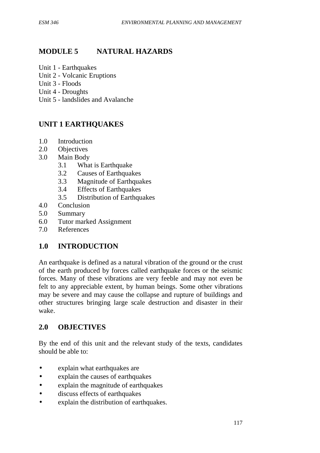# **MODULE 5 NATURAL HAZARDS**

- Unit 1 Earthquakes
- Unit 2 Volcanic Eruptions
- Unit 3 Floods
- Unit 4 Droughts
- Unit 5 landslides and Avalanche

# **UNIT 1 EARTHQUAKES**

- 1.0 Introduction
- 2.0 Objectives
- 3.0 Main Body
	- 3.1 What is Earthquake
	- 3.2 Causes of Earthquakes
	- 3.3 Magnitude of Earthquakes
	- 3.4 Effects of Earthquakes
	- 3.5 Distribution of Earthquakes
- 4.0 Conclusion
- 5.0 Summary
- 6.0 Tutor marked Assignment
- 7.0 References

## **1.0 INTRODUCTION**

An earthquake is defined as a natural vibration of the ground or the crust of the earth produced by forces called earthquake forces or the seismic forces. Many of these vibrations are very feeble and may not even be felt to any appreciable extent, by human beings. Some other vibrations may be severe and may cause the collapse and rupture of buildings and other structures bringing large scale destruction and disaster in their wake.

## **2.0 OBJECTIVES**

By the end of this unit and the relevant study of the texts, candidates should be able to:

- explain what earthquakes are
- explain the causes of earthquakes
- explain the magnitude of earthquakes
- discuss effects of earthquakes
- explain the distribution of earthquakes.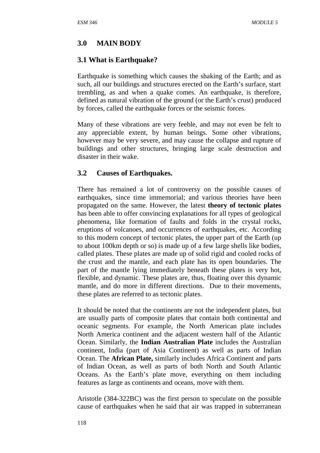## **3.0 MAIN BODY**

## **3.1 What is Earthquake?**

Earthquake is something which causes the shaking of the Earth; and as such, all our buildings and structures erected on the Earth's surface, start trembling, as and when a quake comes. An earthquake, is therefore, defined as natural vibration of the ground (or the Earth's crust) produced by forces, called the earthquake forces or the seismic forces.

Many of these vibrations are very feeble, and may not even be felt to any appreciable extent, by human beings. Some other vibrations, however may be very severe, and may cause the collapse and rupture of buildings and other structures, bringing large scale destruction and disaster in their wake.

## **3.2 Causes of Earthquakes.**

There has remained a lot of controversy on the possible causes of earthquakes, since time immemorial; and various theories have been propagated on the same. However, the latest **theory of tectonic plates** has been able to offer convincing explanations for all types of geological phenomena, like formation of faults and folds in the crystal rocks, eruptions of volcanoes, and occurrences of earthquakes, etc. According to this modern concept of tectonic plates, the upper part of the Earth (up to about 100km depth or so) is made up of a few large shells like bodies, called plates. These plates are made up of solid rigid and cooled rocks of the crust and the mantle, and each plate has its open boundaries. The part of the mantle lying immediately beneath these plates is very hot, flexible, and dynamic. These plates are, thus, floating over this dynamic mantle, and do more in different directions. Due to their movements, these plates are referred to as tectonic plates.

It should be noted that the continents are not the independent plates, but are usually parts of composite plates that contain both continental and oceanic segments. For example, the North American plate includes North America continent and the adjacent western half of the Atlantic Ocean. Similarly, the **Indian Australian Plate** includes the Australian continent, India (part of Asia Continent) as well as parts of Indian Ocean. The **African Plate,** similarly includes Africa Continent and parts of Indian Ocean, as well as parts of both North and South Atlantic Oceans. As the Earth's plate move, everything on them including features as large as continents and oceans, move with them.

Aristotle (384-322BC) was the first person to speculate on the possible cause of earthquakes when he said that air was trapped in subterranean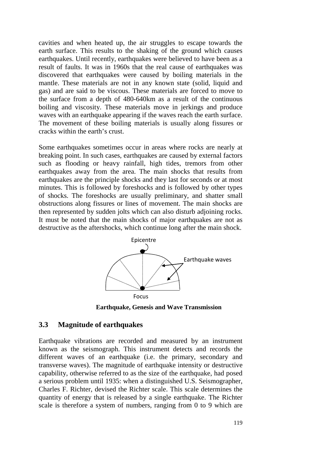cavities and when heated up, the air struggles to escape towards the earth surface. This results to the shaking of the ground which causes earthquakes. Until recently, earthquakes were believed to have been as a result of faults. It was in 1960s that the real cause of earthquakes was discovered that earthquakes were caused by boiling materials in the mantle. These materials are not in any known state (solid, liquid and gas) and are said to be viscous. These materials are forced to move to the surface from a depth of 480-640km as a result of the continuous boiling and viscosity. These materials move in jerkings and produce waves with an earthquake appearing if the waves reach the earth surface. The movement of these boiling materials is usually along fissures or cracks within the earth's crust.

Some earthquakes sometimes occur in areas where rocks are nearly at breaking point. In such cases, earthquakes are caused by external factors such as flooding or heavy rainfall, high tides, tremors from other earthquakes away from the area. The main shocks that results from earthquakes are the principle shocks and they last for seconds or at most minutes. This is followed by foreshocks and is followed by other types of shocks. The foreshocks are usually preliminary, and shatter small obstructions along fissures or lines of movement. The main shocks are then represented by sudden jolts which can also disturb adjoining rocks. It must be noted that the main shocks of major earthquakes are not as destructive as the aftershocks, which continue long after the main shock.



**Earthquake, Genesis and Wave Transmission**

### **3.3 Magnitude of earthquakes**

Earthquake vibrations are recorded and measured by an instrument known as the seismograph. This instrument detects and records the different waves of an earthquake (i.e. the primary, secondary and transverse waves). The magnitude of earthquake intensity or destructive capability, otherwise referred to as the size of the earthquake, had posed a serious problem until 1935: when a distinguished U.S. Seismographer, Charles F. Richter, devised the Richter scale. This scale determines the quantity of energy that is released by a single earthquake. The Richter scale is therefore a system of numbers, ranging from 0 to 9 which are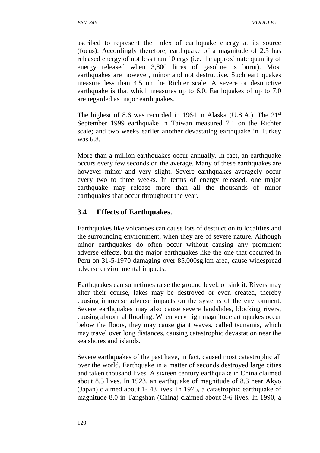ascribed to represent the index of earthquake energy at its source (focus). Accordingly therefore, earthquake of a magnitude of 2.5 has released energy of not less than 10 ergs (i.e. the approximate quantity of energy released when 3,800 litres of gasoline is burnt). Most earthquakes are however, minor and not destructive. Such earthquakes measure less than 4.5 on the Richter scale. A severe or destructive earthquake is that which measures up to 6.0. Earthquakes of up to 7.0 are regarded as major earthquakes.

The highest of 8.6 was recorded in 1964 in Alaska (U.S.A.). The  $21<sup>st</sup>$ September 1999 earthquake in Taiwan measured 7.1 on the Richter scale; and two weeks earlier another devastating earthquake in Turkey was 6.8.

More than a million earthquakes occur annually. In fact, an earthquake occurs every few seconds on the average. Many of these earthquakes are however minor and very slight. Severe earthquakes averagely occur every two to three weeks. In terms of energy released, one major earthquake may release more than all the thousands of minor earthquakes that occur throughout the year.

## **3.4 Effects of Earthquakes.**

Earthquakes like volcanoes can cause lots of destruction to localities and the surrounding environment, when they are of severe nature. Although minor earthquakes do often occur without causing any prominent adverse effects, but the major earthquakes like the one that occurred in Peru on 31-5-1970 damaging over 85,000sg.km area, cause widespread adverse environmental impacts.

Earthquakes can sometimes raise the ground level, or sink it. Rivers may alter their course, lakes may be destroyed or even created, thereby causing immense adverse impacts on the systems of the environment. Severe earthquakes may also cause severe landslides, blocking rivers, causing abnormal flooding. When very high magnitude arthquakes occur below the floors, they may cause giant waves, called tsunamis**,** which may travel over long distances, causing catastrophic devastation near the sea shores and islands.

Severe earthquakes of the past have, in fact, caused most catastrophic all over the world. Earthquake in a matter of seconds destroyed large cities and taken thousand lives. A sixteen century earthquake in China claimed about 8.5 lives. In 1923, an earthquake of magnitude of 8.3 near Akyo (Japan) claimed about 1- 43 lives. In 1976, a catastrophic earthquake of magnitude 8.0 in Tangshan (China) claimed about 3-6 lives. In 1990, a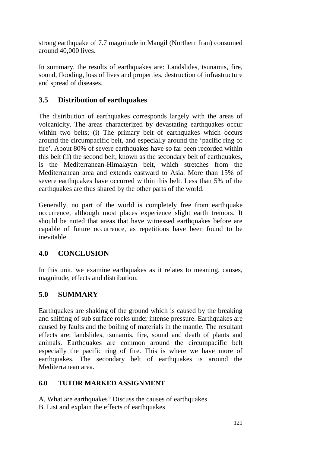strong earthquake of 7.7 magnitude in Mangil (Northern Iran) consumed around 40,000 lives.

In summary, the results of earthquakes are: Landslides, tsunamis, fire, sound, flooding, loss of lives and properties, destruction of infrastructure and spread of diseases.

# **3.5 Distribution of earthquakes**

The distribution of earthquakes corresponds largely with the areas of volcanicity. The areas characterized by devastating earthquakes occur within two belts; (i) The primary belt of earthquakes which occurs around the circumpacific belt, and especially around the 'pacific ring of fire'. About 80% of severe earthquakes have so far been recorded within this belt (ii) the second belt, known as the secondary belt of earthquakes, is the Mediterranean-Himalayan belt, which stretches from the Mediterranean area and extends eastward to Asia. More than 15% of severe earthquakes have occurred within this belt. Less than 5% of the earthquakes are thus shared by the other parts of the world.

Generally, no part of the world is completely free from earthquake occurrence, although most places experience slight earth tremors. It should be noted that areas that have witnessed earthquakes before are capable of future occurrence, as repetitions have been found to be inevitable.

# **4.0 CONCLUSION**

In this unit, we examine earthquakes as it relates to meaning, causes, magnitude, effects and distribution.

# **5.0 SUMMARY**

Earthquakes are shaking of the ground which is caused by the breaking and shifting of sub surface rocks under intense pressure. Earthquakes are caused by faults and the boiling of materials in the mantle. The resultant effects are: landslides, tsunamis, fire, sound and death of plants and animals. Earthquakes are common around the circumpacific belt especially the pacific ring of fire. This is where we have more of earthquakes. The secondary belt of earthquakes is around the Mediterranean area.

# **6.0 TUTOR MARKED ASSIGNMENT**

A. What are earthquakes? Discuss the causes of earthquakes

B. List and explain the effects of earthquakes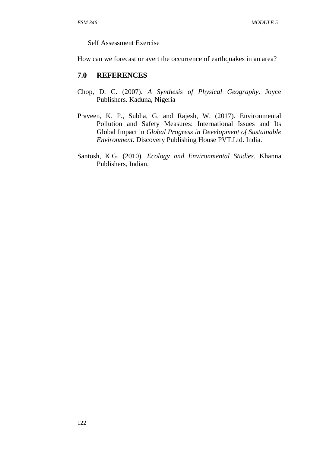Self Assessment Exercise

How can we forecast or avert the occurrence of earthquakes in an area?

#### **7.0 REFERENCES**

- Chop, D. C. (2007). *A Synthesis of Physical Geography*. Joyce Publishers. Kaduna, Nigeria
- Praveen, K. P., Subha, G. and Rajesh, W. (2017). Environmental Pollution and Safety Measures: International Issues and Its Global Impact in *Global Progress in Development of Sustainable Environment*. Discovery Publishing House PVT.Ltd. India.
- Santosh, K.G. (2010). *Ecology and Environmental Studies*. Khanna Publishers, Indian.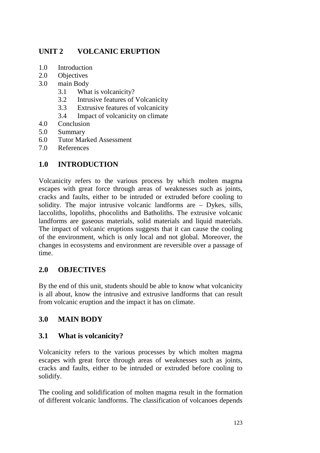# **UNIT 2 VOLCANIC ERUPTION**

- 1.0 Introduction
- 2.0 Objectives
- 3.0 main Body
	- 3.1 What is volcanicity?
	- 3.2 Intrusive features of Volcanicity
	- 3.3 Extrusive features of volcanicity
	- 3.4 Impact of volcanicity on climate
- 4.0 Conclusion
- 5.0 Summary
- 6.0 Tutor Marked Assessment
- 7.0 References

# **1.0 INTRODUCTION**

Volcanicity refers to the various process by which molten magma escapes with great force through areas of weaknesses such as joints, cracks and faults, either to be intruded or extruded before cooling to solidity. The major intrusive volcanic landforms are – Dykes, sills, laccoliths, lopoliths, phocoliths and Batholiths. The extrusive volcanic landforms are gaseous materials, solid materials and liquid materials. The impact of volcanic eruptions suggests that it can cause the cooling of the environment, which is only local and not global. Moreover, the changes in ecosystems and environment are reversible over a passage of time.

# **2.0 OBJECTIVES**

By the end of this unit, students should be able to know what volcanicity is all about, know the intrusive and extrusive landforms that can result from volcanic eruption and the impact it has on climate.

# **3.0 MAIN BODY**

## **3.1 What is volcanicity?**

Volcanicity refers to the various processes by which molten magma escapes with great force through areas of weaknesses such as joints, cracks and faults, either to be intruded or extruded before cooling to solidify.

The cooling and solidification of molten magma result in the formation of different volcanic landforms. The classification of volcanoes depends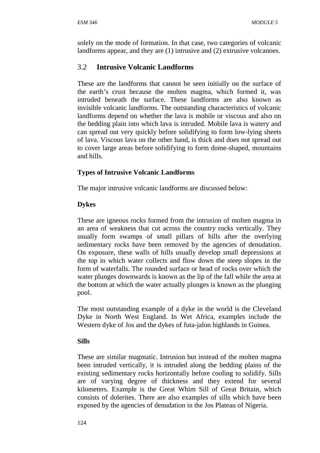solely on the mode of formation. In that case, two categories of volcanic landforms appear, and they are (1) intrusive and (2) extrusive volcanoes.

## 3.2 **Intrusive Volcanic Landforms**

These are the landforms that cannot be seen initially on the surface of the earth's crust because the molten magma, which formed it, was intruded beneath the surface. These landforms are also known as invisible volcanic landforms. The outstanding characteristics of volcanic landforms depend on whether the lava is mobile or viscous and also on the bedding plain into which lava is intruded. Mobile lava is watery and can spread out very quickly before solidifying to form low-lying sheets of lava. Viscous lava on the other hand, is thick and does not spread out to cover large areas before solidifying to form dome-shaped, mountains and hills.

### **Types of Intrusive Volcanic Landforms**

The major intrusive volcanic landforms are discussed below:

### **Dykes**

These are igneous rocks formed from the intrusion of molten magma in an area of weakness that cut across the country rocks vertically. They usually form swamps of small pillars of hills after the overlying sedimentary rocks have been removed by the agencies of denudation. On exposure, these walls of hills usually develop small depressions at the top in which water collects and flow down the steep slopes in the form of waterfalls. The rounded surface or head of rocks over which the water plunges downwards is known as the lip of the fall while the area at the bottom at which the water actually plunges is known as the plunging pool.

The most outstanding example of a dyke in the world is the Cleveland Dyke in North West England. In Wet Africa, examples include the Western dyke of Jos and the dykes of futa-jalon highlands in Guinea.

#### **Sills**

These are similar magmatic. Intrusion but instead of the molten magma been intruded vertically, it is intruded along the bedding plains of the existing sedimentary rocks horizontally before cooling to solidify. Sills are of varying degree of thickness and they extend for several kilometers. Example is the Great Whim Sill of Great Britain, which consists of dolerites. There are also examples of sills which have been exposed by the agencies of denudation in the Jos Plateau of Nigeria.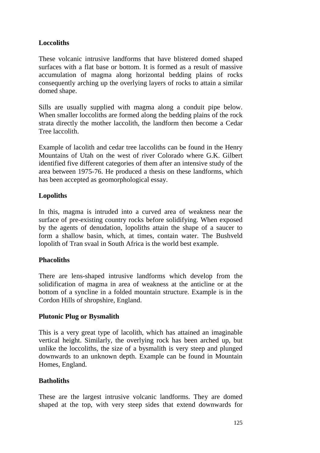## **Loccoliths**

These volcanic intrusive landforms that have blistered domed shaped surfaces with a flat base or bottom. It is formed as a result of massive accumulation of magma along horizontal bedding plains of rocks consequently arching up the overlying layers of rocks to attain a similar domed shape.

Sills are usually supplied with magma along a conduit pipe below. When smaller loccoliths are formed along the bedding plains of the rock strata directly the mother laccolith, the landform then become a Cedar Tree laccolith.

Example of lacolith and cedar tree laccoliths can be found in the Henry Mountains of Utah on the west of river Colorado where G.K. Gilbert identified five different categories of them after an intensive study of the area between 1975-76. He produced a thesis on these landforms, which has been accepted as geomorphological essay.

## **Lopoliths**

In this, magma is intruded into a curved area of weakness near the surface of pre-existing country rocks before solidifying. When exposed by the agents of denudation, lopoliths attain the shape of a saucer to form a shallow basin, which, at times, contain water. The Bushveld lopolith of Tran svaal in South Africa is the world best example.

## **Phacoliths**

There are lens-shaped intrusive landforms which develop from the solidification of magma in area of weakness at the anticline or at the bottom of a syncline in a folded mountain structure. Example is in the Cordon Hills of shropshire, England.

### **Plutonic Plug or Bysmalith**

This is a very great type of lacolith, which has attained an imaginable vertical height. Similarly, the overlying rock has been arched up, but unlike the loccoliths, the size of a bysmalith is very steep and plunged downwards to an unknown depth. Example can be found in Mountain Homes, England.

## **Batholiths**

These are the largest intrusive volcanic landforms. They are domed shaped at the top, with very steep sides that extend downwards for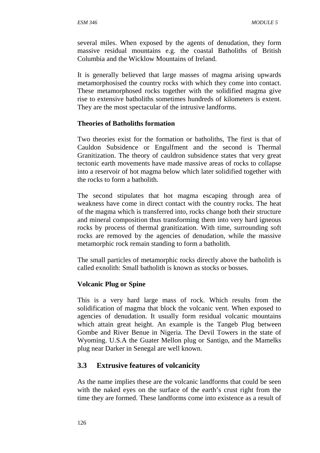several miles. When exposed by the agents of denudation, they form massive residual mountains e.g. the coastal Batholiths of British Columbia and the Wicklow Mountains of Ireland.

It is generally believed that large masses of magma arising upwards metamorphosised the country rocks with which they come into contact. These metamorphosed rocks together with the solidified magma give rise to extensive batholiths sometimes hundreds of kilometers is extent. They are the most spectacular of the intrusive landforms.

### **Theories of Batholiths formation**

Two theories exist for the formation or batholiths, The first is that of Cauldon Subsidence or Engulfment and the second is Thermal Granitization. The theory of cauldron subsidence states that very great tectonic earth movements have made massive areas of rocks to collapse into a reservoir of hot magma below which later solidified together with the rocks to form a batholith.

The second stipulates that hot magma escaping through area of weakness have come in direct contact with the country rocks. The heat of the magma which is transferred into, rocks change both their structure and mineral composition thus transforming them into very hard igneous rocks by process of thermal granitization. With time, surrounding soft rocks are removed by the agencies of denudation, while the massive metamorphic rock remain standing to form a batholith.

The small particles of metamorphic rocks directly above the batholith is called exnolith: Small batholith is known as stocks or bosses.

### **Volcanic Plug or Spine**

This is a very hard large mass of rock. Which results from the solidification of magma that block the volcanic vent. When exposed to agencies of denudation. It usually form residual volcanic mountains which attain great height. An example is the Tangeb Plug between Gombe and River Benue in Nigeria. The Devil Towers in the state of Wyoming. U.S.A the Guater Mellon plug or Santigo, and the Mamelks plug near Darker in Senegal are well known.

## **3.3 Extrusive features of volcanicity**

As the name implies these are the volcanic landforms that could be seen with the naked eyes on the surface of the earth's crust right from the time they are formed. These landforms come into existence as a result of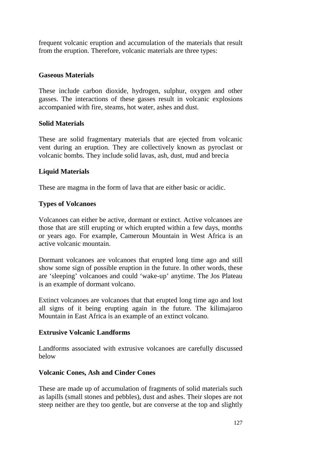frequent volcanic eruption and accumulation of the materials that result from the eruption. Therefore, volcanic materials are three types:

#### **Gaseous Materials**

These include carbon dioxide, hydrogen, sulphur, oxygen and other gasses. The interactions of these gasses result in volcanic explosions accompanied with fire, steams, hot water, ashes and dust.

#### **Solid Materials**

These are solid fragmentary materials that are ejected from volcanic vent during an eruption. They are collectively known as pyroclast or volcanic bombs. They include solid lavas, ash, dust, mud and brecia

### **Liquid Materials**

These are magma in the form of lava that are either basic or acidic.

### **Types of Volcanoes**

Volcanoes can either be active, dormant or extinct. Active volcanoes are those that are still erupting or which erupted within a few days, months or years ago. For example, Cameroun Mountain in West Africa is an active volcanic mountain.

Dormant volcanoes are volcanoes that erupted long time ago and still show some sign of possible eruption in the future. In other words, these are 'sleeping' volcanoes and could 'wake-up' anytime. The Jos Plateau is an example of dormant volcano.

Extinct volcanoes are volcanoes that that erupted long time ago and lost all signs of it being erupting again in the future. The kilimajaroo Mountain in East Africa is an example of an extinct volcano.

### **Extrusive Volcanic Landforms**

Landforms associated with extrusive volcanoes are carefully discussed below

### **Volcanic Cones, Ash and Cinder Cones**

These are made up of accumulation of fragments of solid materials such as lapills (small stones and pebbles), dust and ashes. Their slopes are not steep neither are they too gentle, but are converse at the top and slightly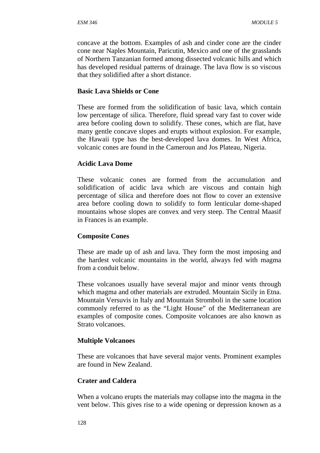concave at the bottom. Examples of ash and cinder cone are the cinder cone near Naples Mountain, Paricutin, Mexico and one of the grasslands of Northern Tanzanian formed among dissected volcanic hills and which has developed residual patterns of drainage. The lava flow is so viscous that they solidified after a short distance.

#### **Basic Lava Shields or Cone**

These are formed from the solidification of basic lava, which contain low percentage of silica. Therefore, fluid spread vary fast to cover wide area before cooling down to solidify. These cones, which are flat, have many gentle concave slopes and erupts without explosion. For example, the Hawaii type has the best-developed lava domes. In West Africa, volcanic cones are found in the Cameroun and Jos Plateau, Nigeria.

#### **Acidic Lava Dome**

These volcanic cones are formed from the accumulation and solidification of acidic lava which are viscous and contain high percentage of silica and therefore does not flow to cover an extensive area before cooling down to solidify to form lenticular dome-shaped mountains whose slopes are convex and very steep. The Central Maasif in Frances is an example.

#### **Composite Cones**

These are made up of ash and lava. They form the most imposing and the hardest volcanic mountains in the world, always fed with magma from a conduit below.

These volcanoes usually have several major and minor vents through which magma and other materials are extruded. Mountain Sicily in Etna. Mountain Versuvis in Italy and Mountain Stromboli in the same location commonly referred to as the "Light House" of the Mediterranean are examples of composite cones. Composite volcanoes are also known as Strato volcanoes.

#### **Multiple Volcanoes**

These are volcanoes that have several major vents. Prominent examples are found in New Zealand.

### **Crater and Caldera**

When a volcano erupts the materials may collapse into the magma in the vent below. This gives rise to a wide opening or depression known as a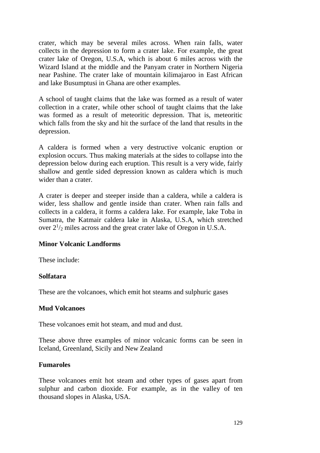crater, which may be several miles across. When rain falls, water collects in the depression to form a crater lake. For example, the great crater lake of Oregon, U.S.A, which is about 6 miles across with the Wizard Island at the middle and the Panyam crater in Northern Nigeria near Pashine. The crater lake of mountain kilimajaroo in East African and lake Busumptusi in Ghana are other examples.

A school of taught claims that the lake was formed as a result of water collection in a crater, while other school of taught claims that the lake was formed as a result of meteoritic depression. That is, meteoritic which falls from the sky and hit the surface of the land that results in the depression.

A caldera is formed when a very destructive volcanic eruption or explosion occurs. Thus making materials at the sides to collapse into the depression below during each eruption. This result is a very wide, fairly shallow and gentle sided depression known as caldera which is much wider than a crater.

A crater is deeper and steeper inside than a caldera, while a caldera is wider, less shallow and gentle inside than crater. When rain falls and collects in a caldera, it forms a caldera lake. For example, lake Toba in Sumatra, the Katmair caldera lake in Alaska, U.S.A, which stretched over  $2^{1/2}$  miles across and the great crater lake of Oregon in U.S.A.

### **Minor Volcanic Landforms**

These include:

#### **Solfatara**

These are the volcanoes, which emit hot steams and sulphuric gases

#### **Mud Volcanoes**

These volcanoes emit hot steam, and mud and dust.

These above three examples of minor volcanic forms can be seen in Iceland, Greenland, Sicily and New Zealand

#### **Fumaroles**

These volcanoes emit hot steam and other types of gases apart from sulphur and carbon dioxide. For example, as in the valley of ten thousand slopes in Alaska, USA.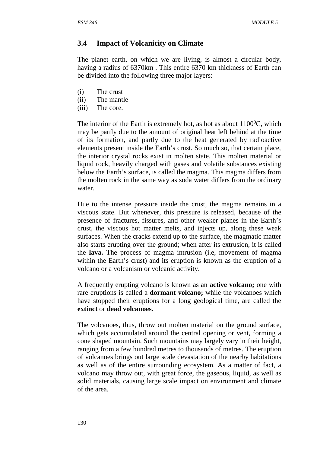## **3.4 Impact of Volcanicity on Climate**

The planet earth, on which we are living, is almost a circular body, having a radius of 6370km . This entire 6370 km thickness of Earth can be divided into the following three major layers:

- (i) The crust
- (ii) The mantle
- (iii) The core.

The interior of the Earth is extremely hot, as hot as about  $1100^{\circ}$ C, which may be partly due to the amount of original heat left behind at the time of its formation, and partly due to the heat generated by radioactive elements present inside the Earth's crust. So much so, that certain place, the interior crystal rocks exist in molten state. This molten material or liquid rock, heavily charged with gases and volatile substances existing below the Earth's surface, is called the magma. This magma differs from the molten rock in the same way as soda water differs from the ordinary water.

Due to the intense pressure inside the crust, the magma remains in a viscous state. But whenever, this pressure is released, because of the presence of fractures, fissures, and other weaker planes in the Earth's crust, the viscous hot matter melts, and injects up, along these weak surfaces. When the cracks extend up to the surface, the magmatic matter also starts erupting over the ground; when after its extrusion, it is called the **lava.** The process of magma intrusion (i.e, movement of magma within the Earth's crust) and its eruption is known as the eruption of a volcano or a volcanism or volcanic activity.

A frequently erupting volcano is known as an **active volcano;** one with rare eruptions is called a **dormant volcano;** while the volcanoes which have stopped their eruptions for a long geological time, are called the **extinct** or **dead volcanoes.**

The volcanoes, thus, throw out molten material on the ground surface, which gets accumulated around the central opening or vent, forming a cone shaped mountain. Such mountains may largely vary in their height, ranging from a few hundred metres to thousands of metres. The eruption of volcanoes brings out large scale devastation of the nearby habitations as well as of the entire surrounding ecosystem. As a matter of fact, a volcano may throw out, with great force, the gaseous, liquid, as well as solid materials, causing large scale impact on environment and climate of the area.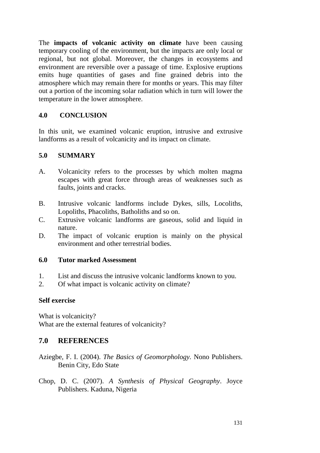The **impacts of volcanic activity on climate** have been causing temporary cooling of the environment, but the impacts are only local or regional, but not global. Moreover, the changes in ecosystems and environment are reversible over a passage of time. Explosive eruptions emits huge quantities of gases and fine grained debris into the atmosphere which may remain there for months or years. This may filter out a portion of the incoming solar radiation which in turn will lower the temperature in the lower atmosphere.

### **4.0 CONCLUSION**

In this unit, we examined volcanic eruption, intrusive and extrusive landforms as a result of volcanicity and its impact on climate.

#### **5.0 SUMMARY**

- A. Volcanicity refers to the processes by which molten magma escapes with great force through areas of weaknesses such as faults, joints and cracks.
- B. Intrusive volcanic landforms include Dykes, sills, Locoliths, Lopoliths, Phacoliths, Batholiths and so on.
- C. Extrusive volcanic landforms are gaseous, solid and liquid in nature.
- D. The impact of volcanic eruption is mainly on the physical environment and other terrestrial bodies.

#### **6.0 Tutor marked Assessment**

- 1. List and discuss the intrusive volcanic landforms known to you.
- 2. Of what impact is volcanic activity on climate?

#### **Self exercise**

What is volcanicity? What are the external features of volcanicity?

### **7.0 REFERENCES**

- Aziegbe, F. I. (2004). *The Basics of Geomorphology.* Nono Publishers. Benin City, Edo State
- Chop, D. C. (2007). *A Synthesis of Physical Geography*. Joyce Publishers. Kaduna, Nigeria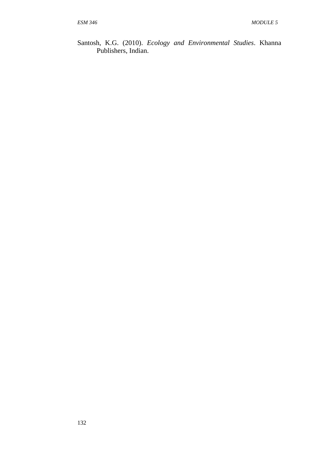Santosh, K.G. (2010). *Ecology and Environmental Studies*. Khanna Publishers, Indian.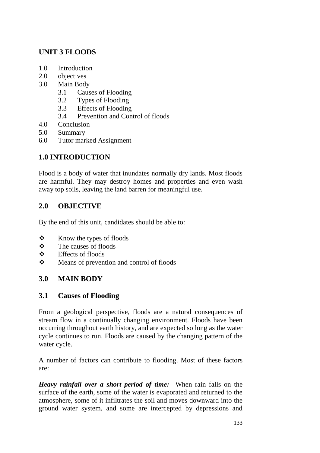# **UNIT 3 FLOODS**

- 1.0 Introduction
- 2.0 objectives
- 3.0 Main Body
	- 3.1 Causes of Flooding
	- 3.2 Types of Flooding
	- 3.3 Effects of Flooding
	- 3.4 Prevention and Control of floods
- 4.0 Conclusion
- 5.0 Summary
- 6.0 Tutor marked Assignment

# **1.0 INTRODUCTION**

Flood is a body of water that inundates normally dry lands. Most floods are harmful. They may destroy homes and properties and even wash away top soils, leaving the land barren for meaningful use.

# **2.0 OBJECTIVE**

By the end of this unit, candidates should be able to:

- $\bullet$  Know the types of floods<br> $\bullet$  The causes of floods
- The causes of floods
- $\div$  Effects of floods
- Means of prevention and control of floods

# **3.0 MAIN BODY**

## **3.1 Causes of Flooding**

From a geological perspective, floods are a natural consequences of stream flow in a continually changing environment. Floods have been occurring throughout earth history, and are expected so long as the water cycle continues to run. Floods are caused by the changing pattern of the water cycle.

A number of factors can contribute to flooding. Most of these factors are:

*Heavy rainfall over a short period of time:* When rain falls on the surface of the earth, some of the water is evaporated and returned to the atmosphere, some of it infiltrates the soil and moves downward into the ground water system, and some are intercepted by depressions and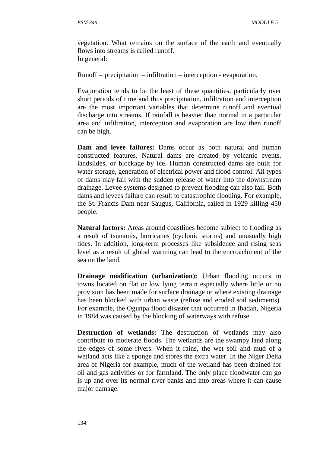vegetation. What remains on the surface of the earth and eventually flows into streams is called runoff. In general:

 $Runoff = precipitation - inflation - interaction - interaction - evaporation.$ 

Evaporation tends to be the least of these quantities, particularly over short periods of time and thus precipitation, infiltration and interception are the most important variables that determine runoff and eventual discharge into streams. If rainfall is heavier than normal in a particular area and infiltration, interception and evaporation are low then runoff can be high.

**Dam and levee failures:** Dams occur as both natural and human constructed features. Natural dams are created by volcanic events, landslides, or blockage by ice. Human constructed dams are built for water storage, generation of electrical power and flood control. All types of dams may fail with the sudden release of water into the downstream drainage. Levee systems designed to prevent flooding can also fail. Both dams and levees failure can result to catastrophic flooding. For example, the St. Francis Dam near Saugus, California, failed in 1929 killing 450 people.

**Natural factors:** Areas around coastlines become subject to flooding as a result of tsunamis, hurricanes (cyclonic storms) and unusually high tides. In addition, long-term processes like subsidence and rising seas level as a result of global warming can lead to the encroachment of the sea on the land.

**Drainage modification (urbanization):** Urban flooding occurs in towns located on flat or low lying terrain especially where little or no provision has been made for surface drainage or where existing drainage has been blocked with urban waste (refuse and eroded soil sediments). For example, the Ogunpa flood disaster that occurred in Ibadan, Nigeria in 1984 was caused by the blocking of waterways with refuse.

**Destruction of wetlands:** The destruction of wetlands may also contribute to moderate floods. The wetlands are the swampy land along the edges of some rivers. When it rains, the wet soil and mud of a wetland acts like a sponge and stores the extra water. In the Niger Delta area of Nigeria for example, much of the wetland has been drained for oil and gas activities or for farmland. The only place floodwater can go is up and over its normal river banks and into areas where it can cause major damage.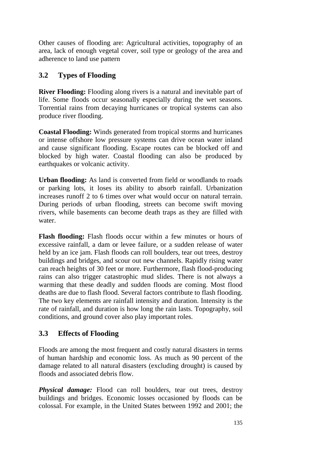Other causes of flooding are: Agricultural activities, topography of an area, lack of enough vegetal cover, soil type or geology of the area and adherence to land use pattern

# **3.2 Types of Flooding**

**River Flooding:** Flooding along rivers is a natural and inevitable part of life. Some floods occur seasonally especially during the wet seasons. Torrential rains from decaying hurricanes or tropical systems can also produce river flooding.

**Coastal Flooding:** Winds generated from tropical storms and hurricanes or intense offshore low pressure systems can drive ocean water inland and cause significant flooding. Escape routes can be blocked off and blocked by high water. Coastal flooding can also be produced by earthquakes or volcanic activity.

**Urban flooding:** As land is converted from field or woodlands to roads or parking lots, it loses its ability to absorb rainfall. Urbanization increases runoff 2 to 6 times over what would occur on natural terrain. During periods of urban flooding, streets can become swift moving rivers, while basements can become death traps as they are filled with water.

**Flash flooding:** Flash floods occur within a few minutes or hours of excessive rainfall, a dam or levee failure, or a sudden release of water held by an ice jam. Flash floods can roll boulders, tear out trees, destroy buildings and bridges, and scour out new channels. Rapidly rising water can reach heights of 30 feet or more. Furthermore, flash flood-producing rains can also trigger catastrophic mud slides. There is not always a warming that these deadly and sudden floods are coming. Most flood deaths are due to flash flood. Several factors contribute to flash flooding. The two key elements are rainfall intensity and duration. Intensity is the rate of rainfall, and duration is how long the rain lasts. Topography, soil conditions, and ground cover also play important roles.

# **3.3 Effects of Flooding**

Floods are among the most frequent and costly natural disasters in terms of human hardship and economic loss. As much as 90 percent of the damage related to all natural disasters (excluding drought) is caused by floods and associated debris flow.

**Physical damage:** Flood can roll boulders, tear out trees, destroy buildings and bridges. Economic losses occasioned by floods can be colossal. For example, in the United States between 1992 and 2001; the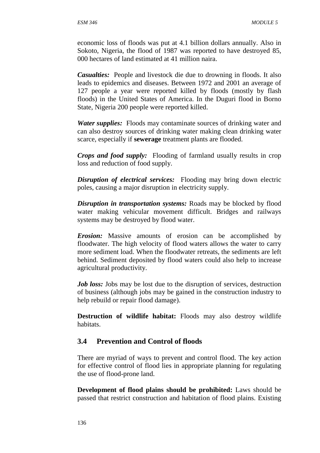economic loss of floods was put at 4.1 billion dollars annually. Also in Sokoto, Nigeria, the flood of 1987 was reported to have destroyed 85, 000 hectares of land estimated at 41 million naira.

*Casualties:* People and livestock die due to drowning in floods. It also leads to epidemics and diseases. Between 1972 and 2001 an average of 127 people a year were reported killed by floods (mostly by flash floods) in the United States of America. In the Duguri flood in Borno State, Nigeria 200 people were reported killed.

*Water supplies:* Floods may contaminate sources of drinking water and can also destroy sources of drinking water making clean drinking water scarce, especially if **sewerage** treatment plants are flooded.

*Crops and food supply:* Flooding of farmland usually results in crop loss and reduction of food supply.

*Disruption of electrical services:* Flooding may bring down electric poles, causing a major disruption in electricity supply.

*Disruption in transportation systems:* Roads may be blocked by flood water making vehicular movement difficult. Bridges and railways systems may be destroyed by flood water.

*Erosion:* Massive amounts of erosion can be accomplished by floodwater. The high velocity of flood waters allows the water to carry more sediment load. When the floodwater retreats, the sediments are left behind. Sediment deposited by flood waters could also help to increase agricultural productivity.

*Job loss:* Jobs may be lost due to the disruption of services, destruction of business (although jobs may be gained in the construction industry to help rebuild or repair flood damage).

**Destruction of wildlife habitat:** Floods may also destroy wildlife habitats.

## **3.4 Prevention and Control of floods**

There are myriad of ways to prevent and control flood. The key action for effective control of flood lies in appropriate planning for regulating the use of flood-prone land.

**Development of flood plains should be prohibited:** Laws should be passed that restrict construction and habitation of flood plains. Existing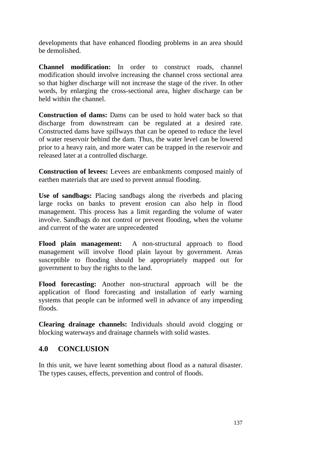developments that have enhanced flooding problems in an area should be demolished.

**Channel modification:** In order to construct roads, channel modification should involve increasing the channel cross sectional area so that higher discharge will not increase the stage of the river. In other words, by enlarging the cross-sectional area, higher discharge can be held within the channel

**Construction of dams:** Dams can be used to hold water back so that discharge from downstream can be regulated at a desired rate. Constructed dams have spillways that can be opened to reduce the level of water reservoir behind the dam. Thus, the water level can be lowered prior to a heavy rain, and more water can be trapped in the reservoir and released later at a controlled discharge.

**Construction of levees:** Levees are embankments composed mainly of earthen materials that are used to prevent annual flooding.

**Use of sandbags:** Placing sandbags along the riverbeds and placing large rocks on banks to prevent erosion can also help in flood management. This process has a limit regarding the volume of water involve. Sandbags do not control or prevent flooding, when the volume and current of the water are unprecedented

**Flood plain management:** A non-structural approach to flood management will involve flood plain layout by government. Areas susceptible to flooding should be appropriately mapped out for government to buy the rights to the land.

**Flood forecasting:** Another non-structural approach will be the application of flood forecasting and installation of early warning systems that people can be informed well in advance of any impending floods.

**Clearing drainage channels:** Individuals should avoid clogging or blocking waterways and drainage channels with solid wastes.

## **4.0 CONCLUSION**

In this unit, we have learnt something about flood as a natural disaster. The types causes, effects, prevention and control of floods.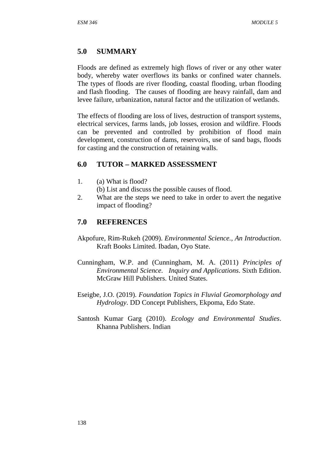# **5.0 SUMMARY**

Floods are defined as extremely high flows of river or any other water body, whereby water overflows its banks or confined water channels. The types of floods are river flooding, coastal flooding, urban flooding and flash flooding. The causes of flooding are heavy rainfall, dam and levee failure, urbanization, natural factor and the utilization of wetlands.

The effects of flooding are loss of lives, destruction of transport systems, electrical services, farms lands, job losses, erosion and wildfire. Floods can be prevented and controlled by prohibition of flood main development, construction of dams, reservoirs, use of sand bags, floods for casting and the construction of retaining walls.

## **6.0 TUTOR – MARKED ASSESSMENT**

1. (a) What is flood?

(b) List and discuss the possible causes of flood.

2. What are the steps we need to take in order to avert the negative impact of flooding?

## **7.0 REFERENCES**

- Akpofure, Rim-Rukeh (2009). *Environmental Science., An Introduction*. Kraft Books Limited. Ibadan, Oyo State.
- Cunningham, W.P. and (Cunningham, M. A. (2011) *Principles of Environmental Science. Inquiry and Applications*. Sixth Edition. McGraw Hill Publishers. United States.
- Eseigbe, J.O. (2019). *Foundation Topics in Fluvial Geomorphology and Hydrology*. DD Concept Publishers, Ekpoma, Edo State.
- Santosh Kumar Garg (2010). *Ecology and Environmental Studies*. Khanna Publishers. Indian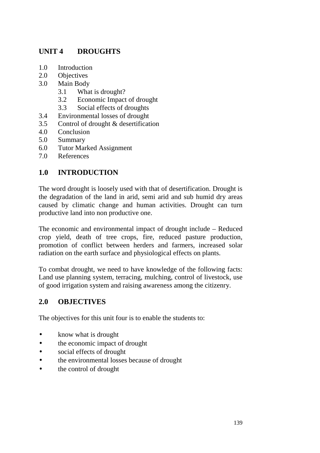# **UNIT 4 DROUGHTS**

- 1.0 Introduction
- 2.0 Objectives
- 3.0 Main Body
	- 3.1 What is drought?
	- 3.2 Economic Impact of drought
	- 3.3 Social effects of droughts
- 3.4 Environmental losses of drought
- 3.5 Control of drought & desertification
- 4.0 Conclusion
- 5.0 Summary
- 6.0 Tutor Marked Assignment
- 7.0 References

## **1.0 INTRODUCTION**

The word drought is loosely used with that of desertification. Drought is the degradation of the land in arid, semi arid and sub humid dry areas caused by climatic change and human activities. Drought can turn productive land into non productive one.

The economic and environmental impact of drought include – Reduced crop yield, death of tree crops, fire, reduced pasture production, promotion of conflict between herders and farmers, increased solar radiation on the earth surface and physiological effects on plants.

To combat drought, we need to have knowledge of the following facts: Land use planning system, terracing, mulching, control of livestock, use of good irrigation system and raising awareness among the citizenry.

## **2.0 OBJECTIVES**

The objectives for this unit four is to enable the students to:

- know what is drought
- the economic impact of drought
- social effects of drought
- the environmental losses because of drought
- the control of drought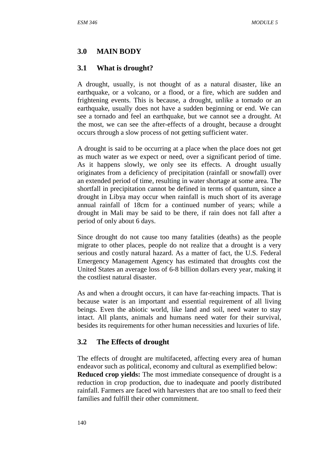#### **3.0 MAIN BODY**

#### **3.1 What is drought?**

A drought, usually, is not thought of as a natural disaster, like an earthquake, or a volcano, or a flood, or a fire, which are sudden and frightening events. This is because, a drought, unlike a tornado or an earthquake, usually does not have a sudden beginning or end. We can see a tornado and feel an earthquake, but we cannot see a drought. At the most, we can see the after-effects of a drought, because a drought occurs through a slow process of not getting sufficient water.

A drought is said to be occurring at a place when the place does not get as much water as we expect or need, over a significant period of time. As it happens slowly, we only see its effects. A drought usually originates from a deficiency of precipitation (rainfall or snowfall) over an extended period of time, resulting in water shortage at some area. The shortfall in precipitation cannot be defined in terms of quantum, since a drought in Libya may occur when rainfall is much short of its average annual rainfall of 18cm for a continued number of years; while a drought in Mali may be said to be there, if rain does not fall after a period of only about 6 days.

Since drought do not cause too many fatalities (deaths) as the people migrate to other places, people do not realize that a drought is a very serious and costly natural hazard. As a matter of fact, the U.S. Federal Emergency Management Agency has estimated that droughts cost the United States an average loss of 6-8 billion dollars every year, making it the costliest natural disaster.

As and when a drought occurs, it can have far-reaching impacts. That is because water is an important and essential requirement of all living beings. Even the abiotic world, like land and soil, need water to stay intact. All plants, animals and humans need water for their survival, besides its requirements for other human necessities and luxuries of life.

#### **3.2 The Effects of drought**

The effects of drought are multifaceted, affecting every area of human endeavor such as political, economy and cultural as exemplified below: **Reduced crop yields:** The most immediate consequence of drought is a reduction in crop production, due to inadequate and poorly distributed rainfall. Farmers are faced with harvesters that are too small to feed their families and fulfill their other commitment.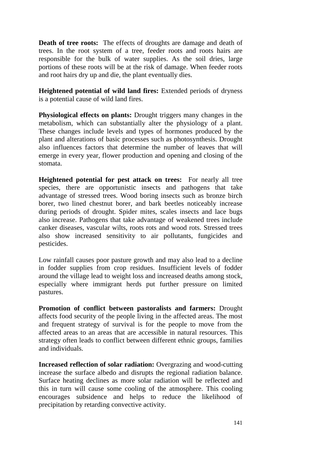**Death of tree roots:** The effects of droughts are damage and death of trees. In the root system of a tree, feeder roots and roots hairs are responsible for the bulk of water supplies. As the soil dries, large portions of these roots will be at the risk of damage. When feeder roots and root hairs dry up and die, the plant eventually dies.

**Heightened potential of wild land fires:** Extended periods of dryness is a potential cause of wild land fires.

**Physiological effects on plants:** Drought triggers many changes in the metabolism, which can substantially alter the physiology of a plant. These changes include levels and types of hormones produced by the plant and alterations of basic processes such as photosynthesis. Drought also influences factors that determine the number of leaves that will emerge in every year, flower production and opening and closing of the stomata.

**Heightened potential for pest attack on trees:** For nearly all tree species, there are opportunistic insects and pathogens that take advantage of stressed trees. Wood boring insects such as bronze birch borer, two lined chestnut borer, and bark beetles noticeably increase during periods of drought. Spider mites, scales insects and lace bugs also increase. Pathogens that take advantage of weakened trees include canker diseases, vascular wilts, roots rots and wood rots. Stressed trees also show increased sensitivity to air pollutants, fungicides and pesticides.

Low rainfall causes poor pasture growth and may also lead to a decline in fodder supplies from crop residues. Insufficient levels of fodder around the village lead to weight loss and increased deaths among stock, especially where immigrant herds put further pressure on limited pastures.

**Promotion of conflict between pastoralists and farmers:** Drought affects food security of the people living in the affected areas. The most and frequent strategy of survival is for the people to move from the affected areas to an areas that are accessible in natural resources. This strategy often leads to conflict between different ethnic groups, families and individuals.

**Increased reflection of solar radiation:** Overgrazing and wood-cutting increase the surface albedo and disrupts the regional radiation balance. Surface heating declines as more solar radiation will be reflected and this in turn will cause some cooling of the atmosphere. This cooling encourages subsidence and helps to reduce the likelihood of precipitation by retarding convective activity.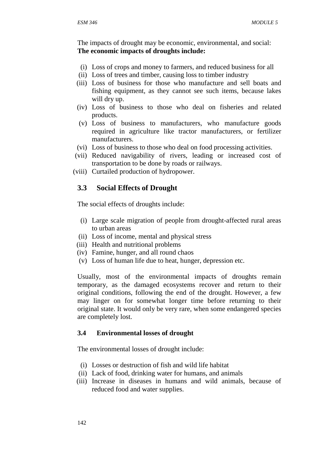The impacts of drought may be economic, environmental, and social: **The economic impacts of droughts include:**

- (i) Loss of crops and money to farmers, and reduced business for all
- (ii) Loss of trees and timber, causing loss to timber industry
- (iii) Loss of business for those who manufacture and sell boats and fishing equipment, as they cannot see such items, because lakes will dry up.
- (iv) Loss of business to those who deal on fisheries and related products.
- (v) Loss of business to manufacturers, who manufacture goods required in agriculture like tractor manufacturers, or fertilizer manufacturers.
- (vi) Loss of business to those who deal on food processing activities.
- (vii) Reduced navigability of rivers, leading or increased cost of transportation to be done by roads or railways.
- (viii) Curtailed production of hydropower.

#### **3.3 Social Effects of Drought**

The social effects of droughts include:

- (i) Large scale migration of people from drought-affected rural areas to urban areas
- (ii) Loss of income, mental and physical stress
- (iii) Health and nutritional problems
- (iv) Famine, hunger, and all round chaos
- (v) Loss of human life due to heat, hunger, depression etc.

Usually, most of the environmental impacts of droughts remain temporary, as the damaged ecosystems recover and return to their original conditions, following the end of the drought. However, a few may linger on for somewhat longer time before returning to their original state. It would only be very rare, when some endangered species are completely lost.

#### **3.4 Environmental losses of drought**

The environmental losses of drought include:

- (i) Losses or destruction of fish and wild life habitat
- (ii) Lack of food, drinking water for humans, and animals
- (iii) Increase in diseases in humans and wild animals, because of reduced food and water supplies.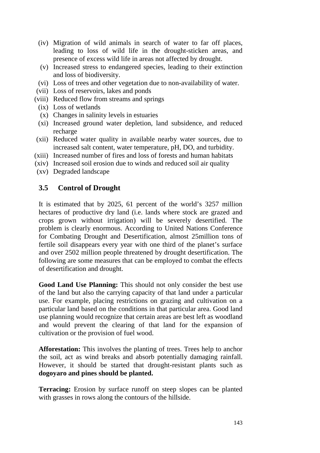- (iv) Migration of wild animals in search of water to far off places, leading to loss of wild life in the drought-sticken areas, and presence of excess wild life in areas not affected by drought.
- (v) Increased stress to endangered species, leading to their extinction and loss of biodiversity.
- (vi) Loss of trees and other vegetation due to non-availability of water.
- (vii) Loss of reservoirs, lakes and ponds
- (viii) Reduced flow from streams and springs
	- (ix) Loss of wetlands
	- (x) Changes in salinity levels in estuaries
	- (xi) Increased ground water depletion, land subsidence, and reduced recharge
- (xii) Reduced water quality in available nearby water sources, due to increased salt content, water temperature, pH, DO, and turbidity.
- (xiii) Increased number of fires and loss of forests and human habitats
- (xiv) Increased soil erosion due to winds and reduced soil air quality
- (xv) Degraded landscape

# **3.5 Control of Drought**

It is estimated that by 2025, 61 percent of the world's 3257 million hectares of productive dry land (i.e. lands where stock are grazed and crops grown without irrigation) will be severely desertified. The problem is clearly enormous. According to United Nations Conference for Combating Drought and Desertification, almost 25million tons of fertile soil disappears every year with one third of the planet's surface and over 2502 million people threatened by drought desertification. The following are some measures that can be employed to combat the effects of desertification and drought.

**Good Land Use Planning:** This should not only consider the best use of the land but also the carrying capacity of that land under a particular use. For example, placing restrictions on grazing and cultivation on a particular land based on the conditions in that particular area. Good land use planning would recognize that certain areas are best left as woodland and would prevent the clearing of that land for the expansion of cultivation or the provision of fuel wood.

**Afforestation:** This involves the planting of trees. Trees help to anchor the soil, act as wind breaks and absorb potentially damaging rainfall. However, it should be started that drought-resistant plants such as **dogoyaro and pines should be planted.**

**Terracing:** Erosion by surface runoff on steep slopes can be planted with grasses in rows along the contours of the hillside.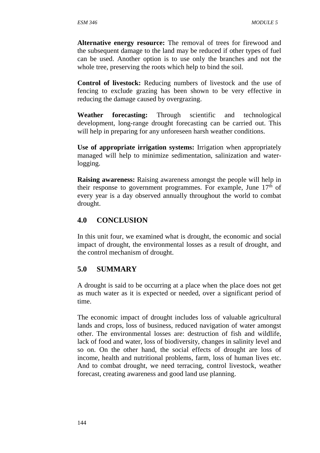**Alternative energy resource:** The removal of trees for firewood and the subsequent damage to the land may be reduced if other types of fuel can be used. Another option is to use only the branches and not the whole tree, preserving the roots which help to bind the soil.

**Control of livestock:** Reducing numbers of livestock and the use of fencing to exclude grazing has been shown to be very effective in reducing the damage caused by overgrazing.

**Weather forecasting:** Through scientific and technological development, long-range drought forecasting can be carried out. This will help in preparing for any unforeseen harsh weather conditions.

**Use of appropriate irrigation systems:** Irrigation when appropriately managed will help to minimize sedimentation, salinization and waterlogging.

**Raising awareness:** Raising awareness amongst the people will help in their response to government programmes. For example, June  $17<sup>th</sup>$  of every year is a day observed annually throughout the world to combat drought.

## **4.0 CONCLUSION**

In this unit four, we examined what is drought, the economic and social impact of drought, the environmental losses as a result of drought, and the control mechanism of drought.

## **5.0 SUMMARY**

A drought is said to be occurring at a place when the place does not get as much water as it is expected or needed, over a significant period of time.

The economic impact of drought includes loss of valuable agricultural lands and crops, loss of business, reduced navigation of water amongst other. The environmental losses are: destruction of fish and wildlife, lack of food and water, loss of biodiversity, changes in salinity level and so on. On the other hand, the social effects of drought are loss of income, health and nutritional problems, farm, loss of human lives etc. And to combat drought, we need terracing, control livestock, weather forecast, creating awareness and good land use planning.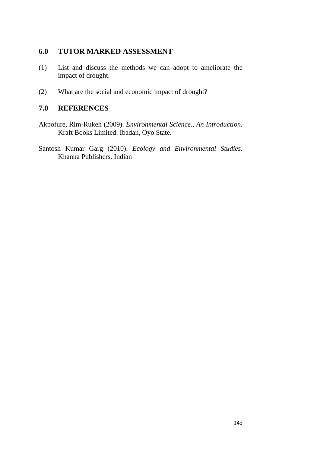## **6.0 TUTOR MARKED ASSESSMENT**

- (1) List and discuss the methods we can adopt to ameliorate the impact of drought.
- (2) What are the social and economic impact of drought?

#### **7.0 REFERENCES**

- Akpofure, Rim-Rukeh (2009). *Environmental Science., An Introduction*. Kraft Books Limited. Ibadan, Oyo State.
- Santosh Kumar Garg (2010). *Ecology and Environmental Studies.* Khanna Publishers. Indian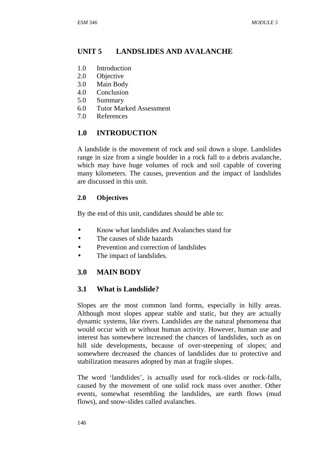# **UNIT 5 LANDSLIDES AND AVALANCHE**

- 1.0 Introduction
- 2.0 Objective
- 3.0 Main Body
- 4.0 Conclusion
- 5.0 Summary
- 6.0 Tutor Marked Assessment
- 7.0 References

## **1.0 INTRODUCTION**

A landslide is the movement of rock and soil down a slope. Landslides range in size from a single boulder in a rock fall to a debris avalanche, which may have huge volumes of rock and soil capable of covering many kilometers. The causes, prevention and the impact of landslides are discussed in this unit.

#### **2.0 Objectives**

By the end of this unit, candidates should be able to:

- Know what landslides and Avalanches stand for
- The causes of slide hazards
- Prevention and correction of landslides
- The impact of landslides.

## **3.0 MAIN BODY**

#### **3.1 What is Landslide?**

Slopes are the most common land forms, especially in hilly areas. Although most slopes appear stable and static, but they are actually dynamic systems, like rivers. Landslides are the natural phenomena that would occur with or without human activity. However, human use and interest has somewhere increased the chances of landslides, such as on hill side developments, because of over-steepening of slopes; and somewhere decreased the chances of landslides due to protective and stabilization measures adopted by man at fragile slopes.

The word 'landslides', is actually used for rock-slides or rock-falls, caused by the movement of one solid rock mass over another. Other events, somewhat resembling the landslides, are earth flows (mud flows), and snow-slides called avalanches.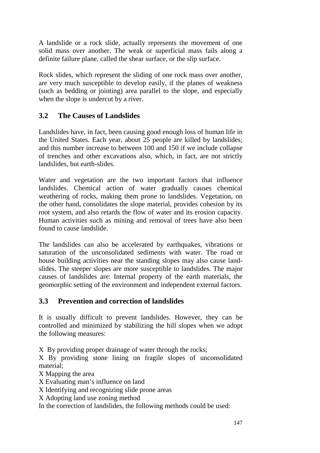A landslide or a rock slide, actually represents the movement of one solid mass over another. The weak or superficial mass fails along a definite failure plane, called the shear surface, or the slip surface.

Rock slides, which represent the sliding of one rock mass over another, are very much susceptible to develop easily, if the planes of weakness (such as bedding or jointing) area parallel to the slope, and especially when the slope is undercut by a river.

# **3.2 The Causes of Landslides**

Landslides have, in fact, been causing good enough loss of human life in the United States. Each year, about 25 people are killed by landslides; and this number increase to between 100 and 150 if we include collapse of trenches and other excavations also, which, in fact, are not strictly landslides, but earth-slides.

Water and vegetation are the two important factors that influence landslides. Chemical action of water gradually causes chemical weathering of rocks, making them prone to landslides. Vegetation, on the other hand, consolidates the slope material, provides cohesion by its root system, and also retards the flow of water and its erosion capacity. Human activities such as mining and removal of trees have also been found to cause landslide.

The landslides can also be accelerated by earthquakes, vibrations or saturation of the unconsolidated sediments with water. The road or house building activities near the standing slopes may also cause land slides. The steeper slopes are more susceptible to landslides. The major causes of landslides are: Internal property of the earth materials, the geomorphic setting of the environment and independent external factors.

## **3.3 Prevention and correction of landslides**

It is usually difficult to prevent landslides. However, they can be controlled and minimized by stabilizing the hill slopes when we adopt the following measures:

X By providing proper drainage of water through the rocks;

X By providing stone lining on fragile slopes of unconsolidated material;

X Mapping the area

X Evaluating man's influence on land

X Identifying and recognizing slide prone areas

X Adopting land use zoning method

In the correction of landslides, the following methods could be used: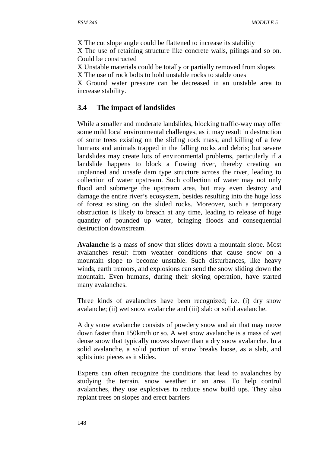X The cut slope angle could be flattened to increase its stability

X The use of retaining structure like concrete walls, pilings and so on. Could be constructed

X Unstable materials could be totally or partially removed from slopes X The use of rock bolts to hold unstable rocks to stable ones

X Ground water pressure can be decreased in an unstable area to increase stability.

# **3.4 The impact of landslides**

While a smaller and moderate landslides, blocking traffic-way may offer some mild local environmental challenges, as it may result in destruction of some trees existing on the sliding rock mass, and killing of a few humans and animals trapped in the falling rocks and debris; but severe landslides may create lots of environmental problems, particularly if a landslide happens to block a flowing river, thereby creating an unplanned and unsafe dam type structure across the river, leading to collection of water upstream. Such collection of water may not only flood and submerge the upstream area, but may even destroy and damage the entire river's ecosystem, besides resulting into the huge loss of forest existing on the slided rocks. Moreover, such a temporary obstruction is likely to breach at any time, leading to release of huge quantity of pounded up water, bringing floods and consequential destruction downstream.

**Avalanche** is a mass of snow that slides down a mountain slope. Most avalanches result from weather conditions that cause snow on a mountain slope to become unstable. Such disturbances, like heavy winds, earth tremors, and explosions can send the snow sliding down the mountain. Even humans, during their skying operation, have started many avalanches.

Three kinds of avalanches have been recognized; i.e. (i) dry snow avalanche; (ii) wet snow avalanche and (iii) slab or solid avalanche.

A dry snow avalanche consists of powdery snow and air that may move down faster than 150km/h or so. A wet snow avalanche is a mass of wet dense snow that typically moves slower than a dry snow avalanche. In a solid avalanche, a solid portion of snow breaks loose, as a slab, and splits into pieces as it slides.

Experts can often recognize the conditions that lead to avalanches by studying the terrain, snow weather in an area. To help control avalanches, they use explosives to reduce snow build ups. They also replant trees on slopes and erect barriers